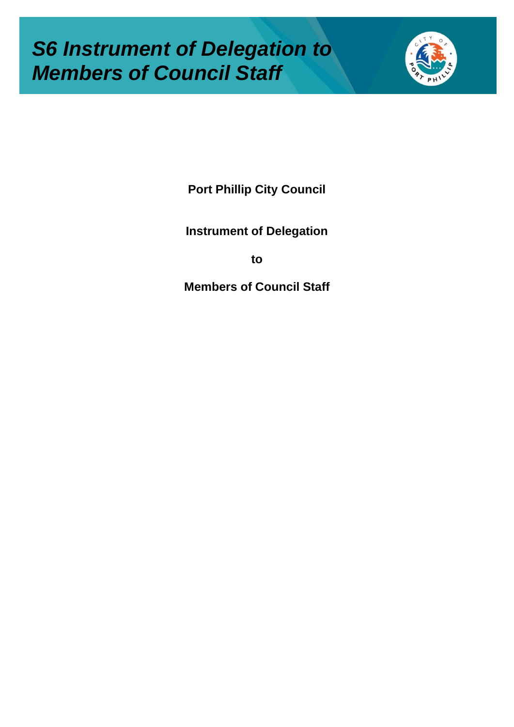# *S6 Instrument of Delegation to Members of Council Staff*



**Port Phillip City Council**

**Instrument of Delegation**

**to**

**Members of Council Staff**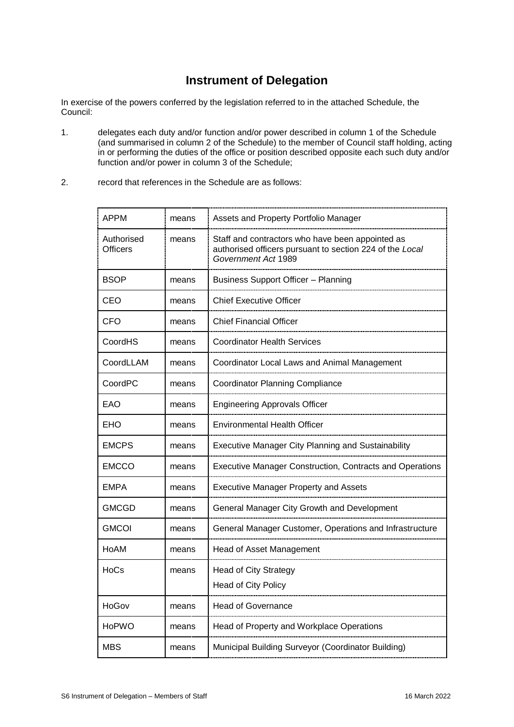### **Instrument of Delegation**

In exercise of the powers conferred by the legislation referred to in the attached Schedule, the Council:

- 1. delegates each duty and/or function and/or power described in column 1 of the Schedule (and summarised in column 2 of the Schedule) to the member of Council staff holding, acting in or performing the duties of the office or position described opposite each such duty and/or function and/or power in column 3 of the Schedule;
- 2. record that references in the Schedule are as follows:

| <b>APPM</b>                   | means | Assets and Property Portfolio Manager                                                                                               |  |
|-------------------------------|-------|-------------------------------------------------------------------------------------------------------------------------------------|--|
| Authorised<br><b>Officers</b> | means | Staff and contractors who have been appointed as<br>authorised officers pursuant to section 224 of the Local<br>Government Act 1989 |  |
| <b>BSOP</b>                   | means | <b>Business Support Officer - Planning</b>                                                                                          |  |
| CEO                           | means | <b>Chief Executive Officer</b>                                                                                                      |  |
| <b>CFO</b>                    | means | <b>Chief Financial Officer</b>                                                                                                      |  |
| CoordHS                       | means | <b>Coordinator Health Services</b>                                                                                                  |  |
| CoordLLAM                     | means | Coordinator Local Laws and Animal Management                                                                                        |  |
| CoordPC                       | means | Coordinator Planning Compliance                                                                                                     |  |
| EAO                           | means | <b>Engineering Approvals Officer</b>                                                                                                |  |
| EHO                           | means | <b>Environmental Health Officer</b>                                                                                                 |  |
| <b>EMCPS</b>                  | means | <b>Executive Manager City Planning and Sustainability</b>                                                                           |  |
| EMCCO                         | means | <b>Executive Manager Construction, Contracts and Operations</b>                                                                     |  |
| <b>EMPA</b>                   | means | <b>Executive Manager Property and Assets</b>                                                                                        |  |
| GMCGD                         | means | General Manager City Growth and Development                                                                                         |  |
| <b>GMCOI</b>                  | means | General Manager Customer, Operations and Infrastructure                                                                             |  |
| HoAM                          | means | Head of Asset Management                                                                                                            |  |
| HoCs                          | means | <b>Head of City Strategy</b>                                                                                                        |  |
|                               |       | <b>Head of City Policy</b>                                                                                                          |  |
| HoGov                         | means | <b>Head of Governance</b>                                                                                                           |  |
| <b>HoPWO</b>                  | means | Head of Property and Workplace Operations                                                                                           |  |
| <b>MBS</b>                    | means | Municipal Building Surveyor (Coordinator Building)                                                                                  |  |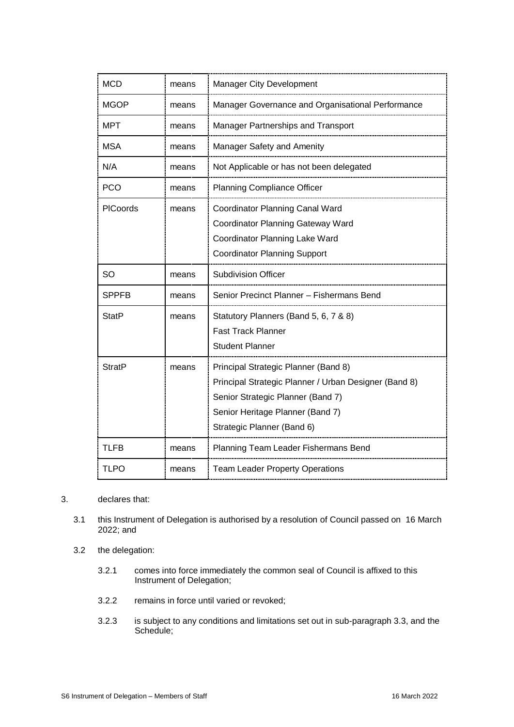| <b>MCD</b>    | means | Manager City Development                                                                                                                                                                             |
|---------------|-------|------------------------------------------------------------------------------------------------------------------------------------------------------------------------------------------------------|
| MGOP          | means | Manager Governance and Organisational Performance                                                                                                                                                    |
| <b>MPT</b>    | means | Manager Partnerships and Transport                                                                                                                                                                   |
| <b>MSA</b>    | means | Manager Safety and Amenity                                                                                                                                                                           |
| N/A           | means | Not Applicable or has not been delegated                                                                                                                                                             |
| <b>PCO</b>    | means | <b>Planning Compliance Officer</b>                                                                                                                                                                   |
| PICoords      | means | Coordinator Planning Canal Ward<br><b>Coordinator Planning Gateway Ward</b><br>Coordinator Planning Lake Ward<br><b>Coordinator Planning Support</b>                                                 |
| SO            | means | <b>Subdivision Officer</b>                                                                                                                                                                           |
| SPPFB         | means | Senior Precinct Planner - Fishermans Bend                                                                                                                                                            |
| StatP         | means | Statutory Planners (Band 5, 6, 7 & 8)<br><b>Fast Track Planner</b><br><b>Student Planner</b>                                                                                                         |
| <b>StratP</b> | means | Principal Strategic Planner (Band 8)<br>Principal Strategic Planner / Urban Designer (Band 8)<br>Senior Strategic Planner (Band 7)<br>Senior Heritage Planner (Band 7)<br>Strategic Planner (Band 6) |
| TLFB          | means | Planning Team Leader Fishermans Bend                                                                                                                                                                 |
| TLPO          | means | <b>Team Leader Property Operations</b>                                                                                                                                                               |

#### 3. declares that:

- 3.1 this Instrument of Delegation is authorised by a resolution of Council passed on 16 March 2022; and
- 3.2 the delegation:
	- 3.2.1 comes into force immediately the common seal of Council is affixed to this Instrument of Delegation;
	- 3.2.2 remains in force until varied or revoked;
	- 3.2.3 is subject to any conditions and limitations set out in sub-paragraph 3.3, and the Schedule;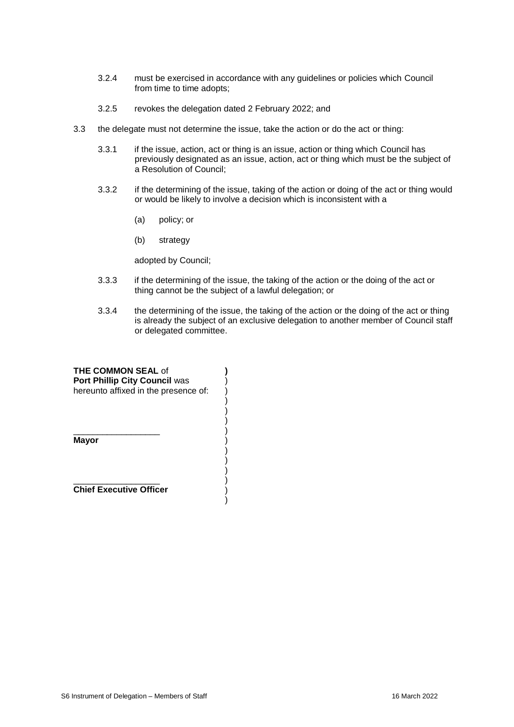- 3.2.4 must be exercised in accordance with any guidelines or policies which Council from time to time adopts;
- 3.2.5 revokes the delegation dated 2 February 2022; and
- 3.3 the delegate must not determine the issue, take the action or do the act or thing:
	- 3.3.1 if the issue, action, act or thing is an issue, action or thing which Council has previously designated as an issue, action, act or thing which must be the subject of a Resolution of Council;
	- 3.3.2 if the determining of the issue, taking of the action or doing of the act or thing would or would be likely to involve a decision which is inconsistent with a
		- (a) policy; or
		- (b) strategy

adopted by Council;

3.3.3 if the determining of the issue, the taking of the action or the doing of the act or thing cannot be the subject of a lawful delegation; or

)

3.3.4 the determining of the issue, the taking of the action or the doing of the act or thing is already the subject of an exclusive delegation to another member of Council staff or delegated committee.

| <b>THE COMMON SEAL of</b><br>Port Phillip City Council was |  |
|------------------------------------------------------------|--|
| hereunto affixed in the presence of:                       |  |
|                                                            |  |
| Mayor                                                      |  |
|                                                            |  |
| <b>Chief Executive Officer</b>                             |  |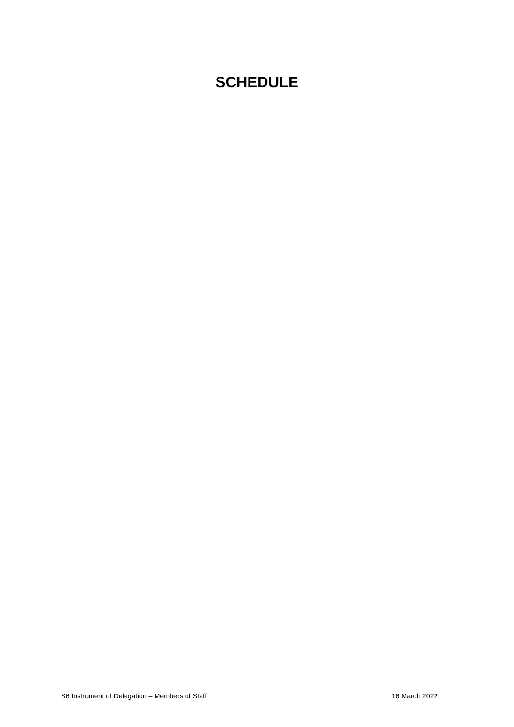## **SCHEDULE**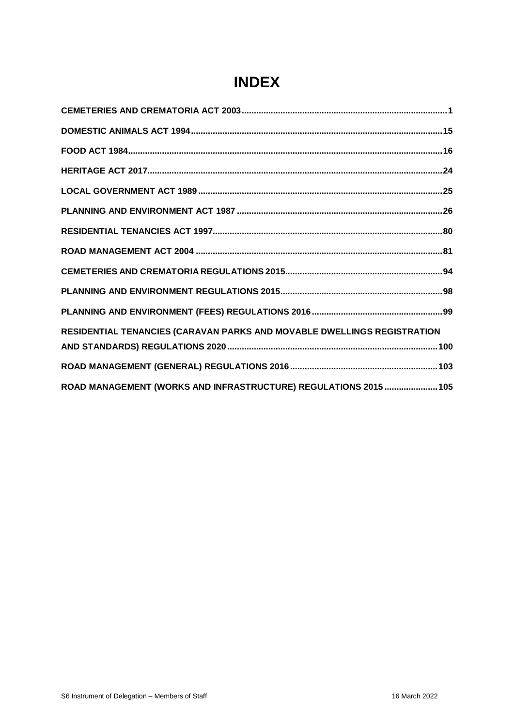| RESIDENTIAL TENANCIES (CARAVAN PARKS AND MOVABLE DWELLINGS REGISTRATION |
|-------------------------------------------------------------------------|
|                                                                         |
|                                                                         |
| ROAD MANAGEMENT (WORKS AND INFRASTRUCTURE) REGULATIONS 2015  105        |

## **INDEX**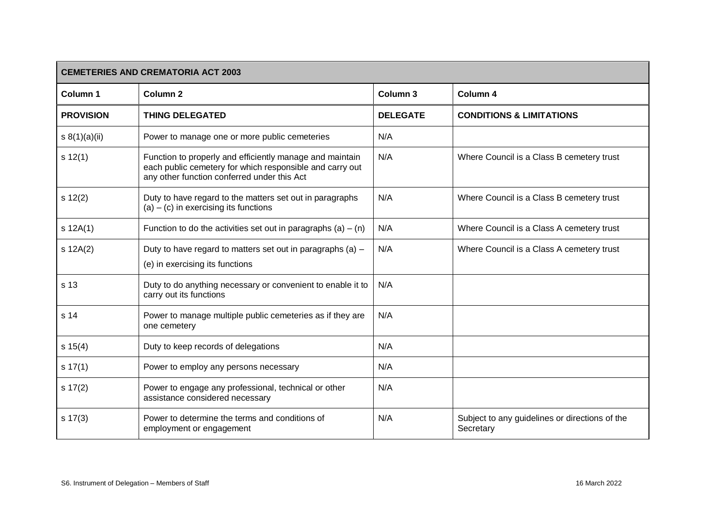<span id="page-6-0"></span>

| <b>CEMETERIES AND CREMATORIA ACT 2003</b> |                                                                                                                                                                     |                 |                                                             |
|-------------------------------------------|---------------------------------------------------------------------------------------------------------------------------------------------------------------------|-----------------|-------------------------------------------------------------|
| Column 1                                  | <b>Column 2</b>                                                                                                                                                     | Column 3        | Column 4                                                    |
| <b>PROVISION</b>                          | <b>THING DELEGATED</b>                                                                                                                                              | <b>DELEGATE</b> | <b>CONDITIONS &amp; LIMITATIONS</b>                         |
| s $8(1)(a)(ii)$                           | Power to manage one or more public cemeteries                                                                                                                       | N/A             |                                                             |
| s 12(1)                                   | Function to properly and efficiently manage and maintain<br>each public cemetery for which responsible and carry out<br>any other function conferred under this Act | N/A             | Where Council is a Class B cemetery trust                   |
| s 12(2)                                   | Duty to have regard to the matters set out in paragraphs<br>$(a) - (c)$ in exercising its functions                                                                 | N/A             | Where Council is a Class B cemetery trust                   |
| $s$ 12A(1)                                | Function to do the activities set out in paragraphs (a) – (n)                                                                                                       | N/A             | Where Council is a Class A cemetery trust                   |
| $s$ 12A(2)                                | Duty to have regard to matters set out in paragraphs (a) -<br>(e) in exercising its functions                                                                       | N/A             | Where Council is a Class A cemetery trust                   |
| s 13                                      | Duty to do anything necessary or convenient to enable it to<br>carry out its functions                                                                              | N/A             |                                                             |
| s 14                                      | Power to manage multiple public cemeteries as if they are<br>one cemetery                                                                                           | N/A             |                                                             |
| s 15(4)                                   | Duty to keep records of delegations                                                                                                                                 | N/A             |                                                             |
| s 17(1)                                   | Power to employ any persons necessary                                                                                                                               | N/A             |                                                             |
| $s \ 17(2)$                               | Power to engage any professional, technical or other<br>assistance considered necessary                                                                             | N/A             |                                                             |
| $s \ 17(3)$                               | Power to determine the terms and conditions of<br>employment or engagement                                                                                          | N/A             | Subject to any guidelines or directions of the<br>Secretary |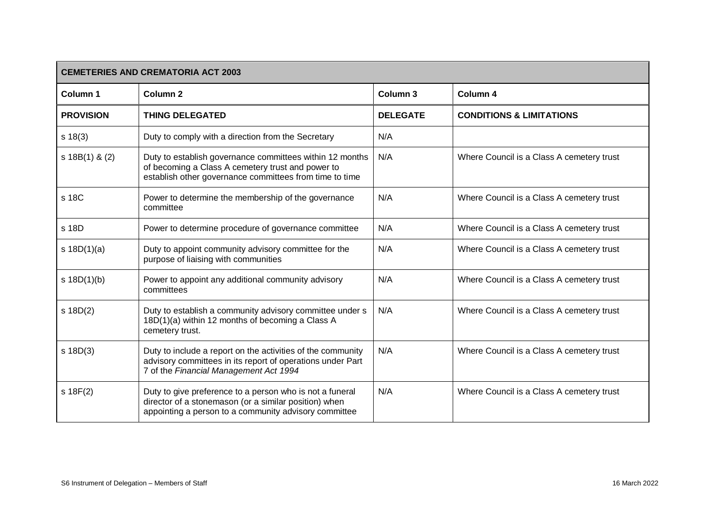| <b>CEMETERIES AND CREMATORIA ACT 2003</b> |                                                                                                                                                                            |                 |                                           |
|-------------------------------------------|----------------------------------------------------------------------------------------------------------------------------------------------------------------------------|-----------------|-------------------------------------------|
| Column 1                                  | Column <sub>2</sub>                                                                                                                                                        | Column 3        | Column 4                                  |
| <b>PROVISION</b>                          | <b>THING DELEGATED</b>                                                                                                                                                     | <b>DELEGATE</b> | <b>CONDITIONS &amp; LIMITATIONS</b>       |
| $s \ 18(3)$                               | Duty to comply with a direction from the Secretary                                                                                                                         | N/A             |                                           |
| $s$ 18B(1) & (2)                          | Duty to establish governance committees within 12 months<br>of becoming a Class A cemetery trust and power to<br>establish other governance committees from time to time   | N/A             | Where Council is a Class A cemetery trust |
| s 18C                                     | Power to determine the membership of the governance<br>committee                                                                                                           | N/A             | Where Council is a Class A cemetery trust |
| s 18D                                     | Power to determine procedure of governance committee                                                                                                                       | N/A             | Where Council is a Class A cemetery trust |
| s $18D(1)(a)$                             | Duty to appoint community advisory committee for the<br>purpose of liaising with communities                                                                               | N/A             | Where Council is a Class A cemetery trust |
| s 18D(1)(b)                               | Power to appoint any additional community advisory<br>committees                                                                                                           | N/A             | Where Council is a Class A cemetery trust |
| $s$ 18D(2)                                | Duty to establish a community advisory committee under s<br>18D(1)(a) within 12 months of becoming a Class A<br>cemetery trust.                                            | N/A             | Where Council is a Class A cemetery trust |
| $s$ 18D(3)                                | Duty to include a report on the activities of the community<br>advisory committees in its report of operations under Part<br>7 of the Financial Management Act 1994        | N/A             | Where Council is a Class A cemetery trust |
| s 18F(2)                                  | Duty to give preference to a person who is not a funeral<br>director of a stonemason (or a similar position) when<br>appointing a person to a community advisory committee | N/A             | Where Council is a Class A cemetery trust |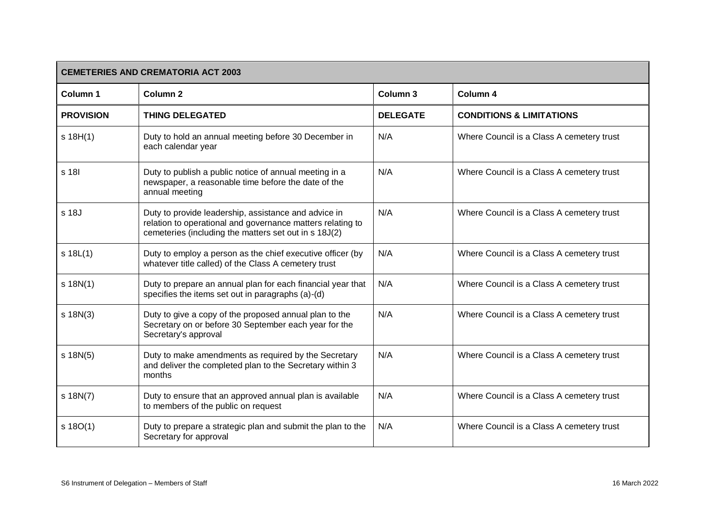| <b>CEMETERIES AND CREMATORIA ACT 2003</b> |                                                                                                                                                                             |                 |                                           |  |
|-------------------------------------------|-----------------------------------------------------------------------------------------------------------------------------------------------------------------------------|-----------------|-------------------------------------------|--|
| Column 1                                  | <b>Column 2</b>                                                                                                                                                             | Column 3        | Column 4                                  |  |
| <b>PROVISION</b>                          | <b>THING DELEGATED</b>                                                                                                                                                      | <b>DELEGATE</b> | <b>CONDITIONS &amp; LIMITATIONS</b>       |  |
| s 18H(1)                                  | Duty to hold an annual meeting before 30 December in<br>each calendar year                                                                                                  | N/A             | Where Council is a Class A cemetery trust |  |
| s 18I                                     | Duty to publish a public notice of annual meeting in a<br>newspaper, a reasonable time before the date of the<br>annual meeting                                             | N/A             | Where Council is a Class A cemetery trust |  |
| s 18J                                     | Duty to provide leadership, assistance and advice in<br>relation to operational and governance matters relating to<br>cemeteries (including the matters set out in s 18J(2) | N/A             | Where Council is a Class A cemetery trust |  |
| $s$ 18L $(1)$                             | Duty to employ a person as the chief executive officer (by<br>whatever title called) of the Class A cemetery trust                                                          | N/A             | Where Council is a Class A cemetery trust |  |
| $s$ 18N(1)                                | Duty to prepare an annual plan for each financial year that<br>specifies the items set out in paragraphs (a)-(d)                                                            | N/A             | Where Council is a Class A cemetery trust |  |
| $s$ 18N(3)                                | Duty to give a copy of the proposed annual plan to the<br>Secretary on or before 30 September each year for the<br>Secretary's approval                                     | N/A             | Where Council is a Class A cemetery trust |  |
| $s$ 18N(5)                                | Duty to make amendments as required by the Secretary<br>and deliver the completed plan to the Secretary within 3<br>months                                                  | N/A             | Where Council is a Class A cemetery trust |  |
| $s$ 18N(7)                                | Duty to ensure that an approved annual plan is available<br>to members of the public on request                                                                             | N/A             | Where Council is a Class A cemetery trust |  |
| s 18O(1)                                  | Duty to prepare a strategic plan and submit the plan to the<br>Secretary for approval                                                                                       | N/A             | Where Council is a Class A cemetery trust |  |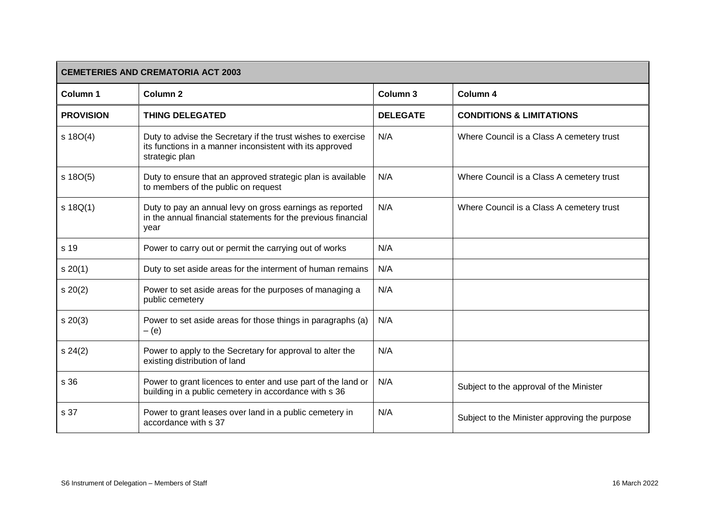| <b>CEMETERIES AND CREMATORIA ACT 2003</b> |                                                                                                                                            |                     |                                               |  |
|-------------------------------------------|--------------------------------------------------------------------------------------------------------------------------------------------|---------------------|-----------------------------------------------|--|
| Column 1                                  | Column <sub>2</sub>                                                                                                                        | Column <sub>3</sub> | Column 4                                      |  |
| <b>PROVISION</b>                          | <b>THING DELEGATED</b>                                                                                                                     | <b>DELEGATE</b>     | <b>CONDITIONS &amp; LIMITATIONS</b>           |  |
| s 18O(4)                                  | Duty to advise the Secretary if the trust wishes to exercise<br>its functions in a manner inconsistent with its approved<br>strategic plan | N/A                 | Where Council is a Class A cemetery trust     |  |
| $s$ 18O(5)                                | Duty to ensure that an approved strategic plan is available<br>to members of the public on request                                         | N/A                 | Where Council is a Class A cemetery trust     |  |
| $s$ 18Q(1)                                | Duty to pay an annual levy on gross earnings as reported<br>in the annual financial statements for the previous financial<br>year          | N/A                 | Where Council is a Class A cemetery trust     |  |
| s 19                                      | Power to carry out or permit the carrying out of works                                                                                     | N/A                 |                                               |  |
| s 20(1)                                   | Duty to set aside areas for the interment of human remains                                                                                 | N/A                 |                                               |  |
| s 20(2)                                   | Power to set aside areas for the purposes of managing a<br>public cemetery                                                                 | N/A                 |                                               |  |
| $s \ 20(3)$                               | Power to set aside areas for those things in paragraphs (a)<br>$-$ (e)                                                                     | N/A                 |                                               |  |
| s 24(2)                                   | Power to apply to the Secretary for approval to alter the<br>existing distribution of land                                                 | N/A                 |                                               |  |
| s 36                                      | Power to grant licences to enter and use part of the land or<br>building in a public cemetery in accordance with s 36                      | N/A                 | Subject to the approval of the Minister       |  |
| s 37                                      | Power to grant leases over land in a public cemetery in<br>accordance with s 37                                                            | N/A                 | Subject to the Minister approving the purpose |  |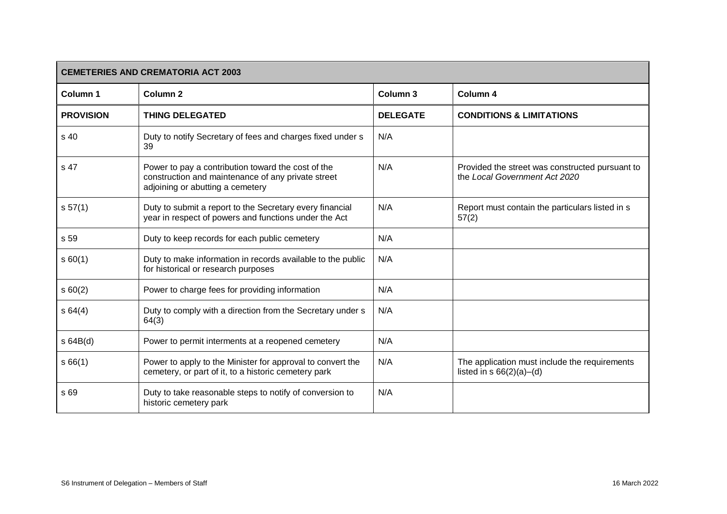| <b>CEMETERIES AND CREMATORIA ACT 2003</b> |                                                                                                                                              |                 |                                                                                  |
|-------------------------------------------|----------------------------------------------------------------------------------------------------------------------------------------------|-----------------|----------------------------------------------------------------------------------|
| Column <sub>1</sub>                       | <b>Column 2</b>                                                                                                                              | Column 3        | Column 4                                                                         |
| <b>PROVISION</b>                          | <b>THING DELEGATED</b>                                                                                                                       | <b>DELEGATE</b> | <b>CONDITIONS &amp; LIMITATIONS</b>                                              |
| s 40                                      | Duty to notify Secretary of fees and charges fixed under s<br>39                                                                             | N/A             |                                                                                  |
| s 47                                      | Power to pay a contribution toward the cost of the<br>construction and maintenance of any private street<br>adjoining or abutting a cemetery | N/A             | Provided the street was constructed pursuant to<br>the Local Government Act 2020 |
| s 57(1)                                   | Duty to submit a report to the Secretary every financial<br>year in respect of powers and functions under the Act                            | N/A             | Report must contain the particulars listed in s<br>57(2)                         |
| s 59                                      | Duty to keep records for each public cemetery                                                                                                | N/A             |                                                                                  |
| s 60(1)                                   | Duty to make information in records available to the public<br>for historical or research purposes                                           | N/A             |                                                                                  |
| s 60(2)                                   | Power to charge fees for providing information                                                                                               | N/A             |                                                                                  |
| s64(4)                                    | Duty to comply with a direction from the Secretary under s<br>64(3)                                                                          | N/A             |                                                                                  |
| s64B(d)                                   | Power to permit interments at a reopened cemetery                                                                                            | N/A             |                                                                                  |
| s66(1)                                    | Power to apply to the Minister for approval to convert the<br>cemetery, or part of it, to a historic cemetery park                           | N/A             | The application must include the requirements<br>listed in $s$ 66(2)(a)–(d)      |
| s 69                                      | Duty to take reasonable steps to notify of conversion to<br>historic cemetery park                                                           | N/A             |                                                                                  |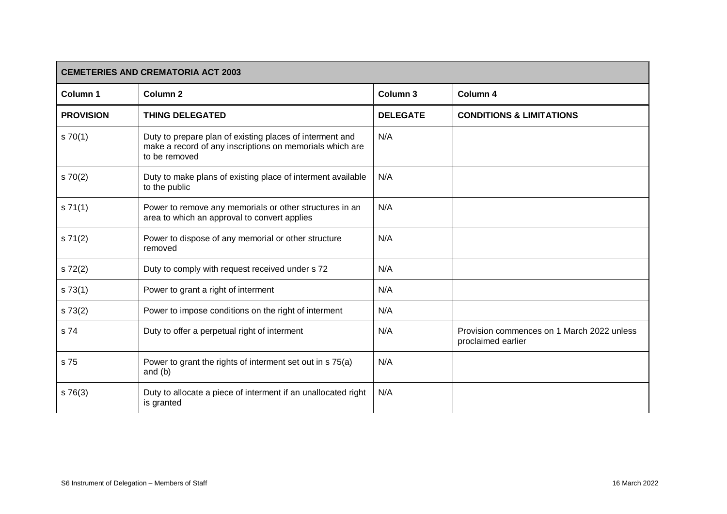| <b>CEMETERIES AND CREMATORIA ACT 2003</b> |                                                                                                                                       |                 |                                                                  |
|-------------------------------------------|---------------------------------------------------------------------------------------------------------------------------------------|-----------------|------------------------------------------------------------------|
| <b>Column 1</b>                           | <b>Column 2</b>                                                                                                                       | Column 3        | Column 4                                                         |
| <b>PROVISION</b>                          | <b>THING DELEGATED</b>                                                                                                                | <b>DELEGATE</b> | <b>CONDITIONS &amp; LIMITATIONS</b>                              |
| $s \, 70(1)$                              | Duty to prepare plan of existing places of interment and<br>make a record of any inscriptions on memorials which are<br>to be removed | N/A             |                                                                  |
| 570(2)                                    | Duty to make plans of existing place of interment available<br>to the public                                                          | N/A             |                                                                  |
| s 71(1)                                   | Power to remove any memorials or other structures in an<br>area to which an approval to convert applies                               | N/A             |                                                                  |
| s 71(2)                                   | Power to dispose of any memorial or other structure<br>removed                                                                        | N/A             |                                                                  |
| s 72(2)                                   | Duty to comply with request received under s 72                                                                                       | N/A             |                                                                  |
| s 73(1)                                   | Power to grant a right of interment                                                                                                   | N/A             |                                                                  |
| s 73(2)                                   | Power to impose conditions on the right of interment                                                                                  | N/A             |                                                                  |
| s 74                                      | Duty to offer a perpetual right of interment                                                                                          | N/A             | Provision commences on 1 March 2022 unless<br>proclaimed earlier |
| s 75                                      | Power to grant the rights of interment set out in s 75(a)<br>and $(b)$                                                                | N/A             |                                                                  |
| s76(3)                                    | Duty to allocate a piece of interment if an unallocated right<br>is granted                                                           | N/A             |                                                                  |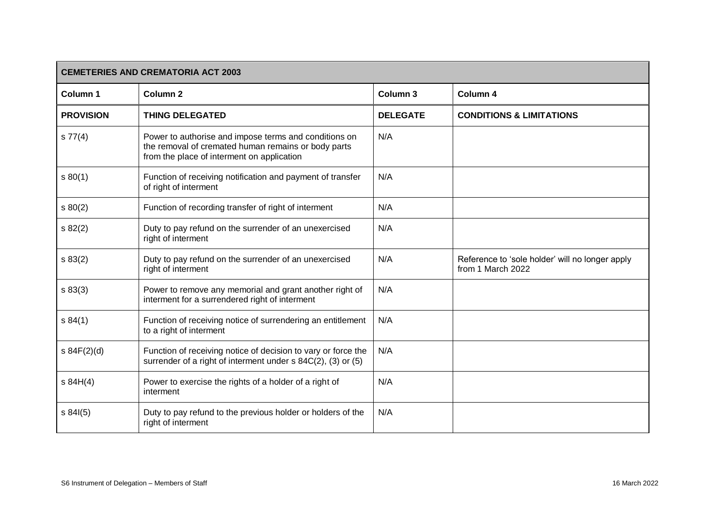| <b>CEMETERIES AND CREMATORIA ACT 2003</b> |                                                                                                                                                            |                 |                                                                      |
|-------------------------------------------|------------------------------------------------------------------------------------------------------------------------------------------------------------|-----------------|----------------------------------------------------------------------|
| Column 1                                  | <b>Column 2</b>                                                                                                                                            | Column 3        | Column 4                                                             |
| <b>PROVISION</b>                          | <b>THING DELEGATED</b>                                                                                                                                     | <b>DELEGATE</b> | <b>CONDITIONS &amp; LIMITATIONS</b>                                  |
| s 77(4)                                   | Power to authorise and impose terms and conditions on<br>the removal of cremated human remains or body parts<br>from the place of interment on application | N/A             |                                                                      |
| s 80(1)                                   | Function of receiving notification and payment of transfer<br>of right of interment                                                                        | N/A             |                                                                      |
| \$80(2)                                   | Function of recording transfer of right of interment                                                                                                       | N/A             |                                                                      |
| s 82(2)                                   | Duty to pay refund on the surrender of an unexercised<br>right of interment                                                                                | N/A             |                                                                      |
| s 83(2)                                   | Duty to pay refund on the surrender of an unexercised<br>right of interment                                                                                | N/A             | Reference to 'sole holder' will no longer apply<br>from 1 March 2022 |
| s 83(3)                                   | Power to remove any memorial and grant another right of<br>interment for a surrendered right of interment                                                  | N/A             |                                                                      |
| s 84(1)                                   | Function of receiving notice of surrendering an entitlement<br>to a right of interment                                                                     | N/A             |                                                                      |
| s 84F(2)(d)                               | Function of receiving notice of decision to vary or force the<br>surrender of a right of interment under s 84C(2), (3) or (5)                              | N/A             |                                                                      |
| s 84H(4)                                  | Power to exercise the rights of a holder of a right of<br>interment                                                                                        | N/A             |                                                                      |
| s 84(5)                                   | Duty to pay refund to the previous holder or holders of the<br>right of interment                                                                          | N/A             |                                                                      |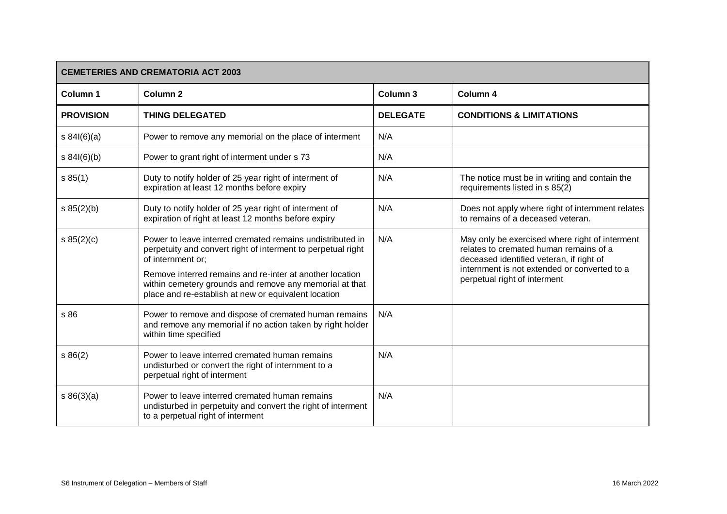| <b>CEMETERIES AND CREMATORIA ACT 2003</b> |                                                                                                                                                                                                                                                                                                                               |                     |                                                                                                                                                                                                                      |
|-------------------------------------------|-------------------------------------------------------------------------------------------------------------------------------------------------------------------------------------------------------------------------------------------------------------------------------------------------------------------------------|---------------------|----------------------------------------------------------------------------------------------------------------------------------------------------------------------------------------------------------------------|
| Column 1                                  | <b>Column 2</b>                                                                                                                                                                                                                                                                                                               | Column <sub>3</sub> | <b>Column 4</b>                                                                                                                                                                                                      |
| <b>PROVISION</b>                          | <b>THING DELEGATED</b>                                                                                                                                                                                                                                                                                                        | <b>DELEGATE</b>     | <b>CONDITIONS &amp; LIMITATIONS</b>                                                                                                                                                                                  |
| s 84I(6)(a)                               | Power to remove any memorial on the place of interment                                                                                                                                                                                                                                                                        | N/A                 |                                                                                                                                                                                                                      |
| s 84I(6)(b)                               | Power to grant right of interment under s 73                                                                                                                                                                                                                                                                                  | N/A                 |                                                                                                                                                                                                                      |
| s 85(1)                                   | Duty to notify holder of 25 year right of interment of<br>expiration at least 12 months before expiry                                                                                                                                                                                                                         | N/A                 | The notice must be in writing and contain the<br>requirements listed in s 85(2)                                                                                                                                      |
| s 85(2)(b)                                | Duty to notify holder of 25 year right of interment of<br>expiration of right at least 12 months before expiry                                                                                                                                                                                                                | N/A                 | Does not apply where right of internment relates<br>to remains of a deceased veteran.                                                                                                                                |
| s 85(2)(c)                                | Power to leave interred cremated remains undistributed in<br>perpetuity and convert right of interment to perpetual right<br>of internment or;<br>Remove interred remains and re-inter at another location<br>within cemetery grounds and remove any memorial at that<br>place and re-establish at new or equivalent location | N/A                 | May only be exercised where right of interment<br>relates to cremated human remains of a<br>deceased identified veteran, if right of<br>internment is not extended or converted to a<br>perpetual right of interment |
| s 86                                      | Power to remove and dispose of cremated human remains<br>and remove any memorial if no action taken by right holder<br>within time specified                                                                                                                                                                                  | N/A                 |                                                                                                                                                                                                                      |
| s 86(2)                                   | Power to leave interred cremated human remains<br>undisturbed or convert the right of internment to a<br>perpetual right of interment                                                                                                                                                                                         | N/A                 |                                                                                                                                                                                                                      |
| s 86(3)(a)                                | Power to leave interred cremated human remains<br>undisturbed in perpetuity and convert the right of interment<br>to a perpetual right of interment                                                                                                                                                                           | N/A                 |                                                                                                                                                                                                                      |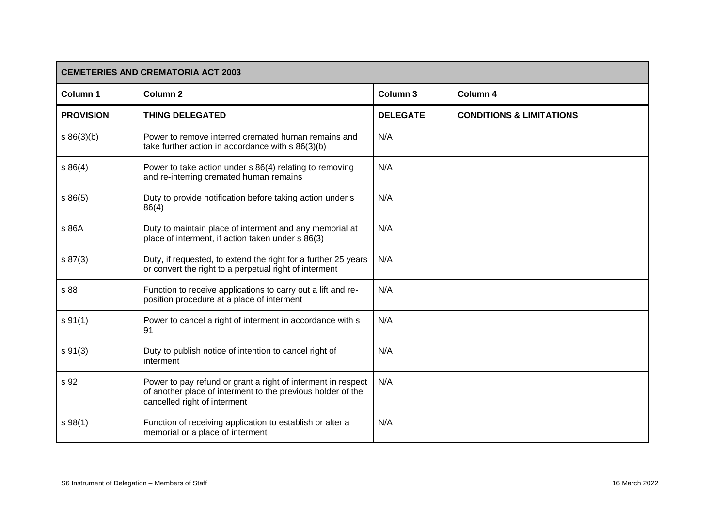| <b>CEMETERIES AND CREMATORIA ACT 2003</b> |                                                                                                                                                             |                     |                                     |
|-------------------------------------------|-------------------------------------------------------------------------------------------------------------------------------------------------------------|---------------------|-------------------------------------|
| Column 1                                  | Column <sub>2</sub>                                                                                                                                         | Column <sub>3</sub> | Column 4                            |
| <b>PROVISION</b>                          | <b>THING DELEGATED</b>                                                                                                                                      | <b>DELEGATE</b>     | <b>CONDITIONS &amp; LIMITATIONS</b> |
| s 86(3)(b)                                | Power to remove interred cremated human remains and<br>take further action in accordance with s 86(3)(b)                                                    | N/A                 |                                     |
| s 86(4)                                   | Power to take action under s 86(4) relating to removing<br>and re-interring cremated human remains                                                          | N/A                 |                                     |
| s86(5)                                    | Duty to provide notification before taking action under s<br>86(4)                                                                                          | N/A                 |                                     |
| s 86A                                     | Duty to maintain place of interment and any memorial at<br>place of interment, if action taken under s 86(3)                                                | N/A                 |                                     |
| s 87(3)                                   | Duty, if requested, to extend the right for a further 25 years<br>or convert the right to a perpetual right of interment                                    | N/A                 |                                     |
| s 88                                      | Function to receive applications to carry out a lift and re-<br>position procedure at a place of interment                                                  | N/A                 |                                     |
| s 91(1)                                   | Power to cancel a right of interment in accordance with s<br>91                                                                                             | N/A                 |                                     |
| $s \, 91(3)$                              | Duty to publish notice of intention to cancel right of<br>interment                                                                                         | N/A                 |                                     |
| s 92                                      | Power to pay refund or grant a right of interment in respect<br>of another place of interment to the previous holder of the<br>cancelled right of interment | N/A                 |                                     |
| s 98(1)                                   | Function of receiving application to establish or alter a<br>memorial or a place of interment                                                               | N/A                 |                                     |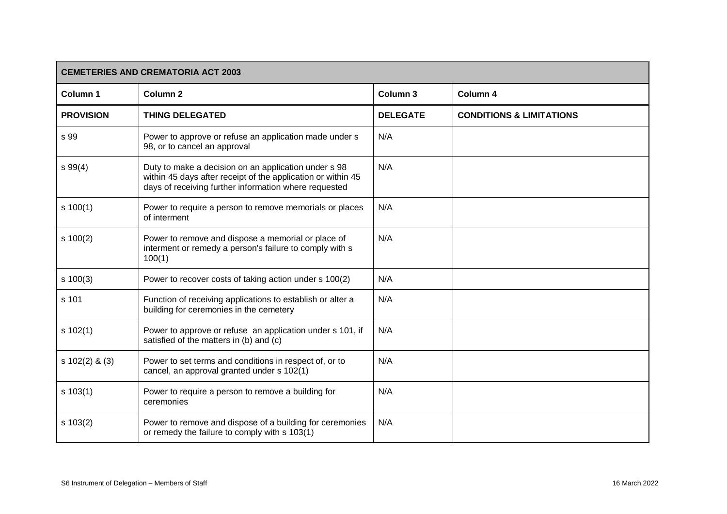| <b>CEMETERIES AND CREMATORIA ACT 2003</b> |                                                                                                                                                                               |                     |                                     |
|-------------------------------------------|-------------------------------------------------------------------------------------------------------------------------------------------------------------------------------|---------------------|-------------------------------------|
| Column 1                                  | Column <sub>2</sub>                                                                                                                                                           | Column <sub>3</sub> | Column 4                            |
| <b>PROVISION</b>                          | <b>THING DELEGATED</b>                                                                                                                                                        | <b>DELEGATE</b>     | <b>CONDITIONS &amp; LIMITATIONS</b> |
| s 99                                      | Power to approve or refuse an application made under s<br>98, or to cancel an approval                                                                                        | N/A                 |                                     |
| s 99(4)                                   | Duty to make a decision on an application under s 98<br>within 45 days after receipt of the application or within 45<br>days of receiving further information where requested | N/A                 |                                     |
| s 100(1)                                  | Power to require a person to remove memorials or places<br>of interment                                                                                                       | N/A                 |                                     |
| s 100(2)                                  | Power to remove and dispose a memorial or place of<br>interment or remedy a person's failure to comply with s<br>100(1)                                                       | N/A                 |                                     |
| $s \ 100(3)$                              | Power to recover costs of taking action under s 100(2)                                                                                                                        | N/A                 |                                     |
| s 101                                     | Function of receiving applications to establish or alter a<br>building for ceremonies in the cemetery                                                                         | N/A                 |                                     |
| s 102(1)                                  | Power to approve or refuse an application under s 101, if<br>satisfied of the matters in (b) and (c)                                                                          | N/A                 |                                     |
| $s 102(2)$ & (3)                          | Power to set terms and conditions in respect of, or to<br>cancel, an approval granted under s 102(1)                                                                          | N/A                 |                                     |
| s 103(1)                                  | Power to require a person to remove a building for<br>ceremonies                                                                                                              | N/A                 |                                     |
| $s \ 103(2)$                              | Power to remove and dispose of a building for ceremonies<br>or remedy the failure to comply with s 103(1)                                                                     | N/A                 |                                     |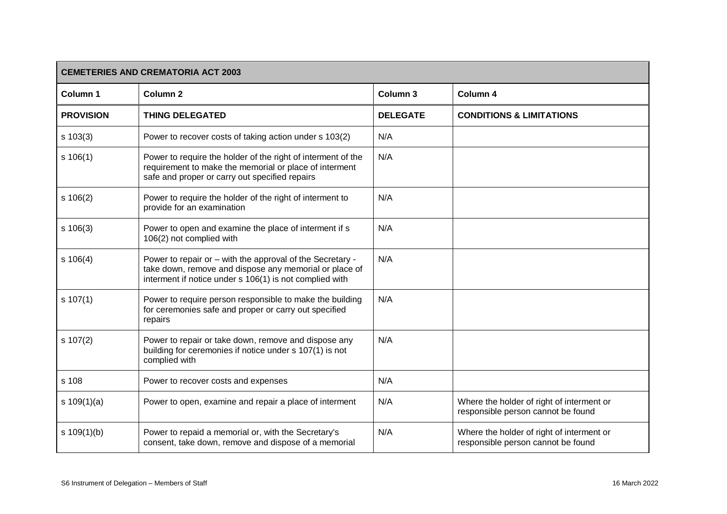| <b>CEMETERIES AND CREMATORIA ACT 2003</b> |                                                                                                                                                                                |                 |                                                                                 |
|-------------------------------------------|--------------------------------------------------------------------------------------------------------------------------------------------------------------------------------|-----------------|---------------------------------------------------------------------------------|
| Column 1                                  | Column <sub>2</sub>                                                                                                                                                            | Column 3        | Column 4                                                                        |
| <b>PROVISION</b>                          | <b>THING DELEGATED</b>                                                                                                                                                         | <b>DELEGATE</b> | <b>CONDITIONS &amp; LIMITATIONS</b>                                             |
| $s \ 103(3)$                              | Power to recover costs of taking action under s 103(2)                                                                                                                         | N/A             |                                                                                 |
| s 106(1)                                  | Power to require the holder of the right of interment of the<br>requirement to make the memorial or place of interment<br>safe and proper or carry out specified repairs       | N/A             |                                                                                 |
| s 106(2)                                  | Power to require the holder of the right of interment to<br>provide for an examination                                                                                         | N/A             |                                                                                 |
| s 106(3)                                  | Power to open and examine the place of interment if s<br>106(2) not complied with                                                                                              | N/A             |                                                                                 |
| s 106(4)                                  | Power to repair or - with the approval of the Secretary -<br>take down, remove and dispose any memorial or place of<br>interment if notice under s 106(1) is not complied with | N/A             |                                                                                 |
| s 107(1)                                  | Power to require person responsible to make the building<br>for ceremonies safe and proper or carry out specified<br>repairs                                                   | N/A             |                                                                                 |
| s 107(2)                                  | Power to repair or take down, remove and dispose any<br>building for ceremonies if notice under s 107(1) is not<br>complied with                                               | N/A             |                                                                                 |
| s 108                                     | Power to recover costs and expenses                                                                                                                                            | N/A             |                                                                                 |
| s $109(1)(a)$                             | Power to open, examine and repair a place of interment                                                                                                                         | N/A             | Where the holder of right of interment or<br>responsible person cannot be found |
| s $109(1)(b)$                             | Power to repaid a memorial or, with the Secretary's<br>consent, take down, remove and dispose of a memorial                                                                    | N/A             | Where the holder of right of interment or<br>responsible person cannot be found |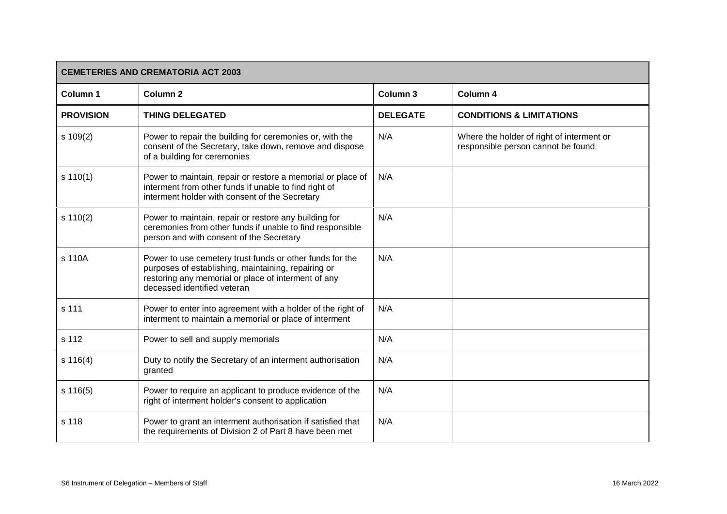| <b>CEMETERIES AND CREMATORIA ACT 2003</b> |                                                                                                                                                                                                       |                 |                                                                                 |
|-------------------------------------------|-------------------------------------------------------------------------------------------------------------------------------------------------------------------------------------------------------|-----------------|---------------------------------------------------------------------------------|
| Column 1                                  | <b>Column 2</b>                                                                                                                                                                                       | Column 3        | Column 4                                                                        |
| <b>PROVISION</b>                          | <b>THING DELEGATED</b>                                                                                                                                                                                | <b>DELEGATE</b> | <b>CONDITIONS &amp; LIMITATIONS</b>                                             |
| s 109(2)                                  | Power to repair the building for ceremonies or, with the<br>consent of the Secretary, take down, remove and dispose<br>of a building for ceremonies                                                   | N/A             | Where the holder of right of interment or<br>responsible person cannot be found |
| s 110(1)                                  | Power to maintain, repair or restore a memorial or place of<br>interment from other funds if unable to find right of<br>interment holder with consent of the Secretary                                | N/A             |                                                                                 |
| s 110(2)                                  | Power to maintain, repair or restore any building for<br>ceremonies from other funds if unable to find responsible<br>person and with consent of the Secretary                                        | N/A             |                                                                                 |
| s 110A                                    | Power to use cemetery trust funds or other funds for the<br>purposes of establishing, maintaining, repairing or<br>restoring any memorial or place of interment of any<br>deceased identified veteran | N/A             |                                                                                 |
| s 111                                     | Power to enter into agreement with a holder of the right of<br>interment to maintain a memorial or place of interment                                                                                 | N/A             |                                                                                 |
| s 112                                     | Power to sell and supply memorials                                                                                                                                                                    | N/A             |                                                                                 |
| s 116(4)                                  | Duty to notify the Secretary of an interment authorisation<br>granted                                                                                                                                 | N/A             |                                                                                 |
| s 116(5)                                  | Power to require an applicant to produce evidence of the<br>right of interment holder's consent to application                                                                                        | N/A             |                                                                                 |
| s 118                                     | Power to grant an interment authorisation if satisfied that<br>the requirements of Division 2 of Part 8 have been met                                                                                 | N/A             |                                                                                 |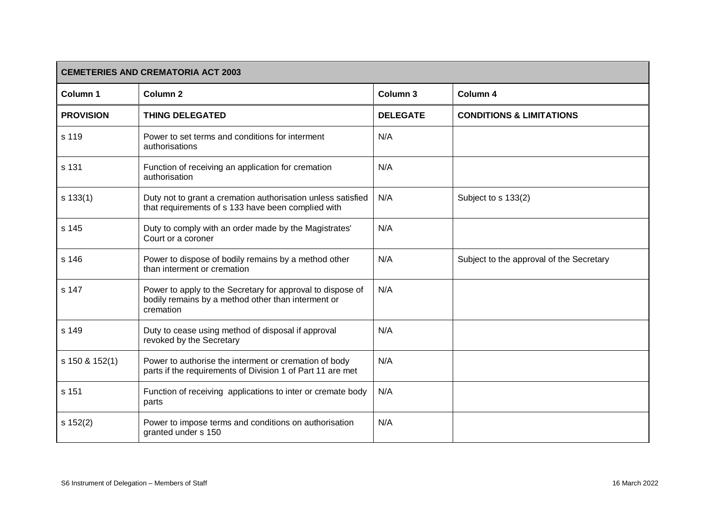| <b>CEMETERIES AND CREMATORIA ACT 2003</b> |                                                                                                                               |                     |                                          |
|-------------------------------------------|-------------------------------------------------------------------------------------------------------------------------------|---------------------|------------------------------------------|
| Column 1                                  | <b>Column 2</b>                                                                                                               | Column <sub>3</sub> | Column 4                                 |
| <b>PROVISION</b>                          | <b>THING DELEGATED</b>                                                                                                        | <b>DELEGATE</b>     | <b>CONDITIONS &amp; LIMITATIONS</b>      |
| s 119                                     | Power to set terms and conditions for interment<br>authorisations                                                             | N/A                 |                                          |
| s 131                                     | Function of receiving an application for cremation<br>authorisation                                                           | N/A                 |                                          |
| s 133(1)                                  | Duty not to grant a cremation authorisation unless satisfied<br>that requirements of s 133 have been complied with            | N/A                 | Subject to s 133(2)                      |
| s 145                                     | Duty to comply with an order made by the Magistrates'<br>Court or a coroner                                                   | N/A                 |                                          |
| s 146                                     | Power to dispose of bodily remains by a method other<br>than interment or cremation                                           | N/A                 | Subject to the approval of the Secretary |
| s 147                                     | Power to apply to the Secretary for approval to dispose of<br>bodily remains by a method other than interment or<br>cremation | N/A                 |                                          |
| s 149                                     | Duty to cease using method of disposal if approval<br>revoked by the Secretary                                                | N/A                 |                                          |
| s 150 & 152(1)                            | Power to authorise the interment or cremation of body<br>parts if the requirements of Division 1 of Part 11 are met           | N/A                 |                                          |
| s 151                                     | Function of receiving applications to inter or cremate body<br>parts                                                          | N/A                 |                                          |
| s 152(2)                                  | Power to impose terms and conditions on authorisation<br>granted under s 150                                                  | N/A                 |                                          |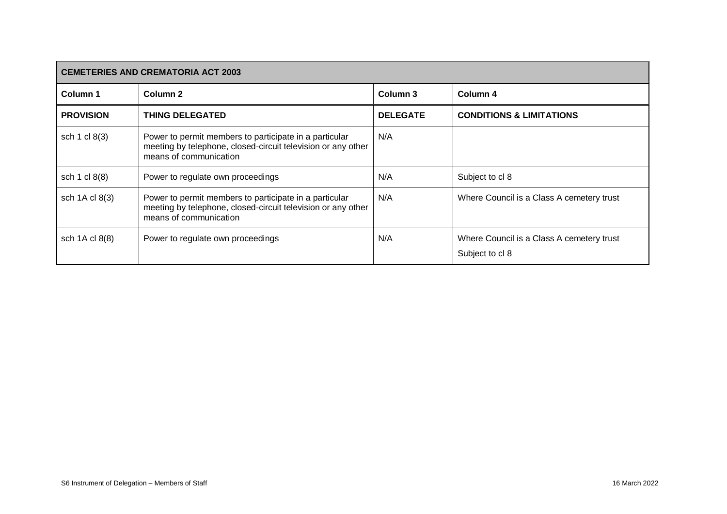| <b>CEMETERIES AND CREMATORIA ACT 2003</b> |                                                                                                                                                  |                 |                                                              |
|-------------------------------------------|--------------------------------------------------------------------------------------------------------------------------------------------------|-----------------|--------------------------------------------------------------|
| Column <sub>1</sub>                       | Column 2                                                                                                                                         | Column 3        | Column 4                                                     |
| <b>PROVISION</b>                          | <b>THING DELEGATED</b>                                                                                                                           | <b>DELEGATE</b> | <b>CONDITIONS &amp; LIMITATIONS</b>                          |
| sch 1 cl 8(3)                             | Power to permit members to participate in a particular<br>meeting by telephone, closed-circuit television or any other<br>means of communication | N/A             |                                                              |
| sch 1 cl 8(8)                             | Power to regulate own proceedings                                                                                                                | N/A             | Subject to cl 8                                              |
| sch 1A cl 8(3)                            | Power to permit members to participate in a particular<br>meeting by telephone, closed-circuit television or any other<br>means of communication | N/A             | Where Council is a Class A cemetery trust                    |
| sch 1A cl 8(8)                            | Power to regulate own proceedings                                                                                                                | N/A             | Where Council is a Class A cemetery trust<br>Subject to cl 8 |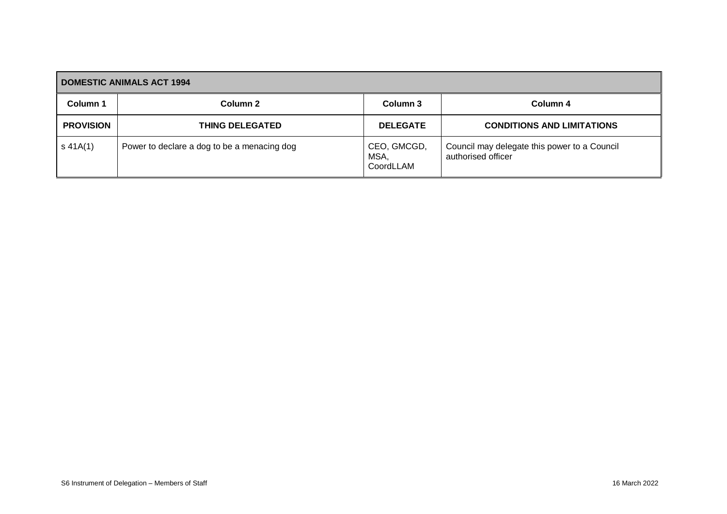<span id="page-20-0"></span>

| <b>DOMESTIC ANIMALS ACT 1994</b> |                                             |                                  |                                                                    |  |
|----------------------------------|---------------------------------------------|----------------------------------|--------------------------------------------------------------------|--|
| Column 1                         | Column 2                                    | Column 3                         | Column 4                                                           |  |
| <b>PROVISION</b>                 | <b>THING DELEGATED</b>                      | <b>DELEGATE</b>                  | <b>CONDITIONS AND LIMITATIONS</b>                                  |  |
| $s$ 41A(1)                       | Power to declare a dog to be a menacing dog | CEO, GMCGD,<br>MSA,<br>CoordLLAM | Council may delegate this power to a Council<br>authorised officer |  |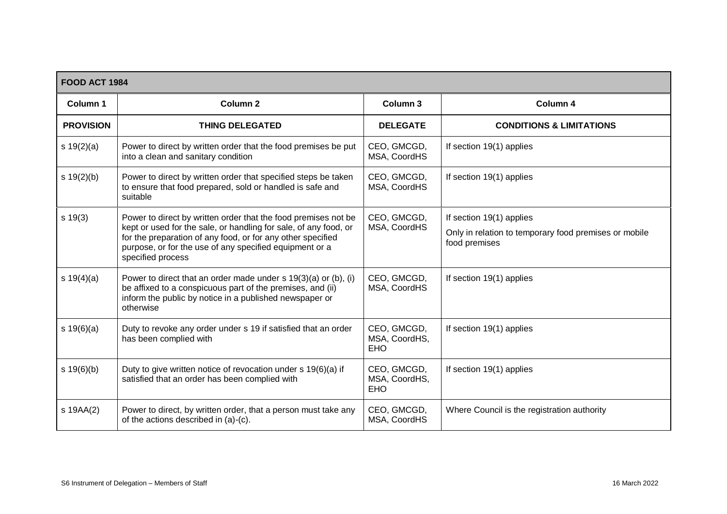<span id="page-21-0"></span>

| <b>FOOD ACT 1984</b> |                                                                                                                                                                                                                                                                                   |                                            |                                                                                                    |  |
|----------------------|-----------------------------------------------------------------------------------------------------------------------------------------------------------------------------------------------------------------------------------------------------------------------------------|--------------------------------------------|----------------------------------------------------------------------------------------------------|--|
| Column 1             | Column <sub>2</sub>                                                                                                                                                                                                                                                               | Column 3                                   | Column 4                                                                                           |  |
| <b>PROVISION</b>     | <b>THING DELEGATED</b>                                                                                                                                                                                                                                                            | <b>DELEGATE</b>                            | <b>CONDITIONS &amp; LIMITATIONS</b>                                                                |  |
| s $19(2)(a)$         | Power to direct by written order that the food premises be put<br>into a clean and sanitary condition                                                                                                                                                                             | CEO, GMCGD,<br>MSA, CoordHS                | If section 19(1) applies                                                                           |  |
| s 19(2)(b)           | Power to direct by written order that specified steps be taken<br>to ensure that food prepared, sold or handled is safe and<br>suitable                                                                                                                                           | CEO, GMCGD,<br>MSA, CoordHS                | If section 19(1) applies                                                                           |  |
| s 19(3)              | Power to direct by written order that the food premises not be<br>kept or used for the sale, or handling for sale, of any food, or<br>for the preparation of any food, or for any other specified<br>purpose, or for the use of any specified equipment or a<br>specified process | CEO, GMCGD,<br>MSA, CoordHS                | If section 19(1) applies<br>Only in relation to temporary food premises or mobile<br>food premises |  |
| s $19(4)(a)$         | Power to direct that an order made under $s$ 19(3)(a) or (b), (i)<br>be affixed to a conspicuous part of the premises, and (ii)<br>inform the public by notice in a published newspaper or<br>otherwise                                                                           | CEO, GMCGD,<br>MSA, CoordHS                | If section 19(1) applies                                                                           |  |
| s 19(6)(a)           | Duty to revoke any order under s 19 if satisfied that an order<br>has been complied with                                                                                                                                                                                          | CEO, GMCGD,<br>MSA, CoordHS,<br><b>EHO</b> | If section 19(1) applies                                                                           |  |
| s 19(6)(b)           | Duty to give written notice of revocation under s 19(6)(a) if<br>satisfied that an order has been complied with                                                                                                                                                                   | CEO, GMCGD,<br>MSA, CoordHS,<br><b>EHO</b> | If section 19(1) applies                                                                           |  |
| s 19AA(2)            | Power to direct, by written order, that a person must take any<br>of the actions described in (a)-(c).                                                                                                                                                                            | CEO, GMCGD,<br>MSA, CoordHS                | Where Council is the registration authority                                                        |  |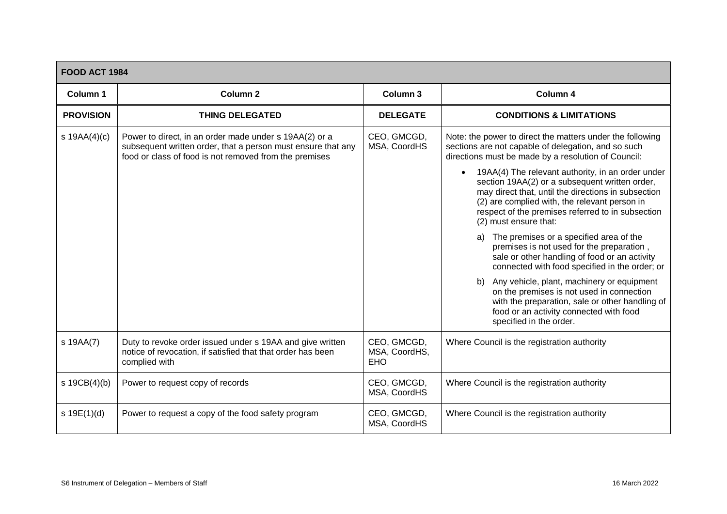| <b>FOOD ACT 1984</b> |                                                                                                                                                                                  |                                            |                                                                                                                                                                                                                                                                                                        |  |
|----------------------|----------------------------------------------------------------------------------------------------------------------------------------------------------------------------------|--------------------------------------------|--------------------------------------------------------------------------------------------------------------------------------------------------------------------------------------------------------------------------------------------------------------------------------------------------------|--|
| Column <sub>1</sub>  | Column <sub>2</sub>                                                                                                                                                              | Column 3                                   | Column 4                                                                                                                                                                                                                                                                                               |  |
| <b>PROVISION</b>     | <b>THING DELEGATED</b>                                                                                                                                                           | <b>DELEGATE</b>                            | <b>CONDITIONS &amp; LIMITATIONS</b>                                                                                                                                                                                                                                                                    |  |
| s $19AA(4)(c)$       | Power to direct, in an order made under s 19AA(2) or a<br>subsequent written order, that a person must ensure that any<br>food or class of food is not removed from the premises | CEO, GMCGD,<br>MSA, CoordHS                | Note: the power to direct the matters under the following<br>sections are not capable of delegation, and so such<br>directions must be made by a resolution of Council:                                                                                                                                |  |
|                      |                                                                                                                                                                                  |                                            | 19AA(4) The relevant authority, in an order under<br>$\bullet$<br>section 19AA(2) or a subsequent written order,<br>may direct that, until the directions in subsection<br>(2) are complied with, the relevant person in<br>respect of the premises referred to in subsection<br>(2) must ensure that: |  |
|                      |                                                                                                                                                                                  |                                            | The premises or a specified area of the<br>a)<br>premises is not used for the preparation,<br>sale or other handling of food or an activity<br>connected with food specified in the order; or                                                                                                          |  |
|                      |                                                                                                                                                                                  |                                            | b) Any vehicle, plant, machinery or equipment<br>on the premises is not used in connection<br>with the preparation, sale or other handling of<br>food or an activity connected with food<br>specified in the order.                                                                                    |  |
| s 19AA(7)            | Duty to revoke order issued under s 19AA and give written<br>notice of revocation, if satisfied that that order has been<br>complied with                                        | CEO, GMCGD,<br>MSA, CoordHS,<br><b>EHO</b> | Where Council is the registration authority                                                                                                                                                                                                                                                            |  |
| s $19CB(4)(b)$       | Power to request copy of records                                                                                                                                                 | CEO, GMCGD,<br>MSA, CoordHS                | Where Council is the registration authority                                                                                                                                                                                                                                                            |  |
| s 19E(1)(d)          | Power to request a copy of the food safety program                                                                                                                               | CEO, GMCGD,<br>MSA, CoordHS                | Where Council is the registration authority                                                                                                                                                                                                                                                            |  |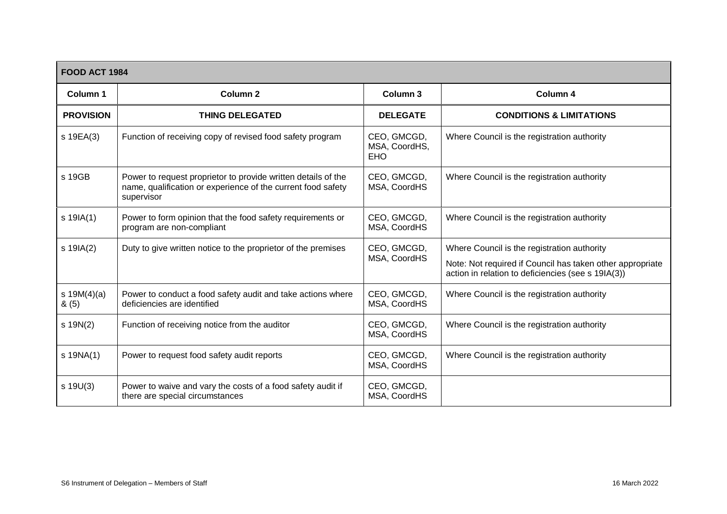|                       | <b>FOOD ACT 1984</b>                                                                                                                        |                                            |                                                                                                                                                                |  |  |
|-----------------------|---------------------------------------------------------------------------------------------------------------------------------------------|--------------------------------------------|----------------------------------------------------------------------------------------------------------------------------------------------------------------|--|--|
| Column 1              | <b>Column 2</b>                                                                                                                             | Column 3                                   | Column 4                                                                                                                                                       |  |  |
| <b>PROVISION</b>      | <b>THING DELEGATED</b>                                                                                                                      | <b>DELEGATE</b>                            | <b>CONDITIONS &amp; LIMITATIONS</b>                                                                                                                            |  |  |
| s 19EA(3)             | Function of receiving copy of revised food safety program                                                                                   | CEO, GMCGD,<br>MSA, CoordHS,<br><b>EHO</b> | Where Council is the registration authority                                                                                                                    |  |  |
| s 19GB                | Power to request proprietor to provide written details of the<br>name, qualification or experience of the current food safety<br>supervisor | CEO, GMCGD,<br>MSA, CoordHS                | Where Council is the registration authority                                                                                                                    |  |  |
| $s$ 19 $A(1)$         | Power to form opinion that the food safety requirements or<br>program are non-compliant                                                     | CEO, GMCGD,<br>MSA, CoordHS                | Where Council is the registration authority                                                                                                                    |  |  |
| s 19IA(2)             | Duty to give written notice to the proprietor of the premises                                                                               | CEO, GMCGD,<br>MSA, CoordHS                | Where Council is the registration authority<br>Note: Not required if Council has taken other appropriate<br>action in relation to deficiencies (see s 19IA(3)) |  |  |
| s $19M(4)(a)$<br>8(5) | Power to conduct a food safety audit and take actions where<br>deficiencies are identified                                                  | CEO, GMCGD,<br>MSA, CoordHS                | Where Council is the registration authority                                                                                                                    |  |  |
| $s$ 19N(2)            | Function of receiving notice from the auditor                                                                                               | CEO, GMCGD,<br>MSA, CoordHS                | Where Council is the registration authority                                                                                                                    |  |  |
| s 19NA(1)             | Power to request food safety audit reports                                                                                                  | CEO, GMCGD,<br>MSA, CoordHS                | Where Council is the registration authority                                                                                                                    |  |  |
| $s$ 19U(3)            | Power to waive and vary the costs of a food safety audit if<br>there are special circumstances                                              | CEO, GMCGD,<br>MSA, CoordHS                |                                                                                                                                                                |  |  |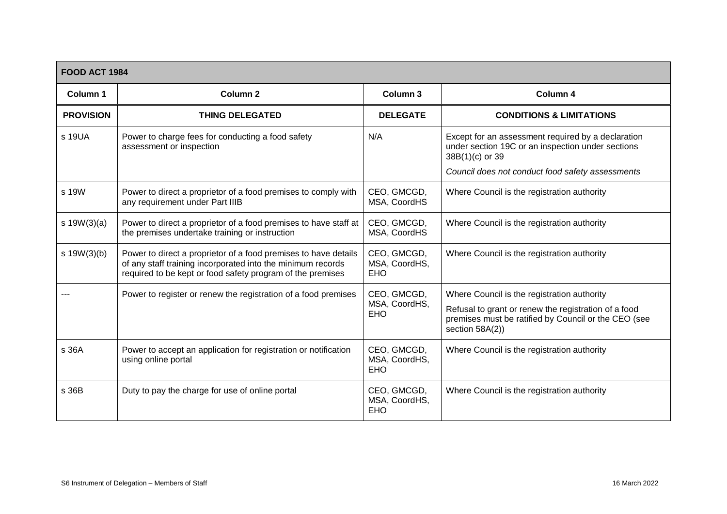| <b>FOOD ACT 1984</b> |                                                                                                                                                                                              |                                            |                                                                                                                                                                                |  |
|----------------------|----------------------------------------------------------------------------------------------------------------------------------------------------------------------------------------------|--------------------------------------------|--------------------------------------------------------------------------------------------------------------------------------------------------------------------------------|--|
| Column 1             | Column <sub>2</sub>                                                                                                                                                                          | Column 3                                   | Column 4                                                                                                                                                                       |  |
| <b>PROVISION</b>     | <b>THING DELEGATED</b>                                                                                                                                                                       | <b>DELEGATE</b>                            | <b>CONDITIONS &amp; LIMITATIONS</b>                                                                                                                                            |  |
| s 19UA               | Power to charge fees for conducting a food safety<br>assessment or inspection                                                                                                                | N/A                                        | Except for an assessment required by a declaration<br>under section 19C or an inspection under sections<br>$38B(1)(c)$ or 39                                                   |  |
|                      |                                                                                                                                                                                              |                                            | Council does not conduct food safety assessments                                                                                                                               |  |
| s 19W                | Power to direct a proprietor of a food premises to comply with<br>any requirement under Part IIIB                                                                                            | CEO, GMCGD,<br>MSA, CoordHS                | Where Council is the registration authority                                                                                                                                    |  |
| s 19W(3)(a)          | Power to direct a proprietor of a food premises to have staff at<br>the premises undertake training or instruction                                                                           | CEO, GMCGD,<br>MSA, CoordHS                | Where Council is the registration authority                                                                                                                                    |  |
| s 19W(3)(b)          | Power to direct a proprietor of a food premises to have details<br>of any staff training incorporated into the minimum records<br>required to be kept or food safety program of the premises | CEO, GMCGD,<br>MSA, CoordHS,<br><b>EHO</b> | Where Council is the registration authority                                                                                                                                    |  |
|                      | Power to register or renew the registration of a food premises                                                                                                                               | CEO, GMCGD,<br>MSA, CoordHS,<br><b>EHO</b> | Where Council is the registration authority<br>Refusal to grant or renew the registration of a food<br>premises must be ratified by Council or the CEO (see<br>section 58A(2)) |  |
| s 36A                | Power to accept an application for registration or notification<br>using online portal                                                                                                       | CEO, GMCGD,<br>MSA, CoordHS,<br><b>EHO</b> | Where Council is the registration authority                                                                                                                                    |  |
| s 36B                | Duty to pay the charge for use of online portal                                                                                                                                              | CEO, GMCGD,<br>MSA, CoordHS,<br><b>EHO</b> | Where Council is the registration authority                                                                                                                                    |  |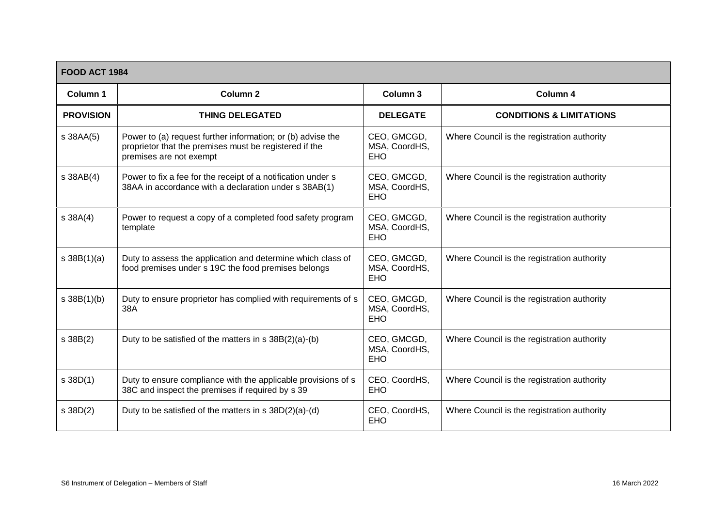| <b>FOOD ACT 1984</b> |                                                                                                                                                  |                                            |                                             |  |
|----------------------|--------------------------------------------------------------------------------------------------------------------------------------------------|--------------------------------------------|---------------------------------------------|--|
| Column 1             | <b>Column 2</b>                                                                                                                                  | Column 3                                   | Column 4                                    |  |
| <b>PROVISION</b>     | <b>THING DELEGATED</b>                                                                                                                           | <b>DELEGATE</b>                            | <b>CONDITIONS &amp; LIMITATIONS</b>         |  |
| s 38AA(5)            | Power to (a) request further information; or (b) advise the<br>proprietor that the premises must be registered if the<br>premises are not exempt | CEO, GMCGD,<br>MSA, CoordHS,<br><b>EHO</b> | Where Council is the registration authority |  |
| s 38AB(4)            | Power to fix a fee for the receipt of a notification under s<br>38AA in accordance with a declaration under s 38AB(1)                            | CEO, GMCGD,<br>MSA, CoordHS,<br><b>EHO</b> | Where Council is the registration authority |  |
| $s$ 38A $(4)$        | Power to request a copy of a completed food safety program<br>template                                                                           | CEO, GMCGD,<br>MSA, CoordHS,<br><b>EHO</b> | Where Council is the registration authority |  |
| s 38B(1)(a)          | Duty to assess the application and determine which class of<br>food premises under s 19C the food premises belongs                               | CEO, GMCGD,<br>MSA, CoordHS,<br><b>EHO</b> | Where Council is the registration authority |  |
| s 38B(1)(b)          | Duty to ensure proprietor has complied with requirements of s<br>38A                                                                             | CEO, GMCGD,<br>MSA, CoordHS,<br><b>EHO</b> | Where Council is the registration authority |  |
| s 38B(2)             | Duty to be satisfied of the matters in $s$ 38B $(2)(a)-(b)$                                                                                      | CEO, GMCGD,<br>MSA, CoordHS,<br><b>EHO</b> | Where Council is the registration authority |  |
| s 38D(1)             | Duty to ensure compliance with the applicable provisions of s<br>38C and inspect the premises if required by s 39                                | CEO, CoordHS,<br><b>EHO</b>                | Where Council is the registration authority |  |
| s 38D(2)             | Duty to be satisfied of the matters in $s$ 38D(2)(a)-(d)                                                                                         | CEO, CoordHS,<br><b>EHO</b>                | Where Council is the registration authority |  |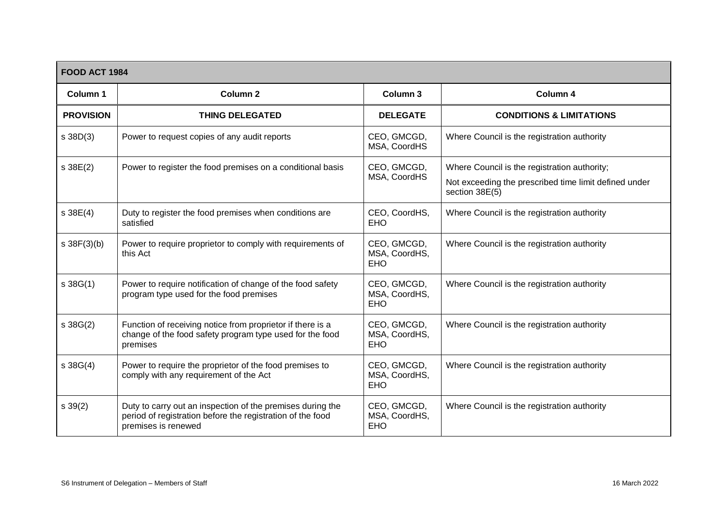| <b>FOOD ACT 1984</b> |                                                                                                                                                 |                                            |                                                                                                                         |  |
|----------------------|-------------------------------------------------------------------------------------------------------------------------------------------------|--------------------------------------------|-------------------------------------------------------------------------------------------------------------------------|--|
| Column 1             | <b>Column 2</b>                                                                                                                                 | Column 3                                   | Column 4                                                                                                                |  |
| <b>PROVISION</b>     | <b>THING DELEGATED</b>                                                                                                                          | <b>DELEGATE</b>                            | <b>CONDITIONS &amp; LIMITATIONS</b>                                                                                     |  |
| $s$ 38D(3)           | Power to request copies of any audit reports                                                                                                    | CEO, GMCGD,<br>MSA, CoordHS                | Where Council is the registration authority                                                                             |  |
| s 38E(2)             | Power to register the food premises on a conditional basis                                                                                      | CEO, GMCGD,<br>MSA, CoordHS                | Where Council is the registration authority;<br>Not exceeding the prescribed time limit defined under<br>section 38E(5) |  |
| s 38E(4)             | Duty to register the food premises when conditions are<br>satisfied                                                                             | CEO, CoordHS,<br><b>EHO</b>                | Where Council is the registration authority                                                                             |  |
| $s \, 38F(3)(b)$     | Power to require proprietor to comply with requirements of<br>this Act                                                                          | CEO, GMCGD,<br>MSA, CoordHS,<br><b>EHO</b> | Where Council is the registration authority                                                                             |  |
| s38G(1)              | Power to require notification of change of the food safety<br>program type used for the food premises                                           | CEO, GMCGD,<br>MSA, CoordHS,<br><b>EHO</b> | Where Council is the registration authority                                                                             |  |
| s 38G(2)             | Function of receiving notice from proprietor if there is a<br>change of the food safety program type used for the food<br>premises              | CEO, GMCGD,<br>MSA, CoordHS,<br><b>EHO</b> | Where Council is the registration authority                                                                             |  |
| s 38G(4)             | Power to require the proprietor of the food premises to<br>comply with any requirement of the Act                                               | CEO, GMCGD,<br>MSA, CoordHS,<br><b>EHO</b> | Where Council is the registration authority                                                                             |  |
| s 39(2)              | Duty to carry out an inspection of the premises during the<br>period of registration before the registration of the food<br>premises is renewed | CEO, GMCGD,<br>MSA, CoordHS,<br><b>EHO</b> | Where Council is the registration authority                                                                             |  |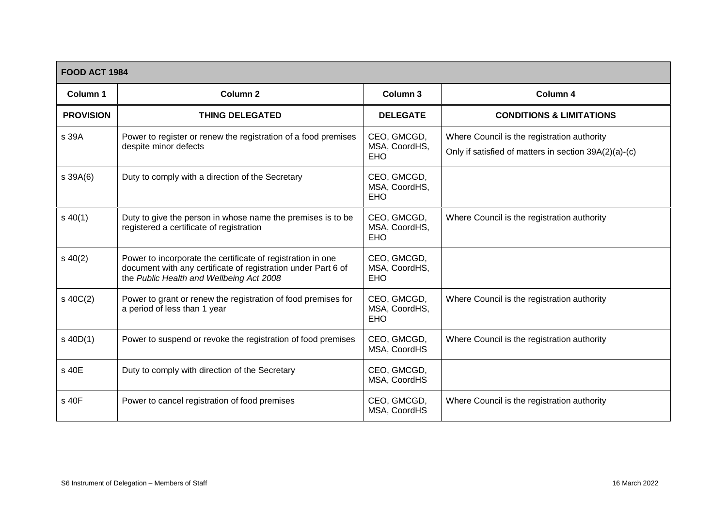| <b>FOOD ACT 1984</b> |                                                                                                                                                                          |                                            |                                                                                                      |  |
|----------------------|--------------------------------------------------------------------------------------------------------------------------------------------------------------------------|--------------------------------------------|------------------------------------------------------------------------------------------------------|--|
| Column 1             | <b>Column 2</b>                                                                                                                                                          | Column 3                                   | Column 4                                                                                             |  |
| <b>PROVISION</b>     | <b>THING DELEGATED</b>                                                                                                                                                   | <b>DELEGATE</b>                            | <b>CONDITIONS &amp; LIMITATIONS</b>                                                                  |  |
| s 39A                | Power to register or renew the registration of a food premises<br>despite minor defects                                                                                  | CEO, GMCGD,<br>MSA, CoordHS,<br><b>EHO</b> | Where Council is the registration authority<br>Only if satisfied of matters in section 39A(2)(a)-(c) |  |
| s 39A(6)             | Duty to comply with a direction of the Secretary                                                                                                                         | CEO, GMCGD,<br>MSA, CoordHS,<br><b>EHO</b> |                                                                                                      |  |
| $s\,40(1)$           | Duty to give the person in whose name the premises is to be<br>registered a certificate of registration                                                                  | CEO, GMCGD,<br>MSA, CoordHS,<br><b>EHO</b> | Where Council is the registration authority                                                          |  |
| $s\ 40(2)$           | Power to incorporate the certificate of registration in one<br>document with any certificate of registration under Part 6 of<br>the Public Health and Wellbeing Act 2008 | CEO, GMCGD,<br>MSA, CoordHS,<br><b>EHO</b> |                                                                                                      |  |
| $s\ 40C(2)$          | Power to grant or renew the registration of food premises for<br>a period of less than 1 year                                                                            | CEO, GMCGD,<br>MSA, CoordHS,<br><b>EHO</b> | Where Council is the registration authority                                                          |  |
| $s$ 40D(1)           | Power to suspend or revoke the registration of food premises                                                                                                             | CEO, GMCGD,<br>MSA, CoordHS                | Where Council is the registration authority                                                          |  |
| s 40E                | Duty to comply with direction of the Secretary                                                                                                                           | CEO, GMCGD,<br>MSA, CoordHS                |                                                                                                      |  |
| s 40F                | Power to cancel registration of food premises                                                                                                                            | CEO, GMCGD,<br>MSA, CoordHS                | Where Council is the registration authority                                                          |  |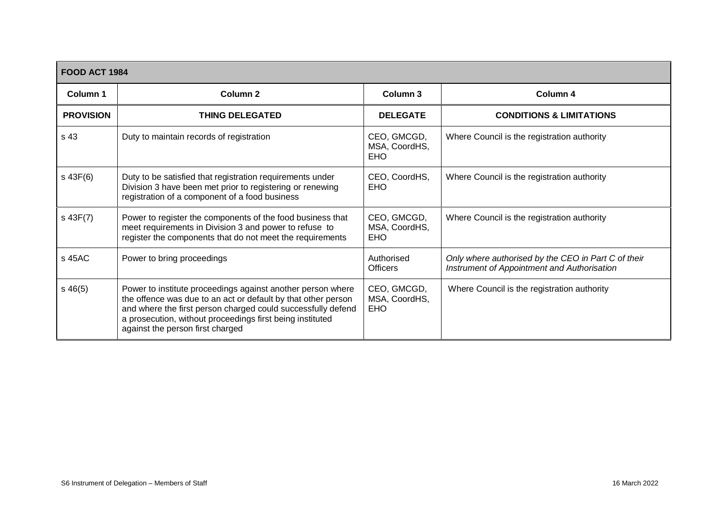| <b>FOOD ACT 1984</b> |                                                                                                                                                                                                                                                                                               |                                            |                                                                                                    |  |
|----------------------|-----------------------------------------------------------------------------------------------------------------------------------------------------------------------------------------------------------------------------------------------------------------------------------------------|--------------------------------------------|----------------------------------------------------------------------------------------------------|--|
| Column 1             | <b>Column 2</b>                                                                                                                                                                                                                                                                               | Column 3                                   | Column 4                                                                                           |  |
| <b>PROVISION</b>     | <b>THING DELEGATED</b>                                                                                                                                                                                                                                                                        | <b>DELEGATE</b>                            | <b>CONDITIONS &amp; LIMITATIONS</b>                                                                |  |
| s 43                 | Duty to maintain records of registration                                                                                                                                                                                                                                                      | CEO, GMCGD,<br>MSA, CoordHS,<br><b>EHO</b> | Where Council is the registration authority                                                        |  |
| $s$ 43 $F(6)$        | Duty to be satisfied that registration requirements under<br>Division 3 have been met prior to registering or renewing<br>registration of a component of a food business                                                                                                                      | CEO, CoordHS,<br><b>EHO</b>                | Where Council is the registration authority                                                        |  |
| $s$ 43F $(7)$        | Power to register the components of the food business that<br>meet requirements in Division 3 and power to refuse to<br>register the components that do not meet the requirements                                                                                                             | CEO, GMCGD,<br>MSA, CoordHS,<br><b>EHO</b> | Where Council is the registration authority                                                        |  |
| s 45AC               | Power to bring proceedings                                                                                                                                                                                                                                                                    | Authorised<br><b>Officers</b>              | Only where authorised by the CEO in Part C of their<br>Instrument of Appointment and Authorisation |  |
| $s\,46(5)$           | Power to institute proceedings against another person where<br>the offence was due to an act or default by that other person<br>and where the first person charged could successfully defend<br>a prosecution, without proceedings first being instituted<br>against the person first charged | CEO, GMCGD,<br>MSA, CoordHS,<br><b>EHO</b> | Where Council is the registration authority                                                        |  |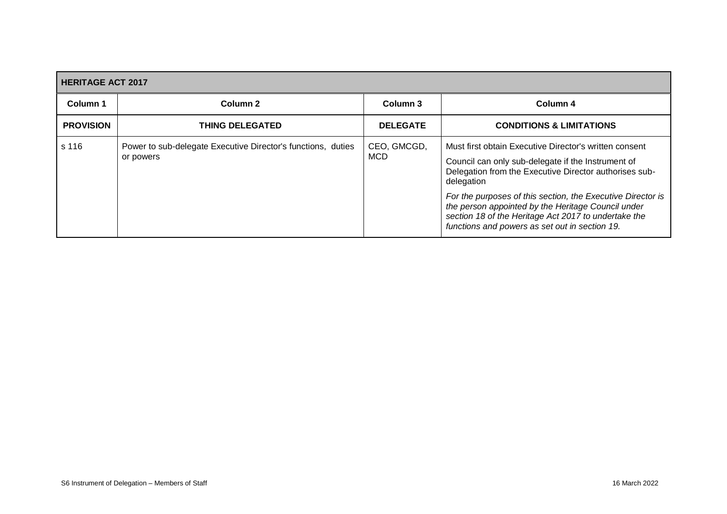<span id="page-29-0"></span>

| <b>HERITAGE ACT 2017</b> |                                                                           |                           |                                                                                                                                                                                                                                                                                                                                                                                                                     |  |
|--------------------------|---------------------------------------------------------------------------|---------------------------|---------------------------------------------------------------------------------------------------------------------------------------------------------------------------------------------------------------------------------------------------------------------------------------------------------------------------------------------------------------------------------------------------------------------|--|
| Column 1                 | Column 2                                                                  | Column 3                  | Column 4                                                                                                                                                                                                                                                                                                                                                                                                            |  |
| <b>PROVISION</b>         | <b>THING DELEGATED</b>                                                    | <b>DELEGATE</b>           | <b>CONDITIONS &amp; LIMITATIONS</b>                                                                                                                                                                                                                                                                                                                                                                                 |  |
| s 116                    | Power to sub-delegate Executive Director's functions, duties<br>or powers | CEO, GMCGD,<br><b>MCD</b> | Must first obtain Executive Director's written consent<br>Council can only sub-delegate if the Instrument of<br>Delegation from the Executive Director authorises sub-<br>delegation<br>For the purposes of this section, the Executive Director is<br>the person appointed by the Heritage Council under<br>section 18 of the Heritage Act 2017 to undertake the<br>functions and powers as set out in section 19. |  |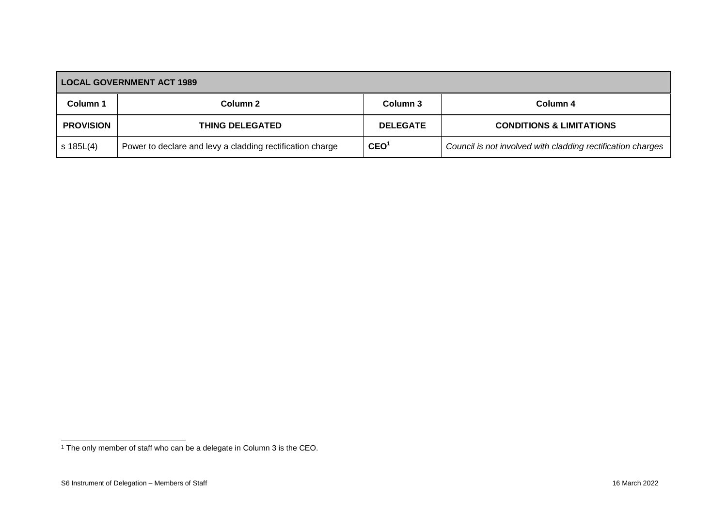| <b>LOCAL GOVERNMENT ACT 1989</b> |                                                           |                  |                                                             |  |
|----------------------------------|-----------------------------------------------------------|------------------|-------------------------------------------------------------|--|
| <b>Column 1</b>                  | Column 2                                                  | Column 3         | Column 4                                                    |  |
| <b>PROVISION</b>                 | <b>THING DELEGATED</b>                                    | <b>DELEGATE</b>  | <b>CONDITIONS &amp; LIMITATIONS</b>                         |  |
| $s$ 185L $(4)$                   | Power to declare and levy a cladding rectification charge | CEO <sup>1</sup> | Council is not involved with cladding rectification charges |  |

<span id="page-30-0"></span> $\overline{a}$ 

<sup>&</sup>lt;sup>1</sup> The only member of staff who can be a delegate in Column 3 is the CEO.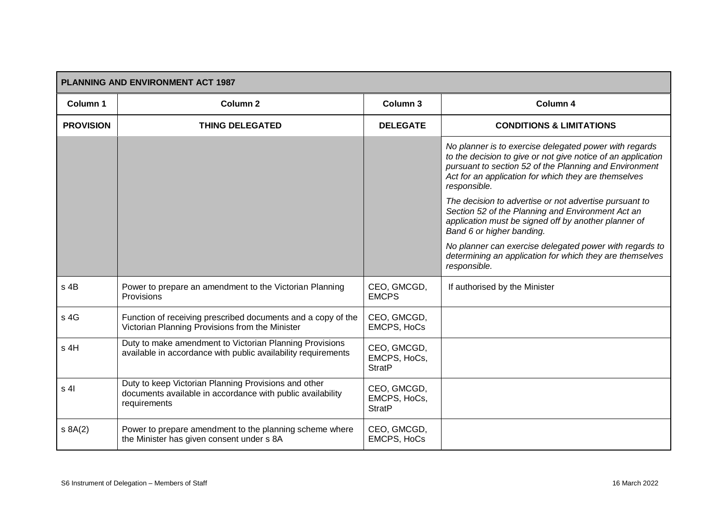<span id="page-31-0"></span>

| PLANNING AND ENVIRONMENT ACT 1987 |                                                                                                                                    |                                              |                                                                                                                                                                                                                                                          |  |
|-----------------------------------|------------------------------------------------------------------------------------------------------------------------------------|----------------------------------------------|----------------------------------------------------------------------------------------------------------------------------------------------------------------------------------------------------------------------------------------------------------|--|
| Column 1                          | Column <sub>2</sub>                                                                                                                | Column 3                                     | Column 4                                                                                                                                                                                                                                                 |  |
| <b>PROVISION</b>                  | <b>THING DELEGATED</b>                                                                                                             | <b>DELEGATE</b>                              | <b>CONDITIONS &amp; LIMITATIONS</b>                                                                                                                                                                                                                      |  |
|                                   |                                                                                                                                    |                                              | No planner is to exercise delegated power with regards<br>to the decision to give or not give notice of an application<br>pursuant to section 52 of the Planning and Environment<br>Act for an application for which they are themselves<br>responsible. |  |
|                                   |                                                                                                                                    |                                              | The decision to advertise or not advertise pursuant to<br>Section 52 of the Planning and Environment Act an<br>application must be signed off by another planner of<br>Band 6 or higher banding.                                                         |  |
|                                   |                                                                                                                                    |                                              | No planner can exercise delegated power with regards to<br>determining an application for which they are themselves<br>responsible.                                                                                                                      |  |
| s 4B                              | Power to prepare an amendment to the Victorian Planning<br>Provisions                                                              | CEO, GMCGD,<br><b>EMCPS</b>                  | If authorised by the Minister                                                                                                                                                                                                                            |  |
| s 4G                              | Function of receiving prescribed documents and a copy of the<br>Victorian Planning Provisions from the Minister                    | CEO, GMCGD,<br><b>EMCPS, HoCs</b>            |                                                                                                                                                                                                                                                          |  |
| s 4H                              | Duty to make amendment to Victorian Planning Provisions<br>available in accordance with public availability requirements           | CEO, GMCGD,<br>EMCPS, HoCs,<br><b>StratP</b> |                                                                                                                                                                                                                                                          |  |
| s <sub>4</sub>                    | Duty to keep Victorian Planning Provisions and other<br>documents available in accordance with public availability<br>requirements | CEO, GMCGD,<br>EMCPS, HoCs,<br><b>StratP</b> |                                                                                                                                                                                                                                                          |  |
| s 8A(2)                           | Power to prepare amendment to the planning scheme where<br>the Minister has given consent under s 8A                               | CEO, GMCGD,<br>EMCPS, HoCs                   |                                                                                                                                                                                                                                                          |  |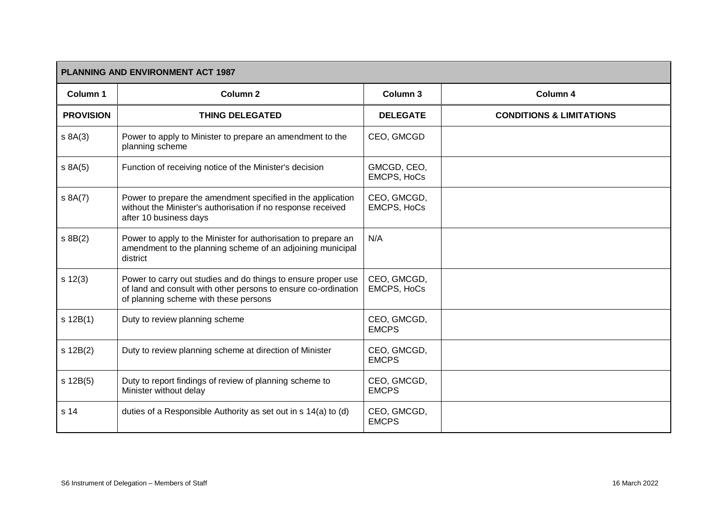| PLANNING AND ENVIRONMENT ACT 1987 |                                                                                                                                                                          |                                   |                                     |  |
|-----------------------------------|--------------------------------------------------------------------------------------------------------------------------------------------------------------------------|-----------------------------------|-------------------------------------|--|
| Column 1                          | Column <sub>2</sub>                                                                                                                                                      | Column 3                          | Column 4                            |  |
| <b>PROVISION</b>                  | <b>THING DELEGATED</b>                                                                                                                                                   | <b>DELEGATE</b>                   | <b>CONDITIONS &amp; LIMITATIONS</b> |  |
| s 8A(3)                           | Power to apply to Minister to prepare an amendment to the<br>planning scheme                                                                                             | CEO, GMCGD                        |                                     |  |
| s 8A(5)                           | Function of receiving notice of the Minister's decision                                                                                                                  | GMCGD, CEO,<br><b>EMCPS, HoCs</b> |                                     |  |
| s 8A(7)                           | Power to prepare the amendment specified in the application<br>without the Minister's authorisation if no response received<br>after 10 business days                    | CEO, GMCGD,<br><b>EMCPS, HoCs</b> |                                     |  |
| $s$ 8B $(2)$                      | Power to apply to the Minister for authorisation to prepare an<br>amendment to the planning scheme of an adjoining municipal<br>district                                 | N/A                               |                                     |  |
| s 12(3)                           | Power to carry out studies and do things to ensure proper use<br>of land and consult with other persons to ensure co-ordination<br>of planning scheme with these persons | CEO, GMCGD,<br><b>EMCPS, HoCs</b> |                                     |  |
| s 12B(1)                          | Duty to review planning scheme                                                                                                                                           | CEO, GMCGD,<br><b>EMCPS</b>       |                                     |  |
| s 12B(2)                          | Duty to review planning scheme at direction of Minister                                                                                                                  | CEO, GMCGD,<br><b>EMCPS</b>       |                                     |  |
| s 12B(5)                          | Duty to report findings of review of planning scheme to<br>Minister without delay                                                                                        | CEO, GMCGD,<br><b>EMCPS</b>       |                                     |  |
| s 14                              | duties of a Responsible Authority as set out in s 14(a) to (d)                                                                                                           | CEO, GMCGD,<br><b>EMCPS</b>       |                                     |  |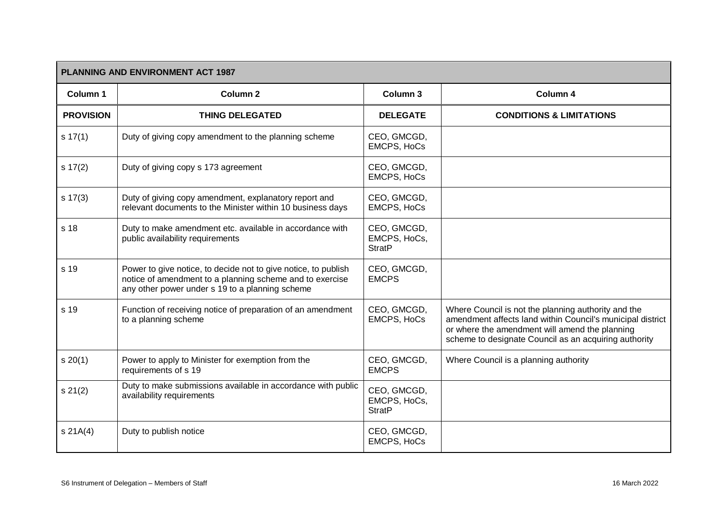| <b>PLANNING AND ENVIRONMENT ACT 1987</b> |                                                                                                                                                                               |                                              |                                                                                                                                                                                                                              |  |
|------------------------------------------|-------------------------------------------------------------------------------------------------------------------------------------------------------------------------------|----------------------------------------------|------------------------------------------------------------------------------------------------------------------------------------------------------------------------------------------------------------------------------|--|
| Column 1                                 | <b>Column 2</b>                                                                                                                                                               | Column 3                                     | Column 4                                                                                                                                                                                                                     |  |
| <b>PROVISION</b>                         | <b>THING DELEGATED</b>                                                                                                                                                        | <b>DELEGATE</b>                              | <b>CONDITIONS &amp; LIMITATIONS</b>                                                                                                                                                                                          |  |
| $s \, 17(1)$                             | Duty of giving copy amendment to the planning scheme                                                                                                                          | CEO, GMCGD,<br><b>EMCPS, HoCs</b>            |                                                                                                                                                                                                                              |  |
| s 17(2)                                  | Duty of giving copy s 173 agreement                                                                                                                                           | CEO, GMCGD,<br><b>EMCPS, HoCs</b>            |                                                                                                                                                                                                                              |  |
| $s \ 17(3)$                              | Duty of giving copy amendment, explanatory report and<br>relevant documents to the Minister within 10 business days                                                           | CEO, GMCGD,<br><b>EMCPS, HoCs</b>            |                                                                                                                                                                                                                              |  |
| s 18                                     | Duty to make amendment etc. available in accordance with<br>public availability requirements                                                                                  | CEO, GMCGD,<br>EMCPS, HoCs,<br><b>StratP</b> |                                                                                                                                                                                                                              |  |
| s 19                                     | Power to give notice, to decide not to give notice, to publish<br>notice of amendment to a planning scheme and to exercise<br>any other power under s 19 to a planning scheme | CEO, GMCGD,<br><b>EMCPS</b>                  |                                                                                                                                                                                                                              |  |
| s 19                                     | Function of receiving notice of preparation of an amendment<br>to a planning scheme                                                                                           | CEO, GMCGD,<br><b>EMCPS, HoCs</b>            | Where Council is not the planning authority and the<br>amendment affects land within Council's municipal district<br>or where the amendment will amend the planning<br>scheme to designate Council as an acquiring authority |  |
| s 20(1)                                  | Power to apply to Minister for exemption from the<br>requirements of s 19                                                                                                     | CEO, GMCGD,<br><b>EMCPS</b>                  | Where Council is a planning authority                                                                                                                                                                                        |  |
| s 21(2)                                  | Duty to make submissions available in accordance with public<br>availability requirements                                                                                     | CEO, GMCGD,<br>EMCPS, HoCs,<br><b>StratP</b> |                                                                                                                                                                                                                              |  |
| s 21A(4)                                 | Duty to publish notice                                                                                                                                                        | CEO, GMCGD,<br><b>EMCPS, HoCs</b>            |                                                                                                                                                                                                                              |  |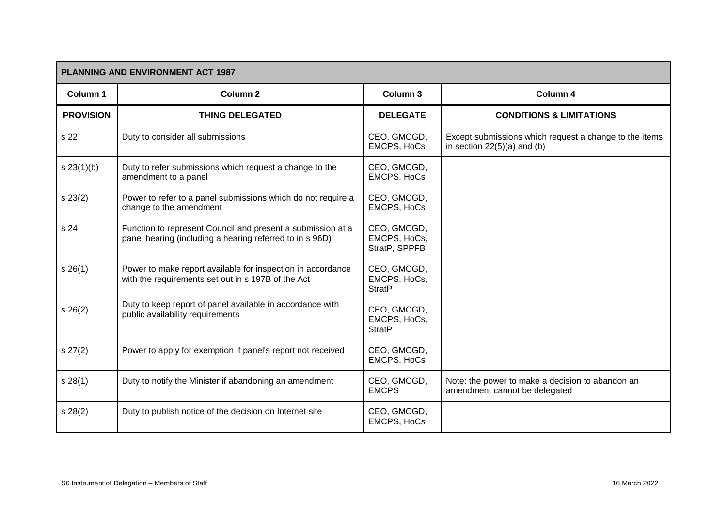| PLANNING AND ENVIRONMENT ACT 1987 |                                                                                                                         |                                              |                                                                                         |  |
|-----------------------------------|-------------------------------------------------------------------------------------------------------------------------|----------------------------------------------|-----------------------------------------------------------------------------------------|--|
| Column 1                          | Column <sub>2</sub>                                                                                                     | Column 3                                     | Column 4                                                                                |  |
| <b>PROVISION</b>                  | <b>THING DELEGATED</b>                                                                                                  | <b>DELEGATE</b>                              | <b>CONDITIONS &amp; LIMITATIONS</b>                                                     |  |
| s 22                              | Duty to consider all submissions                                                                                        | CEO, GMCGD,<br><b>EMCPS, HoCs</b>            | Except submissions which request a change to the items<br>in section $22(5)(a)$ and (b) |  |
| s 23(1)(b)                        | Duty to refer submissions which request a change to the<br>amendment to a panel                                         | CEO, GMCGD,<br><b>EMCPS, HoCs</b>            |                                                                                         |  |
| s 23(2)                           | Power to refer to a panel submissions which do not require a<br>change to the amendment                                 | CEO, GMCGD,<br><b>EMCPS, HoCs</b>            |                                                                                         |  |
| s 24                              | Function to represent Council and present a submission at a<br>panel hearing (including a hearing referred to in s 96D) | CEO, GMCGD,<br>EMCPS, HoCs,<br>StratP, SPPFB |                                                                                         |  |
| s 26(1)                           | Power to make report available for inspection in accordance<br>with the requirements set out in s 197B of the Act       | CEO, GMCGD,<br>EMCPS, HoCs,<br><b>StratP</b> |                                                                                         |  |
| s 26(2)                           | Duty to keep report of panel available in accordance with<br>public availability requirements                           | CEO, GMCGD,<br>EMCPS, HoCs,<br><b>StratP</b> |                                                                                         |  |
| s 27(2)                           | Power to apply for exemption if panel's report not received                                                             | CEO, GMCGD,<br><b>EMCPS, HoCs</b>            |                                                                                         |  |
| s 28(1)                           | Duty to notify the Minister if abandoning an amendment                                                                  | CEO, GMCGD,<br><b>EMCPS</b>                  | Note: the power to make a decision to abandon an<br>amendment cannot be delegated       |  |
| s 28(2)                           | Duty to publish notice of the decision on Internet site                                                                 | CEO, GMCGD,<br><b>EMCPS, HoCs</b>            |                                                                                         |  |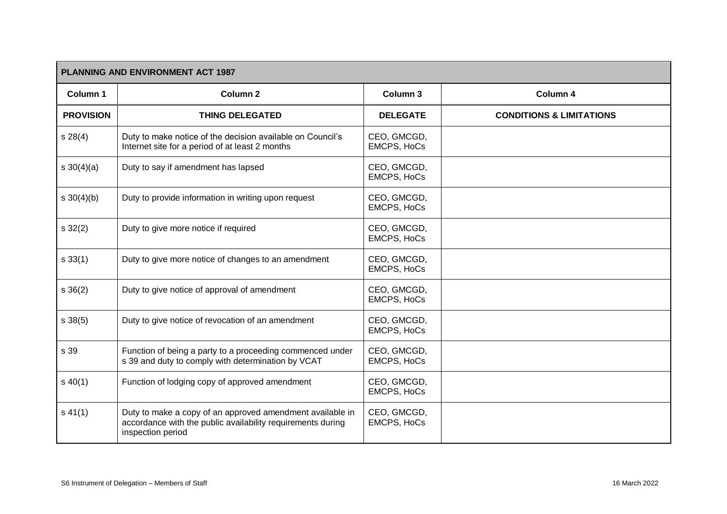| <b>PLANNING AND ENVIRONMENT ACT 1987</b> |                                                                                                                                               |                                   |                                     |
|------------------------------------------|-----------------------------------------------------------------------------------------------------------------------------------------------|-----------------------------------|-------------------------------------|
| Column 1                                 | <b>Column 2</b>                                                                                                                               | Column <sub>3</sub>               | Column 4                            |
| <b>PROVISION</b>                         | <b>THING DELEGATED</b>                                                                                                                        | <b>DELEGATE</b>                   | <b>CONDITIONS &amp; LIMITATIONS</b> |
| s 28(4)                                  | Duty to make notice of the decision available on Council's<br>Internet site for a period of at least 2 months                                 | CEO, GMCGD,<br><b>EMCPS, HoCs</b> |                                     |
| $s \ 30(4)(a)$                           | Duty to say if amendment has lapsed                                                                                                           | CEO, GMCGD,<br><b>EMCPS, HoCs</b> |                                     |
| $s \, 30(4)(b)$                          | Duty to provide information in writing upon request                                                                                           | CEO, GMCGD,<br><b>EMCPS, HoCs</b> |                                     |
| $s \, 32(2)$                             | Duty to give more notice if required                                                                                                          | CEO, GMCGD,<br><b>EMCPS, HoCs</b> |                                     |
| s 33(1)                                  | Duty to give more notice of changes to an amendment                                                                                           | CEO, GMCGD,<br><b>EMCPS, HoCs</b> |                                     |
| $s \, 36(2)$                             | Duty to give notice of approval of amendment                                                                                                  | CEO, GMCGD,<br><b>EMCPS, HoCs</b> |                                     |
| s 38(5)                                  | Duty to give notice of revocation of an amendment                                                                                             | CEO, GMCGD,<br><b>EMCPS, HoCs</b> |                                     |
| s 39                                     | Function of being a party to a proceeding commenced under<br>s 39 and duty to comply with determination by VCAT                               | CEO, GMCGD,<br><b>EMCPS, HoCs</b> |                                     |
| $s\ 40(1)$                               | Function of lodging copy of approved amendment                                                                                                | CEO, GMCGD,<br><b>EMCPS, HoCs</b> |                                     |
| $s\,41(1)$                               | Duty to make a copy of an approved amendment available in<br>accordance with the public availability requirements during<br>inspection period | CEO, GMCGD,<br><b>EMCPS, HoCs</b> |                                     |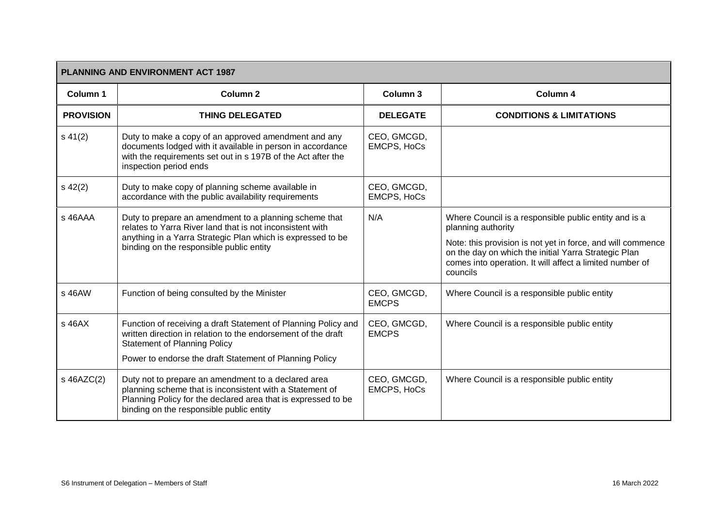|                  | <b>PLANNING AND ENVIRONMENT ACT 1987</b>                                                                                                                                                                                          |                                   |                                                                                                                                                                                                                                                                            |  |  |
|------------------|-----------------------------------------------------------------------------------------------------------------------------------------------------------------------------------------------------------------------------------|-----------------------------------|----------------------------------------------------------------------------------------------------------------------------------------------------------------------------------------------------------------------------------------------------------------------------|--|--|
| Column 1         | Column <sub>2</sub>                                                                                                                                                                                                               | Column 3                          | Column 4                                                                                                                                                                                                                                                                   |  |  |
| <b>PROVISION</b> | <b>THING DELEGATED</b>                                                                                                                                                                                                            | <b>DELEGATE</b>                   | <b>CONDITIONS &amp; LIMITATIONS</b>                                                                                                                                                                                                                                        |  |  |
| $s\,41(2)$       | Duty to make a copy of an approved amendment and any<br>documents lodged with it available in person in accordance<br>with the requirements set out in s 197B of the Act after the<br>inspection period ends                      | CEO, GMCGD,<br><b>EMCPS, HoCs</b> |                                                                                                                                                                                                                                                                            |  |  |
| $s\,42(2)$       | Duty to make copy of planning scheme available in<br>accordance with the public availability requirements                                                                                                                         | CEO, GMCGD,<br><b>EMCPS, HoCs</b> |                                                                                                                                                                                                                                                                            |  |  |
| s 46AAA          | Duty to prepare an amendment to a planning scheme that<br>relates to Yarra River land that is not inconsistent with<br>anything in a Yarra Strategic Plan which is expressed to be<br>binding on the responsible public entity    | N/A                               | Where Council is a responsible public entity and is a<br>planning authority<br>Note: this provision is not yet in force, and will commence<br>on the day on which the initial Yarra Strategic Plan<br>comes into operation. It will affect a limited number of<br>councils |  |  |
| s 46AW           | Function of being consulted by the Minister                                                                                                                                                                                       | CEO, GMCGD,<br><b>EMCPS</b>       | Where Council is a responsible public entity                                                                                                                                                                                                                               |  |  |
| $s$ 46A $X$      | Function of receiving a draft Statement of Planning Policy and<br>written direction in relation to the endorsement of the draft<br><b>Statement of Planning Policy</b><br>Power to endorse the draft Statement of Planning Policy | CEO, GMCGD,<br><b>EMCPS</b>       | Where Council is a responsible public entity                                                                                                                                                                                                                               |  |  |
| s 46AZC(2)       | Duty not to prepare an amendment to a declared area<br>planning scheme that is inconsistent with a Statement of<br>Planning Policy for the declared area that is expressed to be<br>binding on the responsible public entity      | CEO, GMCGD,<br><b>EMCPS, HoCs</b> | Where Council is a responsible public entity                                                                                                                                                                                                                               |  |  |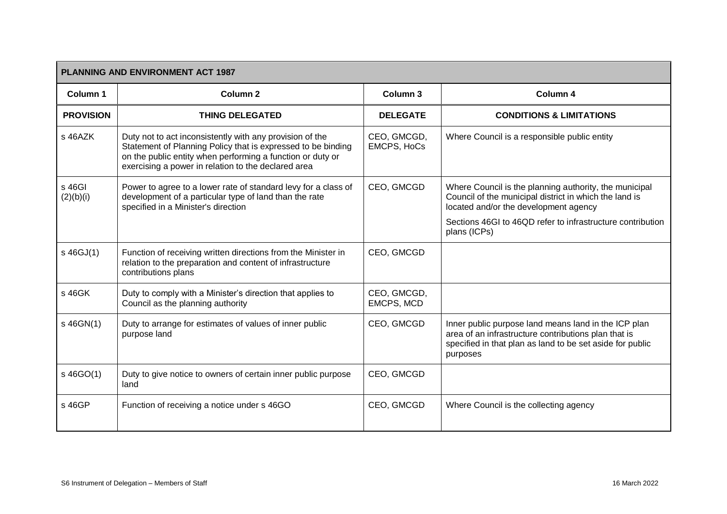|                     | <b>PLANNING AND ENVIRONMENT ACT 1987</b>                                                                                                                                                                                                      |                                   |                                                                                                                                                                                       |  |  |
|---------------------|-----------------------------------------------------------------------------------------------------------------------------------------------------------------------------------------------------------------------------------------------|-----------------------------------|---------------------------------------------------------------------------------------------------------------------------------------------------------------------------------------|--|--|
| Column 1            | Column <sub>2</sub>                                                                                                                                                                                                                           | Column 3                          | Column 4                                                                                                                                                                              |  |  |
| <b>PROVISION</b>    | <b>THING DELEGATED</b>                                                                                                                                                                                                                        | <b>DELEGATE</b>                   | <b>CONDITIONS &amp; LIMITATIONS</b>                                                                                                                                                   |  |  |
| s 46AZK             | Duty not to act inconsistently with any provision of the<br>Statement of Planning Policy that is expressed to be binding<br>on the public entity when performing a function or duty or<br>exercising a power in relation to the declared area | CEO, GMCGD,<br><b>EMCPS, HoCs</b> | Where Council is a responsible public entity                                                                                                                                          |  |  |
| s 46GI<br>(2)(b)(i) | Power to agree to a lower rate of standard levy for a class of<br>development of a particular type of land than the rate<br>specified in a Minister's direction                                                                               | CEO, GMCGD                        | Where Council is the planning authority, the municipal<br>Council of the municipal district in which the land is<br>located and/or the development agency                             |  |  |
|                     |                                                                                                                                                                                                                                               |                                   | Sections 46GI to 46QD refer to infrastructure contribution<br>plans (ICPs)                                                                                                            |  |  |
| s 46GJ(1)           | Function of receiving written directions from the Minister in<br>relation to the preparation and content of infrastructure<br>contributions plans                                                                                             | CEO, GMCGD                        |                                                                                                                                                                                       |  |  |
| s 46GK              | Duty to comply with a Minister's direction that applies to<br>Council as the planning authority                                                                                                                                               | CEO, GMCGD,<br>EMCPS, MCD         |                                                                                                                                                                                       |  |  |
| s 46GN(1)           | Duty to arrange for estimates of values of inner public<br>purpose land                                                                                                                                                                       | CEO, GMCGD                        | Inner public purpose land means land in the ICP plan<br>area of an infrastructure contributions plan that is<br>specified in that plan as land to be set aside for public<br>purposes |  |  |
| s 46GO(1)           | Duty to give notice to owners of certain inner public purpose<br>land                                                                                                                                                                         | CEO, GMCGD                        |                                                                                                                                                                                       |  |  |
| s 46GP              | Function of receiving a notice under s 46GO                                                                                                                                                                                                   | CEO, GMCGD                        | Where Council is the collecting agency                                                                                                                                                |  |  |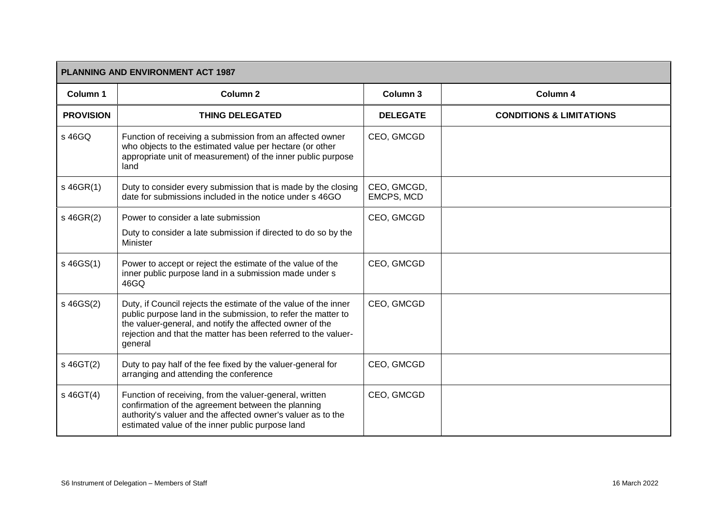|                  | <b>PLANNING AND ENVIRONMENT ACT 1987</b>                                                                                                                                                                                                                                  |                           |                                     |  |
|------------------|---------------------------------------------------------------------------------------------------------------------------------------------------------------------------------------------------------------------------------------------------------------------------|---------------------------|-------------------------------------|--|
| Column 1         | Column <sub>2</sub>                                                                                                                                                                                                                                                       | Column 3                  | Column 4                            |  |
| <b>PROVISION</b> | <b>THING DELEGATED</b>                                                                                                                                                                                                                                                    | <b>DELEGATE</b>           | <b>CONDITIONS &amp; LIMITATIONS</b> |  |
| s 46GQ           | Function of receiving a submission from an affected owner<br>who objects to the estimated value per hectare (or other<br>appropriate unit of measurement) of the inner public purpose<br>land                                                                             | CEO, GMCGD                |                                     |  |
| $s$ 46GR(1)      | Duty to consider every submission that is made by the closing<br>date for submissions included in the notice under s 46GO                                                                                                                                                 | CEO, GMCGD,<br>EMCPS, MCD |                                     |  |
| s 46GR(2)        | Power to consider a late submission                                                                                                                                                                                                                                       | CEO, GMCGD                |                                     |  |
|                  | Duty to consider a late submission if directed to do so by the<br>Minister                                                                                                                                                                                                |                           |                                     |  |
| s 46GS(1)        | Power to accept or reject the estimate of the value of the<br>inner public purpose land in a submission made under s<br>46GQ                                                                                                                                              | CEO, GMCGD                |                                     |  |
| s 46GS(2)        | Duty, if Council rejects the estimate of the value of the inner<br>public purpose land in the submission, to refer the matter to<br>the valuer-general, and notify the affected owner of the<br>rejection and that the matter has been referred to the valuer-<br>general | CEO, GMCGD                |                                     |  |
| s 46GT(2)        | Duty to pay half of the fee fixed by the valuer-general for<br>arranging and attending the conference                                                                                                                                                                     | CEO, GMCGD                |                                     |  |
| s 46GT(4)        | Function of receiving, from the valuer-general, written<br>confirmation of the agreement between the planning<br>authority's valuer and the affected owner's valuer as to the<br>estimated value of the inner public purpose land                                         | CEO, GMCGD                |                                     |  |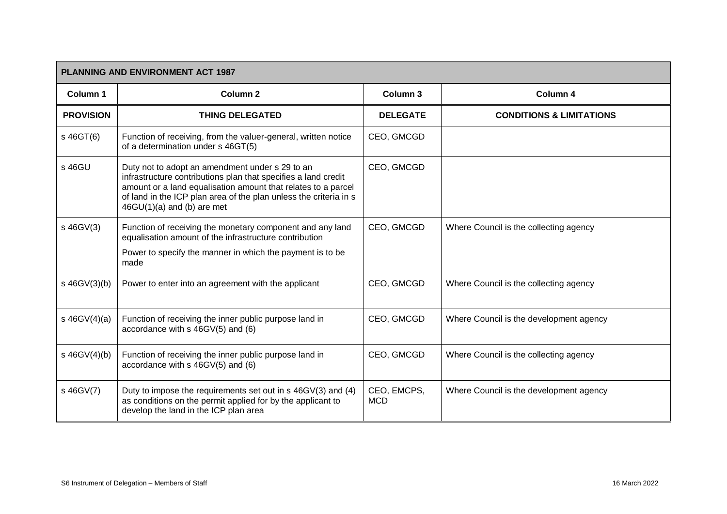| <b>PLANNING AND ENVIRONMENT ACT 1987</b> |                                                                                                                                                                                                                                                                                         |                           |                                         |  |
|------------------------------------------|-----------------------------------------------------------------------------------------------------------------------------------------------------------------------------------------------------------------------------------------------------------------------------------------|---------------------------|-----------------------------------------|--|
| Column 1                                 | Column <sub>2</sub>                                                                                                                                                                                                                                                                     | Column 3                  | Column 4                                |  |
| <b>PROVISION</b>                         | <b>THING DELEGATED</b>                                                                                                                                                                                                                                                                  | <b>DELEGATE</b>           | <b>CONDITIONS &amp; LIMITATIONS</b>     |  |
| s 46GT(6)                                | Function of receiving, from the valuer-general, written notice<br>of a determination under s 46GT(5)                                                                                                                                                                                    | CEO, GMCGD                |                                         |  |
| s 46GU                                   | Duty not to adopt an amendment under s 29 to an<br>infrastructure contributions plan that specifies a land credit<br>amount or a land equalisation amount that relates to a parcel<br>of land in the ICP plan area of the plan unless the criteria in s<br>$46GU(1)(a)$ and (b) are met | CEO, GMCGD                |                                         |  |
| s 46GV(3)                                | Function of receiving the monetary component and any land<br>equalisation amount of the infrastructure contribution<br>Power to specify the manner in which the payment is to be<br>made                                                                                                | CEO, GMCGD                | Where Council is the collecting agency  |  |
| s 46GV(3)(b)                             | Power to enter into an agreement with the applicant                                                                                                                                                                                                                                     | CEO, GMCGD                | Where Council is the collecting agency  |  |
| $s$ 46GV(4)(a)                           | Function of receiving the inner public purpose land in<br>accordance with s 46GV(5) and (6)                                                                                                                                                                                             | CEO, GMCGD                | Where Council is the development agency |  |
| $s$ 46GV(4)(b)                           | Function of receiving the inner public purpose land in<br>accordance with s 46GV(5) and (6)                                                                                                                                                                                             | CEO, GMCGD                | Where Council is the collecting agency  |  |
| s 46GV(7)                                | Duty to impose the requirements set out in s 46GV(3) and (4)<br>as conditions on the permit applied for by the applicant to<br>develop the land in the ICP plan area                                                                                                                    | CEO, EMCPS,<br><b>MCD</b> | Where Council is the development agency |  |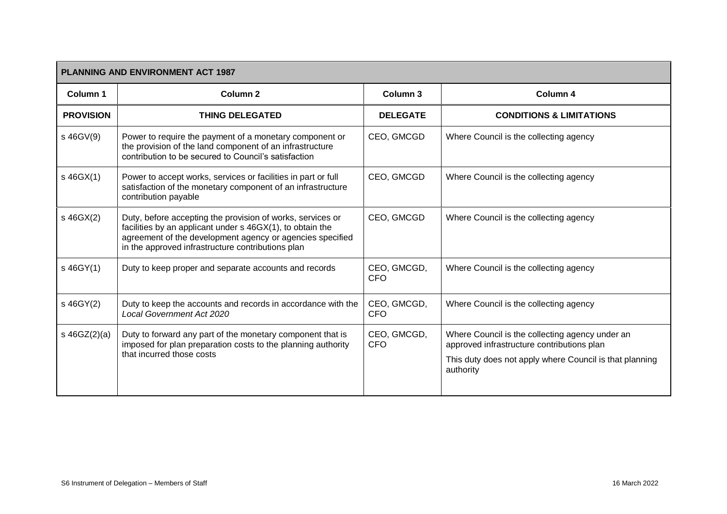| PLANNING AND ENVIRONMENT ACT 1987 |                                                                                                                                                                                                                                           |                           |                                                                                               |  |
|-----------------------------------|-------------------------------------------------------------------------------------------------------------------------------------------------------------------------------------------------------------------------------------------|---------------------------|-----------------------------------------------------------------------------------------------|--|
| Column 1                          | <b>Column 2</b>                                                                                                                                                                                                                           | Column 3                  | Column 4                                                                                      |  |
| <b>PROVISION</b>                  | <b>THING DELEGATED</b>                                                                                                                                                                                                                    | <b>DELEGATE</b>           | <b>CONDITIONS &amp; LIMITATIONS</b>                                                           |  |
| s 46GV(9)                         | Power to require the payment of a monetary component or<br>the provision of the land component of an infrastructure<br>contribution to be secured to Council's satisfaction                                                               | CEO, GMCGD                | Where Council is the collecting agency                                                        |  |
| s 46GX(1)                         | Power to accept works, services or facilities in part or full<br>satisfaction of the monetary component of an infrastructure<br>contribution payable                                                                                      | CEO, GMCGD                | Where Council is the collecting agency                                                        |  |
| s 46GX(2)                         | Duty, before accepting the provision of works, services or<br>facilities by an applicant under s 46GX(1), to obtain the<br>agreement of the development agency or agencies specified<br>in the approved infrastructure contributions plan | CEO, GMCGD                | Where Council is the collecting agency                                                        |  |
| s 46GY(1)                         | Duty to keep proper and separate accounts and records                                                                                                                                                                                     | CEO, GMCGD,<br><b>CFO</b> | Where Council is the collecting agency                                                        |  |
| s 46GY(2)                         | Duty to keep the accounts and records in accordance with the<br><b>Local Government Act 2020</b>                                                                                                                                          | CEO, GMCGD,<br><b>CFO</b> | Where Council is the collecting agency                                                        |  |
| $s \, 46GZ(2)(a)$                 | Duty to forward any part of the monetary component that is<br>imposed for plan preparation costs to the planning authority                                                                                                                | CEO, GMCGD,<br><b>CFO</b> | Where Council is the collecting agency under an<br>approved infrastructure contributions plan |  |
|                                   | that incurred those costs                                                                                                                                                                                                                 |                           | This duty does not apply where Council is that planning<br>authority                          |  |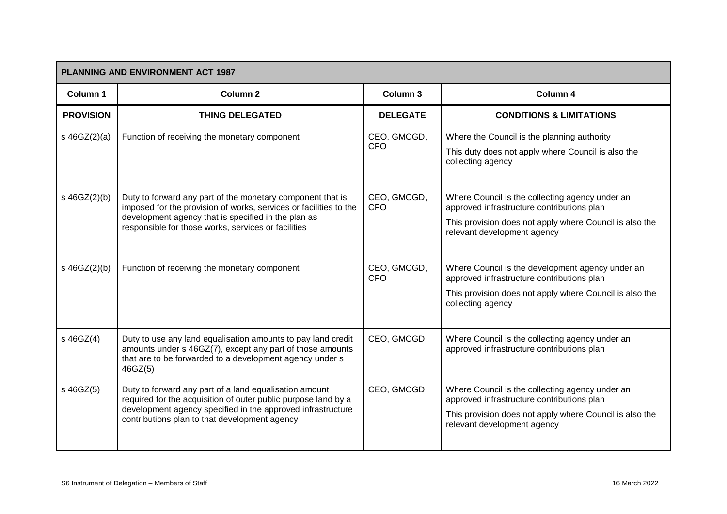|                   | <b>PLANNING AND ENVIRONMENT ACT 1987</b>                                                                                                                                                                                                      |                           |                                                                                                                                                                                         |  |  |
|-------------------|-----------------------------------------------------------------------------------------------------------------------------------------------------------------------------------------------------------------------------------------------|---------------------------|-----------------------------------------------------------------------------------------------------------------------------------------------------------------------------------------|--|--|
| Column 1          | Column <sub>2</sub>                                                                                                                                                                                                                           | Column 3                  | Column 4                                                                                                                                                                                |  |  |
| <b>PROVISION</b>  | <b>THING DELEGATED</b>                                                                                                                                                                                                                        | <b>DELEGATE</b>           | <b>CONDITIONS &amp; LIMITATIONS</b>                                                                                                                                                     |  |  |
| s $46GZ(2)(a)$    | Function of receiving the monetary component                                                                                                                                                                                                  | CEO, GMCGD,<br><b>CFO</b> | Where the Council is the planning authority<br>This duty does not apply where Council is also the<br>collecting agency                                                                  |  |  |
| $s \, 46GZ(2)(b)$ | Duty to forward any part of the monetary component that is<br>imposed for the provision of works, services or facilities to the<br>development agency that is specified in the plan as<br>responsible for those works, services or facilities | CEO, GMCGD,<br><b>CFO</b> | Where Council is the collecting agency under an<br>approved infrastructure contributions plan<br>This provision does not apply where Council is also the<br>relevant development agency |  |  |
| s 46GZ(2)(b)      | Function of receiving the monetary component                                                                                                                                                                                                  | CEO, GMCGD,<br><b>CFO</b> | Where Council is the development agency under an<br>approved infrastructure contributions plan<br>This provision does not apply where Council is also the<br>collecting agency          |  |  |
| s 46GZ(4)         | Duty to use any land equalisation amounts to pay land credit<br>amounts under s 46GZ(7), except any part of those amounts<br>that are to be forwarded to a development agency under s<br>46GZ(5)                                              | CEO, GMCGD                | Where Council is the collecting agency under an<br>approved infrastructure contributions plan                                                                                           |  |  |
| s 46GZ(5)         | Duty to forward any part of a land equalisation amount<br>required for the acquisition of outer public purpose land by a<br>development agency specified in the approved infrastructure<br>contributions plan to that development agency      | CEO, GMCGD                | Where Council is the collecting agency under an<br>approved infrastructure contributions plan<br>This provision does not apply where Council is also the<br>relevant development agency |  |  |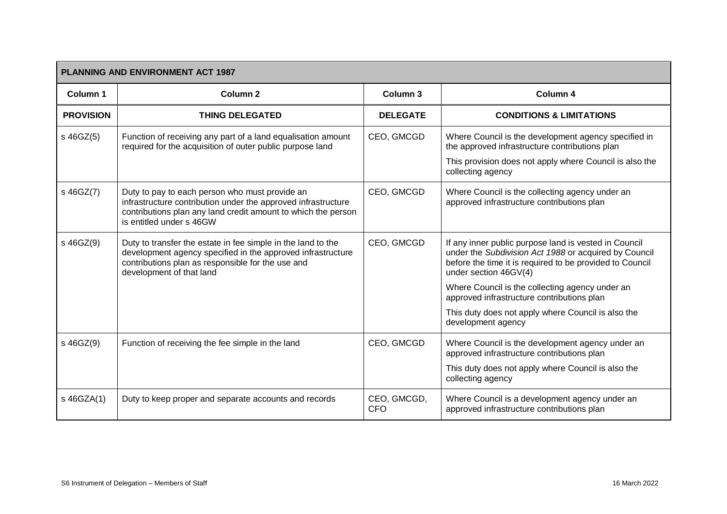| <b>PLANNING AND ENVIRONMENT ACT 1987</b> |                                                                                                                                                                                                              |                           |                                                                                                                                                                                                     |  |
|------------------------------------------|--------------------------------------------------------------------------------------------------------------------------------------------------------------------------------------------------------------|---------------------------|-----------------------------------------------------------------------------------------------------------------------------------------------------------------------------------------------------|--|
| <b>Column 1</b>                          | Column <sub>2</sub>                                                                                                                                                                                          | Column 3                  | Column 4                                                                                                                                                                                            |  |
| <b>PROVISION</b>                         | <b>THING DELEGATED</b>                                                                                                                                                                                       | <b>DELEGATE</b>           | <b>CONDITIONS &amp; LIMITATIONS</b>                                                                                                                                                                 |  |
| s 46GZ(5)                                | Function of receiving any part of a land equalisation amount<br>required for the acquisition of outer public purpose land                                                                                    | CEO, GMCGD                | Where Council is the development agency specified in<br>the approved infrastructure contributions plan<br>This provision does not apply where Council is also the                                   |  |
|                                          |                                                                                                                                                                                                              |                           | collecting agency                                                                                                                                                                                   |  |
| s 46GZ(7)                                | Duty to pay to each person who must provide an<br>infrastructure contribution under the approved infrastructure<br>contributions plan any land credit amount to which the person<br>is entitled under s 46GW | CEO, GMCGD                | Where Council is the collecting agency under an<br>approved infrastructure contributions plan                                                                                                       |  |
| s 46GZ(9)                                | Duty to transfer the estate in fee simple in the land to the<br>development agency specified in the approved infrastructure<br>contributions plan as responsible for the use and<br>development of that land | CEO, GMCGD                | If any inner public purpose land is vested in Council<br>under the Subdivision Act 1988 or acquired by Council<br>before the time it is required to be provided to Council<br>under section 46GV(4) |  |
|                                          |                                                                                                                                                                                                              |                           | Where Council is the collecting agency under an<br>approved infrastructure contributions plan                                                                                                       |  |
|                                          |                                                                                                                                                                                                              |                           | This duty does not apply where Council is also the<br>development agency                                                                                                                            |  |
| s 46GZ(9)                                | Function of receiving the fee simple in the land                                                                                                                                                             | CEO, GMCGD                | Where Council is the development agency under an<br>approved infrastructure contributions plan                                                                                                      |  |
|                                          |                                                                                                                                                                                                              |                           | This duty does not apply where Council is also the<br>collecting agency                                                                                                                             |  |
| s 46GZA(1)                               | Duty to keep proper and separate accounts and records                                                                                                                                                        | CEO, GMCGD,<br><b>CFO</b> | Where Council is a development agency under an<br>approved infrastructure contributions plan                                                                                                        |  |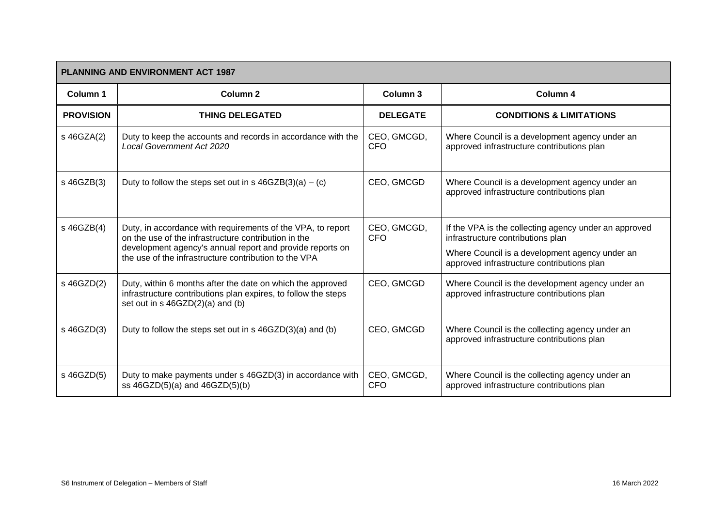| <b>PLANNING AND ENVIRONMENT ACT 1987</b> |                                                                                                                                                                                                                                           |                           |                                                                                                                                                                                            |  |
|------------------------------------------|-------------------------------------------------------------------------------------------------------------------------------------------------------------------------------------------------------------------------------------------|---------------------------|--------------------------------------------------------------------------------------------------------------------------------------------------------------------------------------------|--|
| Column <sub>1</sub>                      | Column 2                                                                                                                                                                                                                                  | Column <sub>3</sub>       | Column 4                                                                                                                                                                                   |  |
| <b>PROVISION</b>                         | <b>THING DELEGATED</b>                                                                                                                                                                                                                    | <b>DELEGATE</b>           | <b>CONDITIONS &amp; LIMITATIONS</b>                                                                                                                                                        |  |
| s 46GZA(2)                               | Duty to keep the accounts and records in accordance with the<br><b>Local Government Act 2020</b>                                                                                                                                          | CEO, GMCGD,<br><b>CFO</b> | Where Council is a development agency under an<br>approved infrastructure contributions plan                                                                                               |  |
| s 46GZB(3)                               | Duty to follow the steps set out in s $46GZB(3)(a) - (c)$                                                                                                                                                                                 | CEO, GMCGD                | Where Council is a development agency under an<br>approved infrastructure contributions plan                                                                                               |  |
| s 46GZB(4)                               | Duty, in accordance with requirements of the VPA, to report<br>on the use of the infrastructure contribution in the<br>development agency's annual report and provide reports on<br>the use of the infrastructure contribution to the VPA | CEO, GMCGD,<br><b>CFO</b> | If the VPA is the collecting agency under an approved<br>infrastructure contributions plan<br>Where Council is a development agency under an<br>approved infrastructure contributions plan |  |
| s 46GZD(2)                               | Duty, within 6 months after the date on which the approved<br>infrastructure contributions plan expires, to follow the steps<br>set out in s 46GZD(2)(a) and (b)                                                                          | CEO, GMCGD                | Where Council is the development agency under an<br>approved infrastructure contributions plan                                                                                             |  |
| s 46GZD(3)                               | Duty to follow the steps set out in s 46GZD(3)(a) and (b)                                                                                                                                                                                 | CEO, GMCGD                | Where Council is the collecting agency under an<br>approved infrastructure contributions plan                                                                                              |  |
| s 46GZD(5)                               | Duty to make payments under s 46GZD(3) in accordance with<br>ss $46GZD(5)(a)$ and $46GZD(5)(b)$                                                                                                                                           | CEO, GMCGD,<br><b>CFO</b> | Where Council is the collecting agency under an<br>approved infrastructure contributions plan                                                                                              |  |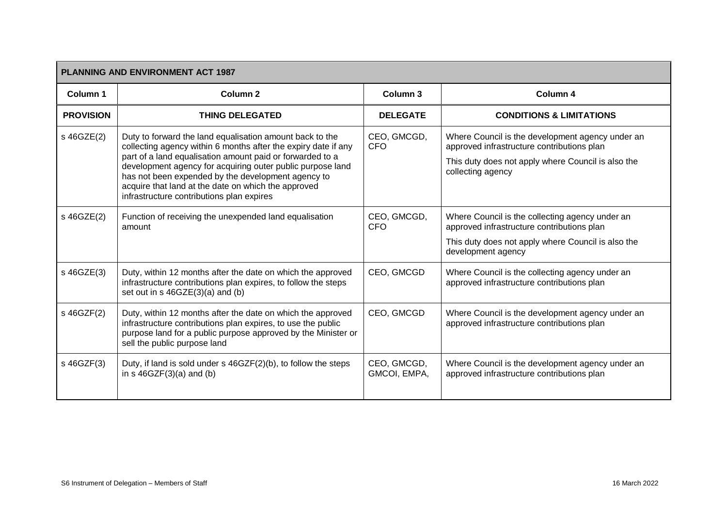| <b>PLANNING AND ENVIRONMENT ACT 1987</b> |                                                                                                                                                                                                                                                                                                                                                                                                                 |                             |                                                                                                                                                                           |  |
|------------------------------------------|-----------------------------------------------------------------------------------------------------------------------------------------------------------------------------------------------------------------------------------------------------------------------------------------------------------------------------------------------------------------------------------------------------------------|-----------------------------|---------------------------------------------------------------------------------------------------------------------------------------------------------------------------|--|
| Column 1                                 | <b>Column 2</b>                                                                                                                                                                                                                                                                                                                                                                                                 | Column 3                    | Column 4                                                                                                                                                                  |  |
| <b>PROVISION</b>                         | <b>THING DELEGATED</b>                                                                                                                                                                                                                                                                                                                                                                                          | <b>DELEGATE</b>             | <b>CONDITIONS &amp; LIMITATIONS</b>                                                                                                                                       |  |
| s 46GZE(2)                               | Duty to forward the land equalisation amount back to the<br>collecting agency within 6 months after the expiry date if any<br>part of a land equalisation amount paid or forwarded to a<br>development agency for acquiring outer public purpose land<br>has not been expended by the development agency to<br>acquire that land at the date on which the approved<br>infrastructure contributions plan expires | CEO, GMCGD,<br><b>CFO</b>   | Where Council is the development agency under an<br>approved infrastructure contributions plan<br>This duty does not apply where Council is also the<br>collecting agency |  |
| s 46GZE(2)                               | Function of receiving the unexpended land equalisation<br>amount                                                                                                                                                                                                                                                                                                                                                | CEO, GMCGD,<br><b>CFO</b>   | Where Council is the collecting agency under an<br>approved infrastructure contributions plan<br>This duty does not apply where Council is also the<br>development agency |  |
| s 46GZE(3)                               | Duty, within 12 months after the date on which the approved<br>infrastructure contributions plan expires, to follow the steps<br>set out in s 46GZE(3)(a) and (b)                                                                                                                                                                                                                                               | CEO, GMCGD                  | Where Council is the collecting agency under an<br>approved infrastructure contributions plan                                                                             |  |
| s 46GZF(2)                               | Duty, within 12 months after the date on which the approved<br>infrastructure contributions plan expires, to use the public<br>purpose land for a public purpose approved by the Minister or<br>sell the public purpose land                                                                                                                                                                                    | CEO, GMCGD                  | Where Council is the development agency under an<br>approved infrastructure contributions plan                                                                            |  |
| s 46GZF(3)                               | Duty, if land is sold under s 46GZF(2)(b), to follow the steps<br>in $s$ 46GZF $(3)(a)$ and $(b)$                                                                                                                                                                                                                                                                                                               | CEO, GMCGD,<br>GMCOI, EMPA, | Where Council is the development agency under an<br>approved infrastructure contributions plan                                                                            |  |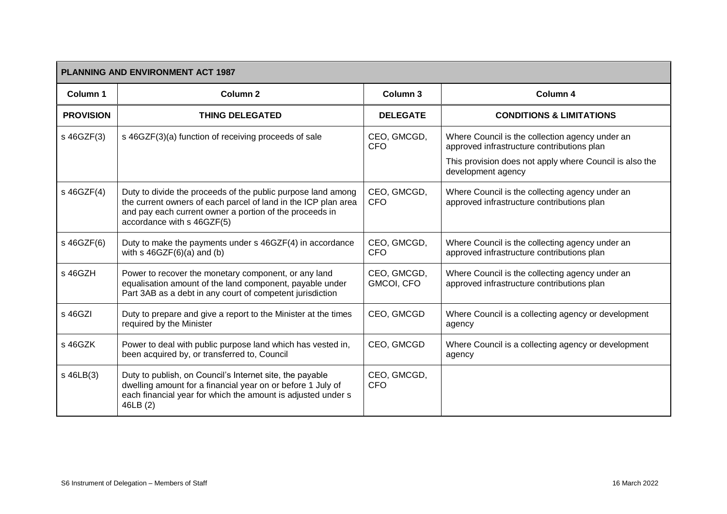| <b>PLANNING AND ENVIRONMENT ACT 1987</b> |                                                                                                                                                                                                                         |                           |                                                                                                                                                                                |  |
|------------------------------------------|-------------------------------------------------------------------------------------------------------------------------------------------------------------------------------------------------------------------------|---------------------------|--------------------------------------------------------------------------------------------------------------------------------------------------------------------------------|--|
| Column 1                                 | <b>Column 2</b>                                                                                                                                                                                                         | Column 3                  | Column 4                                                                                                                                                                       |  |
| <b>PROVISION</b>                         | <b>THING DELEGATED</b>                                                                                                                                                                                                  | <b>DELEGATE</b>           | <b>CONDITIONS &amp; LIMITATIONS</b>                                                                                                                                            |  |
| s 46GZF(3)                               | s 46GZF(3)(a) function of receiving proceeds of sale                                                                                                                                                                    | CEO, GMCGD,<br><b>CFO</b> | Where Council is the collection agency under an<br>approved infrastructure contributions plan<br>This provision does not apply where Council is also the<br>development agency |  |
| s 46GZF(4)                               | Duty to divide the proceeds of the public purpose land among<br>the current owners of each parcel of land in the ICP plan area<br>and pay each current owner a portion of the proceeds in<br>accordance with s 46GZF(5) | CEO, GMCGD,<br><b>CFO</b> | Where Council is the collecting agency under an<br>approved infrastructure contributions plan                                                                                  |  |
| s 46GZF(6)                               | Duty to make the payments under s 46GZF(4) in accordance<br>with $s$ 46GZF $(6)(a)$ and $(b)$                                                                                                                           | CEO, GMCGD,<br><b>CFO</b> | Where Council is the collecting agency under an<br>approved infrastructure contributions plan                                                                                  |  |
| s 46GZH                                  | Power to recover the monetary component, or any land<br>equalisation amount of the land component, payable under<br>Part 3AB as a debt in any court of competent jurisdiction                                           | CEO, GMCGD,<br>GMCOI, CFO | Where Council is the collecting agency under an<br>approved infrastructure contributions plan                                                                                  |  |
| s 46GZI                                  | Duty to prepare and give a report to the Minister at the times<br>required by the Minister                                                                                                                              | CEO, GMCGD                | Where Council is a collecting agency or development<br>agency                                                                                                                  |  |
| s 46GZK                                  | Power to deal with public purpose land which has vested in,<br>been acquired by, or transferred to, Council                                                                                                             | CEO, GMCGD                | Where Council is a collecting agency or development<br>agency                                                                                                                  |  |
| s 46LB(3)                                | Duty to publish, on Council's Internet site, the payable<br>dwelling amount for a financial year on or before 1 July of<br>each financial year for which the amount is adjusted under s<br>46LB (2)                     | CEO, GMCGD,<br><b>CFO</b> |                                                                                                                                                                                |  |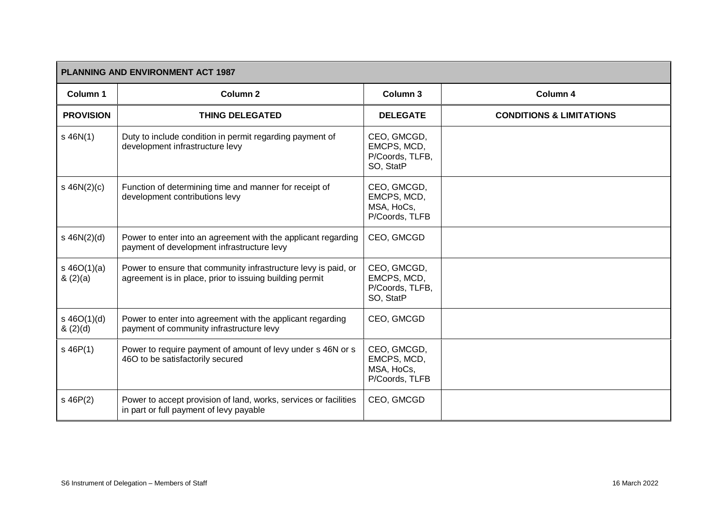| <b>PLANNING AND ENVIRONMENT ACT 1987</b> |                                                                                                                           |                                                            |                                     |  |
|------------------------------------------|---------------------------------------------------------------------------------------------------------------------------|------------------------------------------------------------|-------------------------------------|--|
| Column 1                                 | Column 2                                                                                                                  | Column 3                                                   | Column 4                            |  |
| <b>PROVISION</b>                         | <b>THING DELEGATED</b>                                                                                                    | <b>DELEGATE</b>                                            | <b>CONDITIONS &amp; LIMITATIONS</b> |  |
| $s$ 46N(1)                               | Duty to include condition in permit regarding payment of<br>development infrastructure levy                               | CEO, GMCGD,<br>EMCPS, MCD,<br>P/Coords, TLFB,<br>SO, StatP |                                     |  |
| $s$ 46N(2)(c)                            | Function of determining time and manner for receipt of<br>development contributions levy                                  | CEO, GMCGD,<br>EMCPS, MCD,<br>MSA, HoCs,<br>P/Coords, TLFB |                                     |  |
| $s$ 46N(2)(d)                            | Power to enter into an agreement with the applicant regarding<br>payment of development infrastructure levy               | CEO, GMCGD                                                 |                                     |  |
| $s\ 46O(1)(a)$<br>(2)(a)                 | Power to ensure that community infrastructure levy is paid, or<br>agreement is in place, prior to issuing building permit | CEO, GMCGD,<br>EMCPS, MCD,<br>P/Coords, TLFB,<br>SO, StatP |                                     |  |
| $s\ 46O(1)(d)$<br>(2)(d)                 | Power to enter into agreement with the applicant regarding<br>payment of community infrastructure levy                    | CEO, GMCGD                                                 |                                     |  |
| $s$ 46P(1)                               | Power to require payment of amount of levy under s 46N or s<br>46O to be satisfactorily secured                           | CEO, GMCGD,<br>EMCPS, MCD,<br>MSA, HoCs,<br>P/Coords, TLFB |                                     |  |
| $s$ 46 $P(2)$                            | Power to accept provision of land, works, services or facilities<br>in part or full payment of levy payable               | CEO, GMCGD                                                 |                                     |  |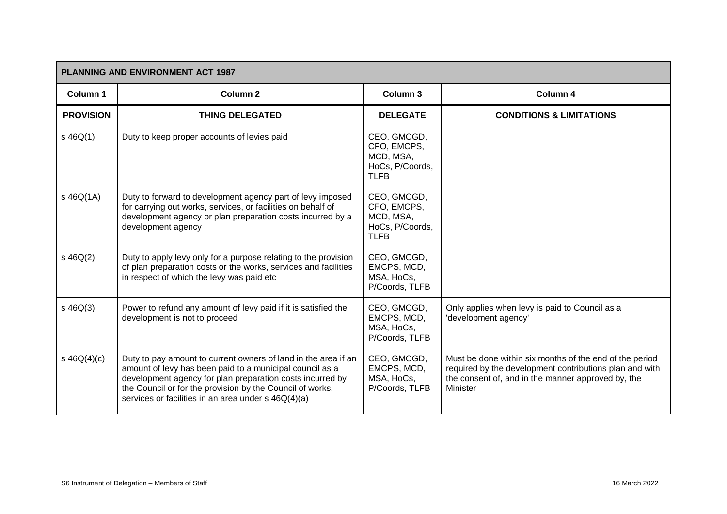| <b>PLANNING AND ENVIRONMENT ACT 1987</b> |                                                                                                                                                                                                                                                                                                             |                                                                           |                                                                                                                                                                                      |  |
|------------------------------------------|-------------------------------------------------------------------------------------------------------------------------------------------------------------------------------------------------------------------------------------------------------------------------------------------------------------|---------------------------------------------------------------------------|--------------------------------------------------------------------------------------------------------------------------------------------------------------------------------------|--|
| Column 1                                 | Column <sub>2</sub>                                                                                                                                                                                                                                                                                         | Column 3                                                                  | Column 4                                                                                                                                                                             |  |
| <b>PROVISION</b>                         | <b>THING DELEGATED</b>                                                                                                                                                                                                                                                                                      | <b>DELEGATE</b>                                                           | <b>CONDITIONS &amp; LIMITATIONS</b>                                                                                                                                                  |  |
| $s\,46Q(1)$                              | Duty to keep proper accounts of levies paid                                                                                                                                                                                                                                                                 | CEO, GMCGD,<br>CFO, EMCPS,<br>MCD, MSA,<br>HoCs, P/Coords,<br><b>TLFB</b> |                                                                                                                                                                                      |  |
| $s$ 46Q(1A)                              | Duty to forward to development agency part of levy imposed<br>for carrying out works, services, or facilities on behalf of<br>development agency or plan preparation costs incurred by a<br>development agency                                                                                              | CEO, GMCGD,<br>CFO, EMCPS,<br>MCD, MSA,<br>HoCs, P/Coords,<br><b>TLFB</b> |                                                                                                                                                                                      |  |
| $s\ 46Q(2)$                              | Duty to apply levy only for a purpose relating to the provision<br>of plan preparation costs or the works, services and facilities<br>in respect of which the levy was paid etc                                                                                                                             | CEO, GMCGD,<br>EMCPS, MCD,<br>MSA, HoCs,<br>P/Coords, TLFB                |                                                                                                                                                                                      |  |
| $s\ 46Q(3)$                              | Power to refund any amount of levy paid if it is satisfied the<br>development is not to proceed                                                                                                                                                                                                             | CEO, GMCGD,<br>EMCPS, MCD,<br>MSA, HoCs,<br>P/Coords, TLFB                | Only applies when levy is paid to Council as a<br>'development agency'                                                                                                               |  |
| s $46Q(4)(c)$                            | Duty to pay amount to current owners of land in the area if an<br>amount of levy has been paid to a municipal council as a<br>development agency for plan preparation costs incurred by<br>the Council or for the provision by the Council of works,<br>services or facilities in an area under s 46Q(4)(a) | CEO, GMCGD,<br>EMCPS, MCD,<br>MSA, HoCs,<br>P/Coords, TLFB                | Must be done within six months of the end of the period<br>required by the development contributions plan and with<br>the consent of, and in the manner approved by, the<br>Minister |  |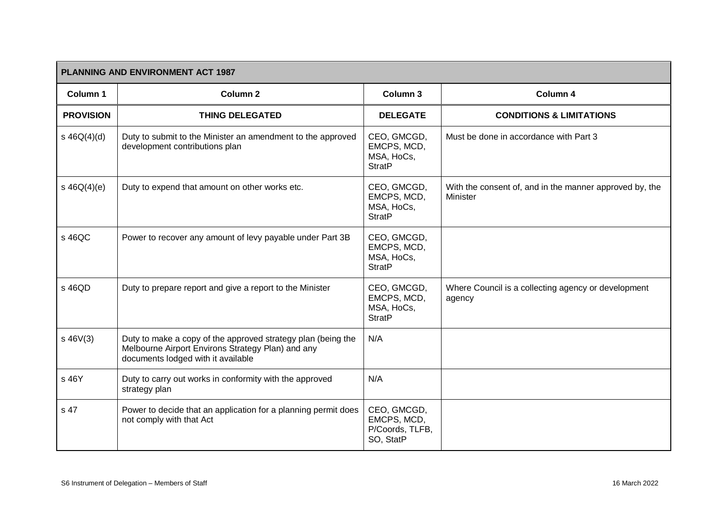|                  | <b>PLANNING AND ENVIRONMENT ACT 1987</b>                                                                                                                |                                                            |                                                                            |  |  |
|------------------|---------------------------------------------------------------------------------------------------------------------------------------------------------|------------------------------------------------------------|----------------------------------------------------------------------------|--|--|
| Column 1         | Column <sub>2</sub>                                                                                                                                     | Column 3                                                   | Column 4                                                                   |  |  |
| <b>PROVISION</b> | <b>THING DELEGATED</b>                                                                                                                                  | <b>DELEGATE</b>                                            | <b>CONDITIONS &amp; LIMITATIONS</b>                                        |  |  |
| $s\ 46Q(4)(d)$   | Duty to submit to the Minister an amendment to the approved<br>development contributions plan                                                           | CEO, GMCGD,<br>EMCPS, MCD,<br>MSA, HoCs,<br><b>StratP</b>  | Must be done in accordance with Part 3                                     |  |  |
| $s\ 46Q(4)(e)$   | Duty to expend that amount on other works etc.                                                                                                          | CEO, GMCGD,<br>EMCPS, MCD,<br>MSA, HoCs,<br><b>StratP</b>  | With the consent of, and in the manner approved by, the<br><b>Minister</b> |  |  |
| s 46QC           | Power to recover any amount of levy payable under Part 3B                                                                                               | CEO, GMCGD,<br>EMCPS, MCD,<br>MSA, HoCs,<br><b>StratP</b>  |                                                                            |  |  |
| s 46QD           | Duty to prepare report and give a report to the Minister                                                                                                | CEO, GMCGD,<br>EMCPS, MCD,<br>MSA, HoCs,<br><b>StratP</b>  | Where Council is a collecting agency or development<br>agency              |  |  |
| $s\,46V(3)$      | Duty to make a copy of the approved strategy plan (being the<br>Melbourne Airport Environs Strategy Plan) and any<br>documents lodged with it available | N/A                                                        |                                                                            |  |  |
| s 46Y            | Duty to carry out works in conformity with the approved<br>strategy plan                                                                                | N/A                                                        |                                                                            |  |  |
| s 47             | Power to decide that an application for a planning permit does<br>not comply with that Act                                                              | CEO, GMCGD,<br>EMCPS, MCD,<br>P/Coords, TLFB,<br>SO, StatP |                                                                            |  |  |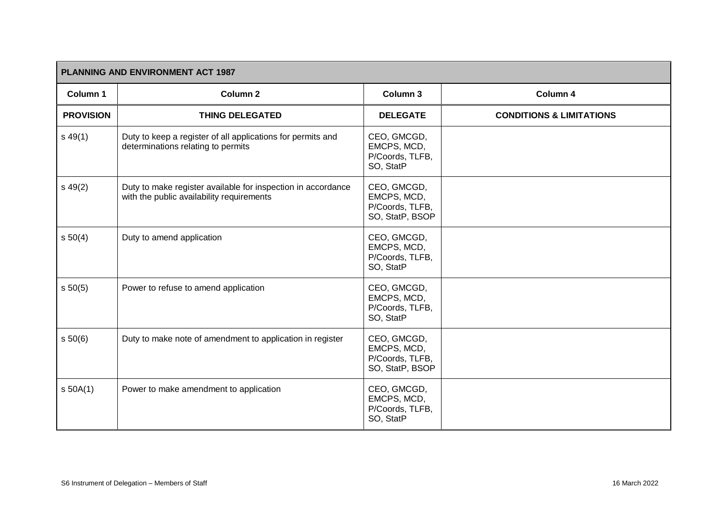| <b>PLANNING AND ENVIRONMENT ACT 1987</b> |                                                                                                           |                                                                  |                                     |
|------------------------------------------|-----------------------------------------------------------------------------------------------------------|------------------------------------------------------------------|-------------------------------------|
| Column 1                                 | Column <sub>2</sub>                                                                                       | Column 3                                                         | Column 4                            |
| <b>PROVISION</b>                         | <b>THING DELEGATED</b>                                                                                    | <b>DELEGATE</b>                                                  | <b>CONDITIONS &amp; LIMITATIONS</b> |
| $s\,49(1)$                               | Duty to keep a register of all applications for permits and<br>determinations relating to permits         | CEO, GMCGD,<br>EMCPS, MCD,<br>P/Coords, TLFB,<br>SO, StatP       |                                     |
| $s\,49(2)$                               | Duty to make register available for inspection in accordance<br>with the public availability requirements | CEO, GMCGD,<br>EMCPS, MCD,<br>P/Coords, TLFB,<br>SO, StatP, BSOP |                                     |
| s 50(4)                                  | Duty to amend application                                                                                 | CEO, GMCGD,<br>EMCPS, MCD,<br>P/Coords, TLFB,<br>SO, StatP       |                                     |
| s 50(5)                                  | Power to refuse to amend application                                                                      | CEO, GMCGD,<br>EMCPS, MCD,<br>P/Coords, TLFB,<br>SO, StatP       |                                     |
| s 50(6)                                  | Duty to make note of amendment to application in register                                                 | CEO, GMCGD,<br>EMCPS, MCD,<br>P/Coords, TLFB,<br>SO, StatP, BSOP |                                     |
| s 50A(1)                                 | Power to make amendment to application                                                                    | CEO, GMCGD,<br>EMCPS, MCD,<br>P/Coords, TLFB,<br>SO, StatP       |                                     |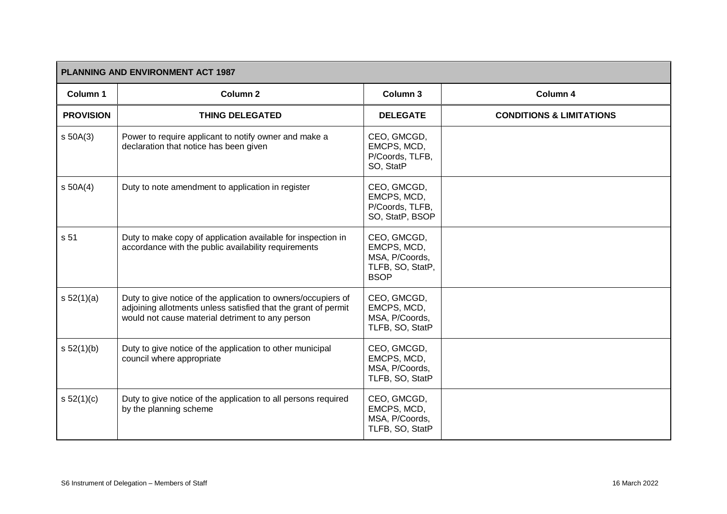| PLANNING AND ENVIRONMENT ACT 1987 |                                                                                                                                                                                     |                                                                                 |                                     |
|-----------------------------------|-------------------------------------------------------------------------------------------------------------------------------------------------------------------------------------|---------------------------------------------------------------------------------|-------------------------------------|
| Column 1                          | Column <sub>2</sub>                                                                                                                                                                 | Column 3                                                                        | Column 4                            |
| <b>PROVISION</b>                  | <b>THING DELEGATED</b>                                                                                                                                                              | <b>DELEGATE</b>                                                                 | <b>CONDITIONS &amp; LIMITATIONS</b> |
| $s$ 50A(3)                        | Power to require applicant to notify owner and make a<br>declaration that notice has been given                                                                                     | CEO, GMCGD,<br>EMCPS, MCD,<br>P/Coords, TLFB,<br>SO, StatP                      |                                     |
| $s$ 50A(4)                        | Duty to note amendment to application in register                                                                                                                                   | CEO, GMCGD,<br>EMCPS, MCD,<br>P/Coords, TLFB,<br>SO, StatP, BSOP                |                                     |
| s 51                              | Duty to make copy of application available for inspection in<br>accordance with the public availability requirements                                                                | CEO, GMCGD,<br>EMCPS, MCD,<br>MSA, P/Coords,<br>TLFB, SO, StatP,<br><b>BSOP</b> |                                     |
| s 52(1)(a)                        | Duty to give notice of the application to owners/occupiers of<br>adjoining allotments unless satisfied that the grant of permit<br>would not cause material detriment to any person | CEO, GMCGD,<br>EMCPS, MCD,<br>MSA, P/Coords,<br>TLFB, SO, StatP                 |                                     |
| s 52(1)(b)                        | Duty to give notice of the application to other municipal<br>council where appropriate                                                                                              | CEO, GMCGD,<br>EMCPS, MCD,<br>MSA, P/Coords,<br>TLFB, SO, StatP                 |                                     |
| s 52(1)(c)                        | Duty to give notice of the application to all persons required<br>by the planning scheme                                                                                            | CEO, GMCGD,<br>EMCPS, MCD,<br>MSA, P/Coords,<br>TLFB, SO, StatP                 |                                     |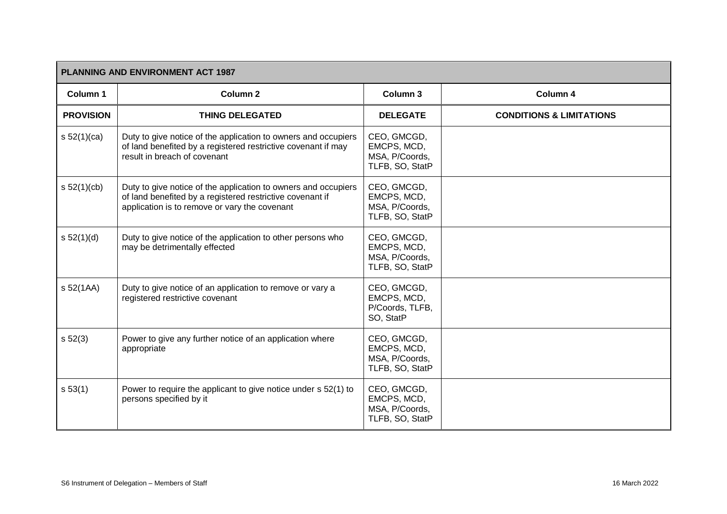| <b>PLANNING AND ENVIRONMENT ACT 1987</b> |                                                                                                                                                                              |                                                                 |                                     |  |
|------------------------------------------|------------------------------------------------------------------------------------------------------------------------------------------------------------------------------|-----------------------------------------------------------------|-------------------------------------|--|
| Column 1                                 | Column <sub>2</sub>                                                                                                                                                          | Column 3                                                        | Column 4                            |  |
| <b>PROVISION</b>                         | <b>THING DELEGATED</b>                                                                                                                                                       | <b>DELEGATE</b>                                                 | <b>CONDITIONS &amp; LIMITATIONS</b> |  |
| s $52(1)(ca)$                            | Duty to give notice of the application to owners and occupiers<br>of land benefited by a registered restrictive covenant if may<br>result in breach of covenant              | CEO, GMCGD,<br>EMCPS, MCD,<br>MSA, P/Coords,<br>TLFB, SO, StatP |                                     |  |
| s 52(1)(cb)                              | Duty to give notice of the application to owners and occupiers<br>of land benefited by a registered restrictive covenant if<br>application is to remove or vary the covenant | CEO, GMCGD,<br>EMCPS, MCD,<br>MSA, P/Coords,<br>TLFB, SO, StatP |                                     |  |
| s 52(1)(d)                               | Duty to give notice of the application to other persons who<br>may be detrimentally effected                                                                                 | CEO, GMCGD,<br>EMCPS, MCD,<br>MSA, P/Coords,<br>TLFB, SO, StatP |                                     |  |
| s 52(1AA)                                | Duty to give notice of an application to remove or vary a<br>registered restrictive covenant                                                                                 | CEO, GMCGD,<br>EMCPS, MCD,<br>P/Coords, TLFB,<br>SO, StatP      |                                     |  |
| s 52(3)                                  | Power to give any further notice of an application where<br>appropriate                                                                                                      | CEO, GMCGD,<br>EMCPS, MCD,<br>MSA, P/Coords,<br>TLFB, SO, StatP |                                     |  |
| s 53(1)                                  | Power to require the applicant to give notice under s 52(1) to<br>persons specified by it                                                                                    | CEO, GMCGD,<br>EMCPS, MCD,<br>MSA, P/Coords,<br>TLFB, SO, StatP |                                     |  |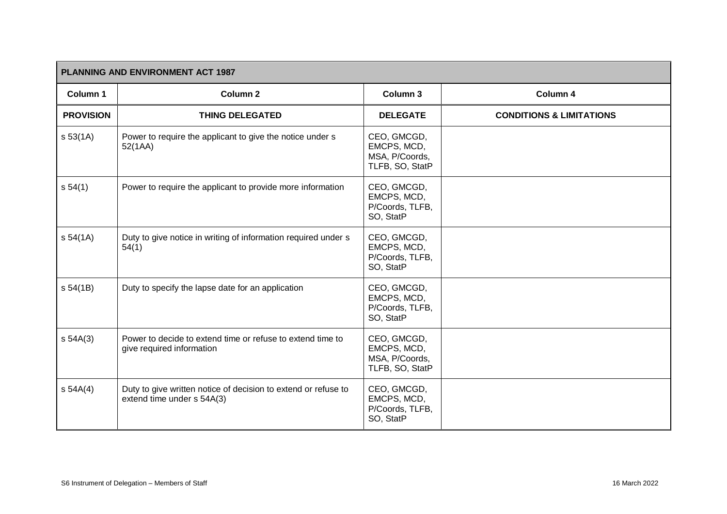| <b>PLANNING AND ENVIRONMENT ACT 1987</b> |                                                                                              |                                                                 |                                     |
|------------------------------------------|----------------------------------------------------------------------------------------------|-----------------------------------------------------------------|-------------------------------------|
| Column 1                                 | Column <sub>2</sub>                                                                          | Column 3                                                        | Column 4                            |
| <b>PROVISION</b>                         | <b>THING DELEGATED</b>                                                                       | <b>DELEGATE</b>                                                 | <b>CONDITIONS &amp; LIMITATIONS</b> |
| s 53(1A)                                 | Power to require the applicant to give the notice under s<br>52(1AA)                         | CEO, GMCGD,<br>EMCPS, MCD,<br>MSA, P/Coords,<br>TLFB, SO, StatP |                                     |
| s 54(1)                                  | Power to require the applicant to provide more information                                   | CEO, GMCGD,<br>EMCPS, MCD,<br>P/Coords, TLFB,<br>SO, StatP      |                                     |
| s 54(1A)                                 | Duty to give notice in writing of information required under s<br>54(1)                      | CEO, GMCGD,<br>EMCPS, MCD,<br>P/Coords, TLFB,<br>SO, StatP      |                                     |
| s 54(1B)                                 | Duty to specify the lapse date for an application                                            | CEO, GMCGD,<br>EMCPS, MCD,<br>P/Coords, TLFB,<br>SO, StatP      |                                     |
| $s$ 54A(3)                               | Power to decide to extend time or refuse to extend time to<br>give required information      | CEO, GMCGD,<br>EMCPS, MCD,<br>MSA, P/Coords,<br>TLFB, SO, StatP |                                     |
| s 54A(4)                                 | Duty to give written notice of decision to extend or refuse to<br>extend time under s 54A(3) | CEO, GMCGD,<br>EMCPS, MCD,<br>P/Coords, TLFB,<br>SO, StatP      |                                     |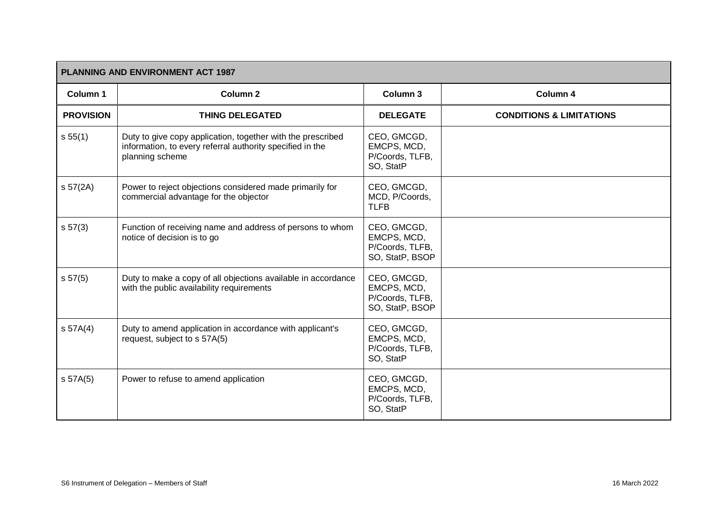| <b>PLANNING AND ENVIRONMENT ACT 1987</b> |                                                                                                                                             |                                                                  |                                     |  |
|------------------------------------------|---------------------------------------------------------------------------------------------------------------------------------------------|------------------------------------------------------------------|-------------------------------------|--|
| Column 1                                 | <b>Column 2</b>                                                                                                                             | <b>Column 3</b>                                                  | Column 4                            |  |
| <b>PROVISION</b>                         | <b>THING DELEGATED</b>                                                                                                                      | <b>DELEGATE</b>                                                  | <b>CONDITIONS &amp; LIMITATIONS</b> |  |
| s 55(1)                                  | Duty to give copy application, together with the prescribed<br>information, to every referral authority specified in the<br>planning scheme | CEO, GMCGD,<br>EMCPS, MCD,<br>P/Coords, TLFB,<br>SO, StatP       |                                     |  |
| s 57(2A)                                 | Power to reject objections considered made primarily for<br>commercial advantage for the objector                                           | CEO, GMCGD,<br>MCD, P/Coords,<br><b>TLFB</b>                     |                                     |  |
| s 57(3)                                  | Function of receiving name and address of persons to whom<br>notice of decision is to go                                                    | CEO, GMCGD,<br>EMCPS, MCD,<br>P/Coords, TLFB,<br>SO, StatP, BSOP |                                     |  |
| s 57(5)                                  | Duty to make a copy of all objections available in accordance<br>with the public availability requirements                                  | CEO, GMCGD,<br>EMCPS, MCD,<br>P/Coords, TLFB,<br>SO, StatP, BSOP |                                     |  |
| S 57A(4)                                 | Duty to amend application in accordance with applicant's<br>request, subject to s 57A(5)                                                    | CEO, GMCGD,<br>EMCPS, MCD,<br>P/Coords, TLFB,<br>SO, StatP       |                                     |  |
| s 57A(5)                                 | Power to refuse to amend application                                                                                                        | CEO, GMCGD,<br>EMCPS, MCD,<br>P/Coords, TLFB,<br>SO, StatP       |                                     |  |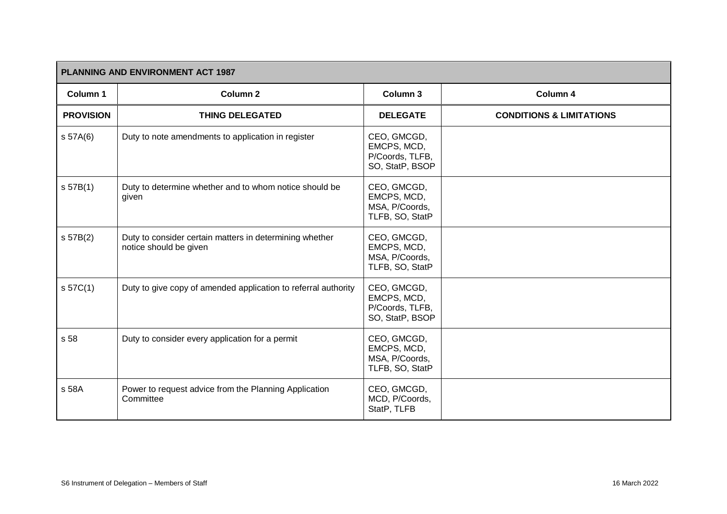| <b>PLANNING AND ENVIRONMENT ACT 1987</b> |                                                                                   |                                                                  |                                     |  |
|------------------------------------------|-----------------------------------------------------------------------------------|------------------------------------------------------------------|-------------------------------------|--|
| Column 1                                 | <b>Column 2</b>                                                                   | Column 3                                                         | Column 4                            |  |
| <b>PROVISION</b>                         | <b>THING DELEGATED</b>                                                            | <b>DELEGATE</b>                                                  | <b>CONDITIONS &amp; LIMITATIONS</b> |  |
| s 57A(6)                                 | Duty to note amendments to application in register                                | CEO, GMCGD,<br>EMCPS, MCD,<br>P/Coords, TLFB,<br>SO, StatP, BSOP |                                     |  |
| s 57B(1)                                 | Duty to determine whether and to whom notice should be<br>given                   | CEO, GMCGD,<br>EMCPS, MCD,<br>MSA, P/Coords,<br>TLFB, SO, StatP  |                                     |  |
| s 57B(2)                                 | Duty to consider certain matters in determining whether<br>notice should be given | CEO, GMCGD,<br>EMCPS, MCD,<br>MSA, P/Coords,<br>TLFB, SO, StatP  |                                     |  |
| S <sub>57C(1)</sub>                      | Duty to give copy of amended application to referral authority                    | CEO, GMCGD,<br>EMCPS, MCD,<br>P/Coords, TLFB,<br>SO, StatP, BSOP |                                     |  |
| s 58                                     | Duty to consider every application for a permit                                   | CEO, GMCGD,<br>EMCPS, MCD,<br>MSA, P/Coords,<br>TLFB, SO, StatP  |                                     |  |
| s 58A                                    | Power to request advice from the Planning Application<br>Committee                | CEO, GMCGD,<br>MCD, P/Coords,<br>StatP, TLFB                     |                                     |  |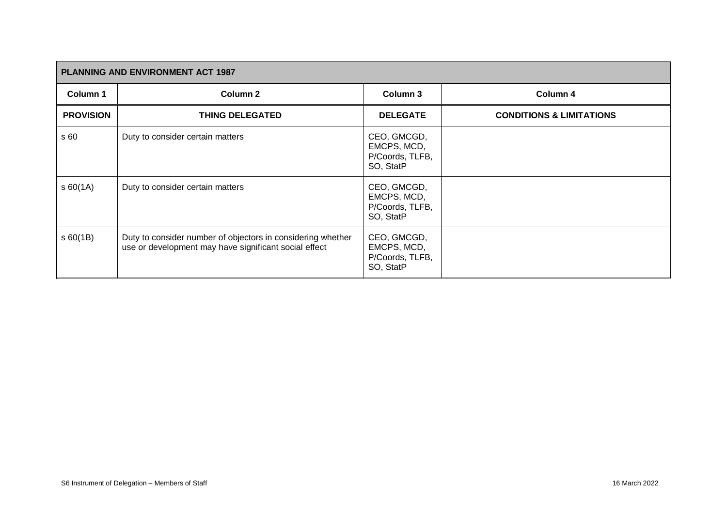| <b>PLANNING AND ENVIRONMENT ACT 1987</b> |                                                                                                                      |                                                            |                                     |  |
|------------------------------------------|----------------------------------------------------------------------------------------------------------------------|------------------------------------------------------------|-------------------------------------|--|
| Column 1                                 | Column <sub>2</sub>                                                                                                  | Column 3                                                   | Column 4                            |  |
| <b>PROVISION</b>                         | <b>THING DELEGATED</b>                                                                                               | <b>DELEGATE</b>                                            | <b>CONDITIONS &amp; LIMITATIONS</b> |  |
| s 60                                     | Duty to consider certain matters                                                                                     | CEO, GMCGD,<br>EMCPS, MCD,<br>P/Coords, TLFB,<br>SO, StatP |                                     |  |
| \$60(1A)                                 | Duty to consider certain matters                                                                                     | CEO, GMCGD,<br>EMCPS, MCD,<br>P/Coords, TLFB,<br>SO, StatP |                                     |  |
| \$60(1B)                                 | Duty to consider number of objectors in considering whether<br>use or development may have significant social effect | CEO, GMCGD,<br>EMCPS, MCD,<br>P/Coords, TLFB,<br>SO, StatP |                                     |  |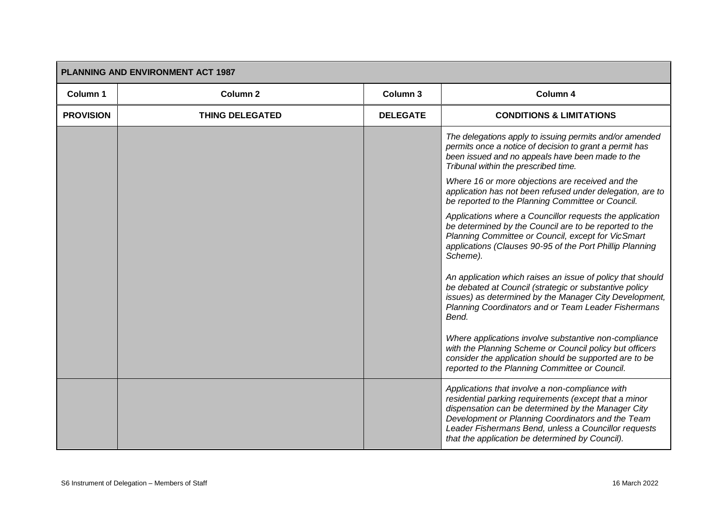| <b>PLANNING AND ENVIRONMENT ACT 1987</b> |                        |                 |                                                                                                                                                                                                                                                                                                                                |  |
|------------------------------------------|------------------------|-----------------|--------------------------------------------------------------------------------------------------------------------------------------------------------------------------------------------------------------------------------------------------------------------------------------------------------------------------------|--|
| Column 1                                 | <b>Column 2</b>        | Column 3        | Column 4                                                                                                                                                                                                                                                                                                                       |  |
| <b>PROVISION</b>                         | <b>THING DELEGATED</b> | <b>DELEGATE</b> | <b>CONDITIONS &amp; LIMITATIONS</b>                                                                                                                                                                                                                                                                                            |  |
|                                          |                        |                 | The delegations apply to issuing permits and/or amended<br>permits once a notice of decision to grant a permit has<br>been issued and no appeals have been made to the<br>Tribunal within the prescribed time.                                                                                                                 |  |
|                                          |                        |                 | Where 16 or more objections are received and the<br>application has not been refused under delegation, are to<br>be reported to the Planning Committee or Council.                                                                                                                                                             |  |
|                                          |                        |                 | Applications where a Councillor requests the application<br>be determined by the Council are to be reported to the<br>Planning Committee or Council, except for VicSmart<br>applications (Clauses 90-95 of the Port Phillip Planning<br>Scheme).                                                                               |  |
|                                          |                        |                 | An application which raises an issue of policy that should<br>be debated at Council (strategic or substantive policy<br>issues) as determined by the Manager City Development,<br>Planning Coordinators and or Team Leader Fishermans<br>Bend.                                                                                 |  |
|                                          |                        |                 | Where applications involve substantive non-compliance<br>with the Planning Scheme or Council policy but officers<br>consider the application should be supported are to be<br>reported to the Planning Committee or Council.                                                                                                   |  |
|                                          |                        |                 | Applications that involve a non-compliance with<br>residential parking requirements (except that a minor<br>dispensation can be determined by the Manager City<br>Development or Planning Coordinators and the Team<br>Leader Fishermans Bend, unless a Councillor requests<br>that the application be determined by Council). |  |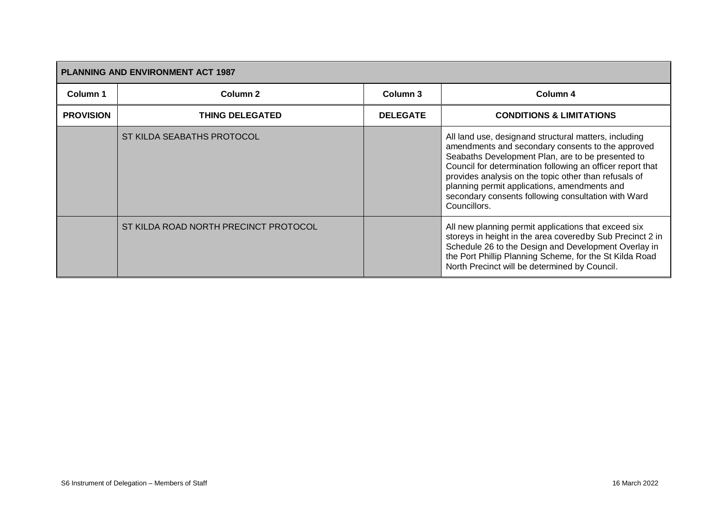| <b>PLANNING AND ENVIRONMENT ACT 1987</b> |                                       |                 |                                                                                                                                                                                                                                                                                                                                                                                                               |  |
|------------------------------------------|---------------------------------------|-----------------|---------------------------------------------------------------------------------------------------------------------------------------------------------------------------------------------------------------------------------------------------------------------------------------------------------------------------------------------------------------------------------------------------------------|--|
| Column 1                                 | Column <sub>2</sub>                   | Column 3        | Column 4                                                                                                                                                                                                                                                                                                                                                                                                      |  |
| <b>PROVISION</b>                         | <b>THING DELEGATED</b>                | <b>DELEGATE</b> | <b>CONDITIONS &amp; LIMITATIONS</b>                                                                                                                                                                                                                                                                                                                                                                           |  |
|                                          | ST KILDA SEABATHS PROTOCOL            |                 | All land use, designand structural matters, including<br>amendments and secondary consents to the approved<br>Seabaths Development Plan, are to be presented to<br>Council for determination following an officer report that<br>provides analysis on the topic other than refusals of<br>planning permit applications, amendments and<br>secondary consents following consultation with Ward<br>Councillors. |  |
|                                          | ST KILDA ROAD NORTH PRECINCT PROTOCOL |                 | All new planning permit applications that exceed six<br>storeys in height in the area coveredby Sub Precinct 2 in<br>Schedule 26 to the Design and Development Overlay in<br>the Port Phillip Planning Scheme, for the St Kilda Road<br>North Precinct will be determined by Council.                                                                                                                         |  |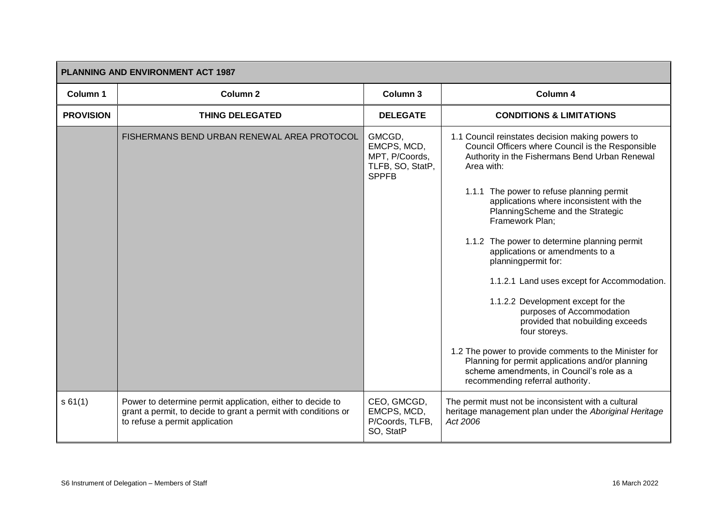| <b>PLANNING AND ENVIRONMENT ACT 1987</b> |                                                                                                                                                                |                                                                             |                                                                                                                                                                                            |  |
|------------------------------------------|----------------------------------------------------------------------------------------------------------------------------------------------------------------|-----------------------------------------------------------------------------|--------------------------------------------------------------------------------------------------------------------------------------------------------------------------------------------|--|
| <b>Column 1</b>                          | <b>Column 2</b>                                                                                                                                                | Column 3                                                                    | Column 4                                                                                                                                                                                   |  |
| <b>PROVISION</b>                         | <b>THING DELEGATED</b>                                                                                                                                         | <b>DELEGATE</b>                                                             | <b>CONDITIONS &amp; LIMITATIONS</b>                                                                                                                                                        |  |
|                                          | FISHERMANS BEND URBAN RENEWAL AREA PROTOCOL                                                                                                                    | GMCGD,<br>EMCPS, MCD,<br>MPT, P/Coords,<br>TLFB, SO, StatP,<br><b>SPPFB</b> | 1.1 Council reinstates decision making powers to<br>Council Officers where Council is the Responsible<br>Authority in the Fishermans Bend Urban Renewal<br>Area with:                      |  |
|                                          |                                                                                                                                                                |                                                                             | 1.1.1 The power to refuse planning permit<br>applications where inconsistent with the<br>PlanningScheme and the Strategic<br>Framework Plan;                                               |  |
|                                          |                                                                                                                                                                |                                                                             | 1.1.2 The power to determine planning permit<br>applications or amendments to a<br>planningpermit for:                                                                                     |  |
|                                          |                                                                                                                                                                |                                                                             | 1.1.2.1 Land uses except for Accommodation.                                                                                                                                                |  |
|                                          |                                                                                                                                                                |                                                                             | 1.1.2.2 Development except for the<br>purposes of Accommodation<br>provided that nobuilding exceeds<br>four storeys.                                                                       |  |
|                                          |                                                                                                                                                                |                                                                             | 1.2 The power to provide comments to the Minister for<br>Planning for permit applications and/or planning<br>scheme amendments, in Council's role as a<br>recommending referral authority. |  |
| s 61(1)                                  | Power to determine permit application, either to decide to<br>grant a permit, to decide to grant a permit with conditions or<br>to refuse a permit application | CEO, GMCGD,<br>EMCPS, MCD,<br>P/Coords, TLFB,<br>SO, StatP                  | The permit must not be inconsistent with a cultural<br>heritage management plan under the Aboriginal Heritage<br>Act 2006                                                                  |  |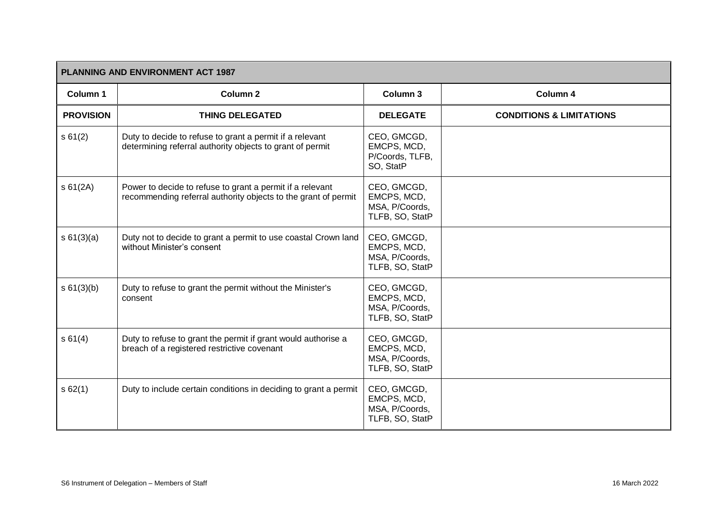| <b>PLANNING AND ENVIRONMENT ACT 1987</b> |                                                                                                                             |                                                                 |                                     |  |
|------------------------------------------|-----------------------------------------------------------------------------------------------------------------------------|-----------------------------------------------------------------|-------------------------------------|--|
| Column 1                                 | <b>Column 2</b>                                                                                                             | Column 3                                                        | Column 4                            |  |
| <b>PROVISION</b>                         | <b>THING DELEGATED</b>                                                                                                      | <b>DELEGATE</b>                                                 | <b>CONDITIONS &amp; LIMITATIONS</b> |  |
| s 61(2)                                  | Duty to decide to refuse to grant a permit if a relevant<br>determining referral authority objects to grant of permit       | CEO, GMCGD,<br>EMCPS, MCD,<br>P/Coords, TLFB,<br>SO, StatP      |                                     |  |
| s 61(2A)                                 | Power to decide to refuse to grant a permit if a relevant<br>recommending referral authority objects to the grant of permit | CEO, GMCGD,<br>EMCPS, MCD,<br>MSA, P/Coords,<br>TLFB, SO, StatP |                                     |  |
| s 61(3)(a)                               | Duty not to decide to grant a permit to use coastal Crown land<br>without Minister's consent                                | CEO, GMCGD,<br>EMCPS, MCD,<br>MSA, P/Coords,<br>TLFB, SO, StatP |                                     |  |
| s 61(3)(b)                               | Duty to refuse to grant the permit without the Minister's<br>consent                                                        | CEO, GMCGD,<br>EMCPS, MCD,<br>MSA, P/Coords,<br>TLFB, SO, StatP |                                     |  |
| s 61(4)                                  | Duty to refuse to grant the permit if grant would authorise a<br>breach of a registered restrictive covenant                | CEO, GMCGD,<br>EMCPS, MCD,<br>MSA, P/Coords,<br>TLFB, SO, StatP |                                     |  |
| s62(1)                                   | Duty to include certain conditions in deciding to grant a permit                                                            | CEO, GMCGD,<br>EMCPS, MCD,<br>MSA, P/Coords,<br>TLFB, SO, StatP |                                     |  |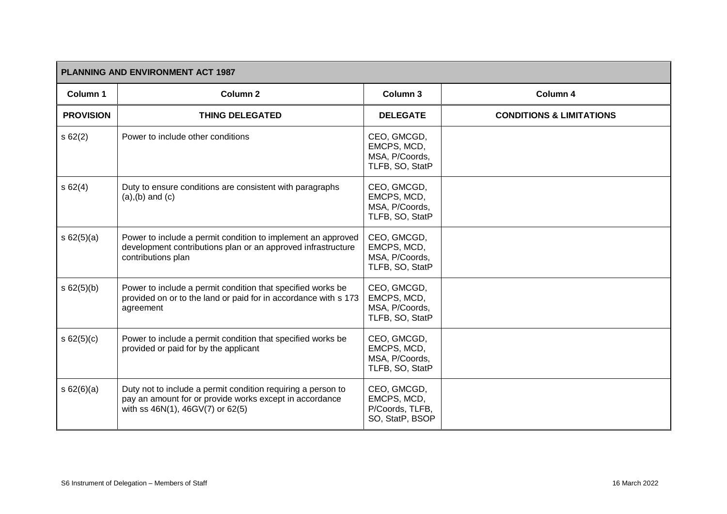| <b>PLANNING AND ENVIRONMENT ACT 1987</b> |                                                                                                                                                             |                                                                  |                                     |
|------------------------------------------|-------------------------------------------------------------------------------------------------------------------------------------------------------------|------------------------------------------------------------------|-------------------------------------|
| Column 1                                 | Column <sub>2</sub>                                                                                                                                         | Column 3                                                         | Column 4                            |
| <b>PROVISION</b>                         | <b>THING DELEGATED</b>                                                                                                                                      | <b>DELEGATE</b>                                                  | <b>CONDITIONS &amp; LIMITATIONS</b> |
| s62(2)                                   | Power to include other conditions                                                                                                                           | CEO, GMCGD,<br>EMCPS, MCD,<br>MSA, P/Coords,<br>TLFB, SO, StatP  |                                     |
| s62(4)                                   | Duty to ensure conditions are consistent with paragraphs<br>$(a), (b)$ and $(c)$                                                                            | CEO, GMCGD,<br>EMCPS, MCD,<br>MSA, P/Coords,<br>TLFB, SO, StatP  |                                     |
| s 62(5)(a)                               | Power to include a permit condition to implement an approved<br>development contributions plan or an approved infrastructure<br>contributions plan          | CEO, GMCGD,<br>EMCPS, MCD,<br>MSA, P/Coords,<br>TLFB, SO, StatP  |                                     |
| s 62(5)(b)                               | Power to include a permit condition that specified works be<br>provided on or to the land or paid for in accordance with s 173<br>agreement                 | CEO, GMCGD,<br>EMCPS, MCD,<br>MSA, P/Coords,<br>TLFB, SO, StatP  |                                     |
| s 62(5)(c)                               | Power to include a permit condition that specified works be<br>provided or paid for by the applicant                                                        | CEO, GMCGD,<br>EMCPS, MCD,<br>MSA, P/Coords,<br>TLFB, SO, StatP  |                                     |
| s 62(6)(a)                               | Duty not to include a permit condition requiring a person to<br>pay an amount for or provide works except in accordance<br>with ss 46N(1), 46GV(7) or 62(5) | CEO, GMCGD,<br>EMCPS, MCD,<br>P/Coords, TLFB,<br>SO, StatP, BSOP |                                     |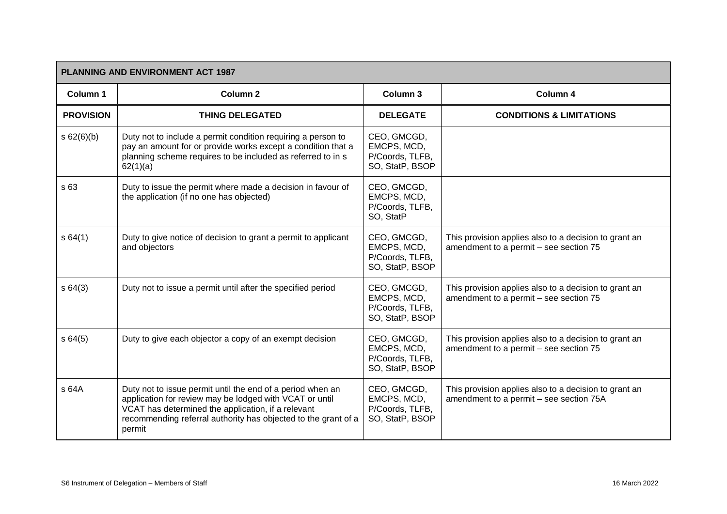| <b>PLANNING AND ENVIRONMENT ACT 1987</b> |                                                                                                                                                                                                                                                         |                                                                  |                                                                                                  |  |
|------------------------------------------|---------------------------------------------------------------------------------------------------------------------------------------------------------------------------------------------------------------------------------------------------------|------------------------------------------------------------------|--------------------------------------------------------------------------------------------------|--|
| Column 1                                 | Column <sub>2</sub>                                                                                                                                                                                                                                     | Column 3                                                         | Column 4                                                                                         |  |
| <b>PROVISION</b>                         | <b>THING DELEGATED</b>                                                                                                                                                                                                                                  | <b>DELEGATE</b>                                                  | <b>CONDITIONS &amp; LIMITATIONS</b>                                                              |  |
| s 62(6)(b)                               | Duty not to include a permit condition requiring a person to<br>pay an amount for or provide works except a condition that a<br>planning scheme requires to be included as referred to in s<br>62(1)(a)                                                 | CEO, GMCGD,<br>EMCPS, MCD,<br>P/Coords, TLFB,<br>SO, StatP, BSOP |                                                                                                  |  |
| s 63                                     | Duty to issue the permit where made a decision in favour of<br>the application (if no one has objected)                                                                                                                                                 | CEO, GMCGD,<br>EMCPS, MCD,<br>P/Coords, TLFB,<br>SO, StatP       |                                                                                                  |  |
| s64(1)                                   | Duty to give notice of decision to grant a permit to applicant<br>and objectors                                                                                                                                                                         | CEO, GMCGD,<br>EMCPS, MCD,<br>P/Coords, TLFB,<br>SO, StatP, BSOP | This provision applies also to a decision to grant an<br>amendment to a permit - see section 75  |  |
| s64(3)                                   | Duty not to issue a permit until after the specified period                                                                                                                                                                                             | CEO, GMCGD,<br>EMCPS, MCD,<br>P/Coords, TLFB,<br>SO, StatP, BSOP | This provision applies also to a decision to grant an<br>amendment to a permit - see section 75  |  |
| s64(5)                                   | Duty to give each objector a copy of an exempt decision                                                                                                                                                                                                 | CEO, GMCGD,<br>EMCPS, MCD,<br>P/Coords, TLFB,<br>SO, StatP, BSOP | This provision applies also to a decision to grant an<br>amendment to a permit - see section 75  |  |
| s 64A                                    | Duty not to issue permit until the end of a period when an<br>application for review may be lodged with VCAT or until<br>VCAT has determined the application, if a relevant<br>recommending referral authority has objected to the grant of a<br>permit | CEO, GMCGD,<br>EMCPS, MCD,<br>P/Coords, TLFB,<br>SO, StatP, BSOP | This provision applies also to a decision to grant an<br>amendment to a permit - see section 75A |  |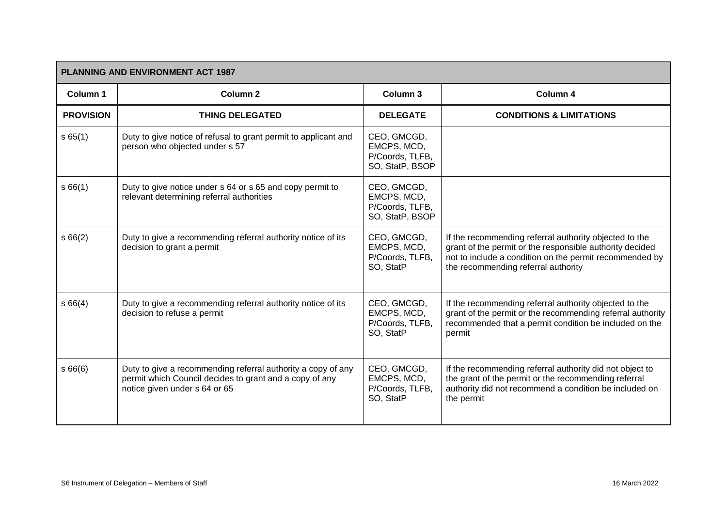| PLANNING AND ENVIRONMENT ACT 1987 |                                                                                                                                                          |                                                                  |                                                                                                                                                                                                                      |  |
|-----------------------------------|----------------------------------------------------------------------------------------------------------------------------------------------------------|------------------------------------------------------------------|----------------------------------------------------------------------------------------------------------------------------------------------------------------------------------------------------------------------|--|
| Column 1                          | Column 2                                                                                                                                                 | Column 3                                                         | Column 4                                                                                                                                                                                                             |  |
| <b>PROVISION</b>                  | <b>THING DELEGATED</b>                                                                                                                                   | <b>DELEGATE</b>                                                  | <b>CONDITIONS &amp; LIMITATIONS</b>                                                                                                                                                                                  |  |
| s65(1)                            | Duty to give notice of refusal to grant permit to applicant and<br>person who objected under s 57                                                        | CEO, GMCGD,<br>EMCPS, MCD,<br>P/Coords, TLFB,<br>SO, StatP, BSOP |                                                                                                                                                                                                                      |  |
| s66(1)                            | Duty to give notice under s 64 or s 65 and copy permit to<br>relevant determining referral authorities                                                   | CEO, GMCGD,<br>EMCPS, MCD,<br>P/Coords, TLFB,<br>SO, StatP, BSOP |                                                                                                                                                                                                                      |  |
| s66(2)                            | Duty to give a recommending referral authority notice of its<br>decision to grant a permit                                                               | CEO, GMCGD,<br>EMCPS, MCD,<br>P/Coords, TLFB,<br>SO, StatP       | If the recommending referral authority objected to the<br>grant of the permit or the responsible authority decided<br>not to include a condition on the permit recommended by<br>the recommending referral authority |  |
| s66(4)                            | Duty to give a recommending referral authority notice of its<br>decision to refuse a permit                                                              | CEO, GMCGD,<br>EMCPS, MCD,<br>P/Coords, TLFB,<br>SO, StatP       | If the recommending referral authority objected to the<br>grant of the permit or the recommending referral authority<br>recommended that a permit condition be included on the<br>permit                             |  |
| s66(6)                            | Duty to give a recommending referral authority a copy of any<br>permit which Council decides to grant and a copy of any<br>notice given under s 64 or 65 | CEO, GMCGD,<br>EMCPS, MCD,<br>P/Coords, TLFB,<br>SO, StatP       | If the recommending referral authority did not object to<br>the grant of the permit or the recommending referral<br>authority did not recommend a condition be included on<br>the permit                             |  |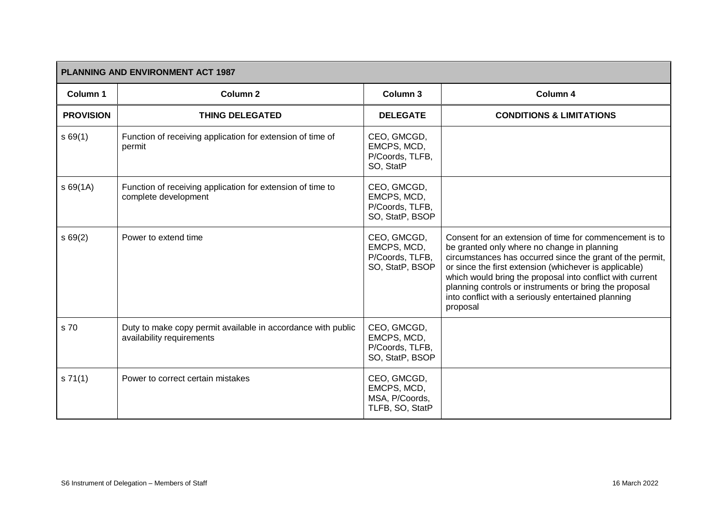| <b>PLANNING AND ENVIRONMENT ACT 1987</b> |                                                                                           |                                                                  |                                                                                                                                                                                                                                                                                                                                                                                                                         |  |
|------------------------------------------|-------------------------------------------------------------------------------------------|------------------------------------------------------------------|-------------------------------------------------------------------------------------------------------------------------------------------------------------------------------------------------------------------------------------------------------------------------------------------------------------------------------------------------------------------------------------------------------------------------|--|
| Column 1                                 | Column 2                                                                                  | Column 3                                                         | Column 4                                                                                                                                                                                                                                                                                                                                                                                                                |  |
| <b>PROVISION</b>                         | <b>THING DELEGATED</b>                                                                    | <b>DELEGATE</b>                                                  | <b>CONDITIONS &amp; LIMITATIONS</b>                                                                                                                                                                                                                                                                                                                                                                                     |  |
| s69(1)                                   | Function of receiving application for extension of time of<br>permit                      | CEO, GMCGD,<br>EMCPS, MCD,<br>P/Coords, TLFB,<br>SO, StatP       |                                                                                                                                                                                                                                                                                                                                                                                                                         |  |
| s69(1A)                                  | Function of receiving application for extension of time to<br>complete development        | CEO, GMCGD,<br>EMCPS, MCD,<br>P/Coords, TLFB,<br>SO, StatP, BSOP |                                                                                                                                                                                                                                                                                                                                                                                                                         |  |
| s69(2)                                   | Power to extend time                                                                      | CEO, GMCGD,<br>EMCPS, MCD,<br>P/Coords, TLFB,<br>SO, StatP, BSOP | Consent for an extension of time for commencement is to<br>be granted only where no change in planning<br>circumstances has occurred since the grant of the permit,<br>or since the first extension (whichever is applicable)<br>which would bring the proposal into conflict with current<br>planning controls or instruments or bring the proposal<br>into conflict with a seriously entertained planning<br>proposal |  |
| s 70                                     | Duty to make copy permit available in accordance with public<br>availability requirements | CEO, GMCGD,<br>EMCPS, MCD,<br>P/Coords, TLFB,<br>SO, StatP, BSOP |                                                                                                                                                                                                                                                                                                                                                                                                                         |  |
| s 71(1)                                  | Power to correct certain mistakes                                                         | CEO, GMCGD,<br>EMCPS, MCD,<br>MSA, P/Coords,<br>TLFB, SO, StatP  |                                                                                                                                                                                                                                                                                                                                                                                                                         |  |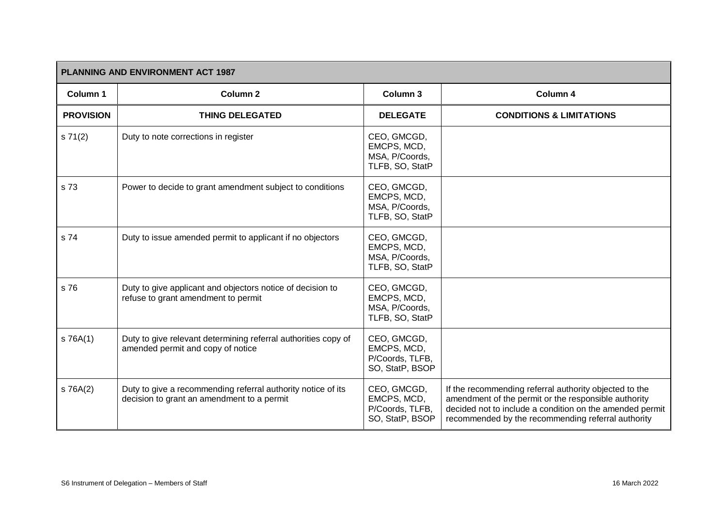| <b>PLANNING AND ENVIRONMENT ACT 1987</b> |                                                                                                            |                                                                  |                                                                                                                                                                                                                                  |  |
|------------------------------------------|------------------------------------------------------------------------------------------------------------|------------------------------------------------------------------|----------------------------------------------------------------------------------------------------------------------------------------------------------------------------------------------------------------------------------|--|
| Column 1                                 | Column <sub>2</sub>                                                                                        | Column 3                                                         | Column 4                                                                                                                                                                                                                         |  |
| <b>PROVISION</b>                         | <b>THING DELEGATED</b>                                                                                     | <b>DELEGATE</b>                                                  | <b>CONDITIONS &amp; LIMITATIONS</b>                                                                                                                                                                                              |  |
| s 71(2)                                  | Duty to note corrections in register                                                                       | CEO, GMCGD,<br>EMCPS, MCD,<br>MSA, P/Coords,<br>TLFB, SO, StatP  |                                                                                                                                                                                                                                  |  |
| s 73                                     | Power to decide to grant amendment subject to conditions                                                   | CEO, GMCGD,<br>EMCPS, MCD,<br>MSA, P/Coords,<br>TLFB, SO, StatP  |                                                                                                                                                                                                                                  |  |
| s 74                                     | Duty to issue amended permit to applicant if no objectors                                                  | CEO, GMCGD,<br>EMCPS, MCD,<br>MSA, P/Coords,<br>TLFB, SO, StatP  |                                                                                                                                                                                                                                  |  |
| s 76                                     | Duty to give applicant and objectors notice of decision to<br>refuse to grant amendment to permit          | CEO, GMCGD,<br>EMCPS, MCD,<br>MSA, P/Coords,<br>TLFB, SO, StatP  |                                                                                                                                                                                                                                  |  |
| s 76A(1)                                 | Duty to give relevant determining referral authorities copy of<br>amended permit and copy of notice        | CEO, GMCGD,<br>EMCPS, MCD,<br>P/Coords, TLFB,<br>SO, StatP, BSOP |                                                                                                                                                                                                                                  |  |
| s 76A(2)                                 | Duty to give a recommending referral authority notice of its<br>decision to grant an amendment to a permit | CEO, GMCGD,<br>EMCPS, MCD,<br>P/Coords, TLFB,<br>SO, StatP, BSOP | If the recommending referral authority objected to the<br>amendment of the permit or the responsible authority<br>decided not to include a condition on the amended permit<br>recommended by the recommending referral authority |  |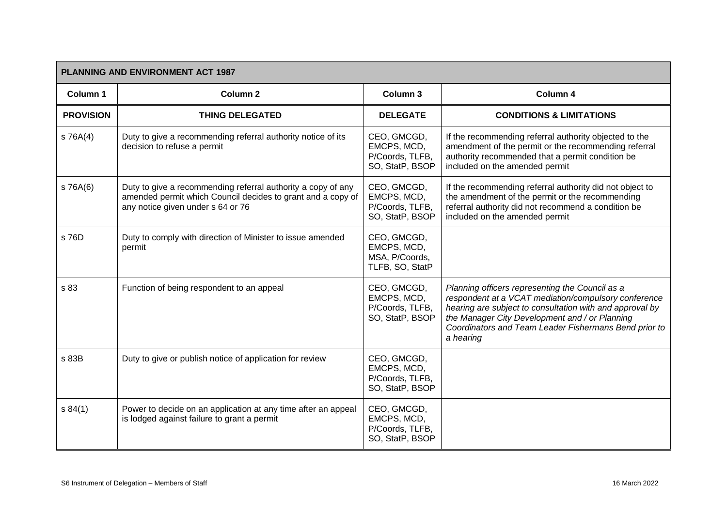|                  | <b>PLANNING AND ENVIRONMENT ACT 1987</b>                                                                                                                         |                                                                  |                                                                                                                                                                                                                                                                                             |  |  |
|------------------|------------------------------------------------------------------------------------------------------------------------------------------------------------------|------------------------------------------------------------------|---------------------------------------------------------------------------------------------------------------------------------------------------------------------------------------------------------------------------------------------------------------------------------------------|--|--|
| Column 1         | <b>Column 2</b>                                                                                                                                                  | Column 3                                                         | Column 4                                                                                                                                                                                                                                                                                    |  |  |
| <b>PROVISION</b> | <b>THING DELEGATED</b>                                                                                                                                           | <b>DELEGATE</b>                                                  | <b>CONDITIONS &amp; LIMITATIONS</b>                                                                                                                                                                                                                                                         |  |  |
| $S$ 76A $(4)$    | Duty to give a recommending referral authority notice of its<br>decision to refuse a permit                                                                      | CEO, GMCGD,<br>EMCPS, MCD,<br>P/Coords, TLFB,<br>SO, StatP, BSOP | If the recommending referral authority objected to the<br>amendment of the permit or the recommending referral<br>authority recommended that a permit condition be<br>included on the amended permit                                                                                        |  |  |
| s 76A(6)         | Duty to give a recommending referral authority a copy of any<br>amended permit which Council decides to grant and a copy of<br>any notice given under s 64 or 76 | CEO, GMCGD,<br>EMCPS, MCD,<br>P/Coords, TLFB,<br>SO, StatP, BSOP | If the recommending referral authority did not object to<br>the amendment of the permit or the recommending<br>referral authority did not recommend a condition be<br>included on the amended permit                                                                                        |  |  |
| s 76D            | Duty to comply with direction of Minister to issue amended<br>permit                                                                                             | CEO, GMCGD,<br>EMCPS, MCD,<br>MSA, P/Coords,<br>TLFB, SO, StatP  |                                                                                                                                                                                                                                                                                             |  |  |
| s 83             | Function of being respondent to an appeal                                                                                                                        | CEO, GMCGD,<br>EMCPS, MCD,<br>P/Coords, TLFB,<br>SO, StatP, BSOP | Planning officers representing the Council as a<br>respondent at a VCAT mediation/compulsory conference<br>hearing are subject to consultation with and approval by<br>the Manager City Development and / or Planning<br>Coordinators and Team Leader Fishermans Bend prior to<br>a hearing |  |  |
| s 83B            | Duty to give or publish notice of application for review                                                                                                         | CEO, GMCGD,<br>EMCPS, MCD,<br>P/Coords, TLFB,<br>SO, StatP, BSOP |                                                                                                                                                                                                                                                                                             |  |  |
| s 84(1)          | Power to decide on an application at any time after an appeal<br>is lodged against failure to grant a permit                                                     | CEO, GMCGD,<br>EMCPS, MCD,<br>P/Coords, TLFB,<br>SO, StatP, BSOP |                                                                                                                                                                                                                                                                                             |  |  |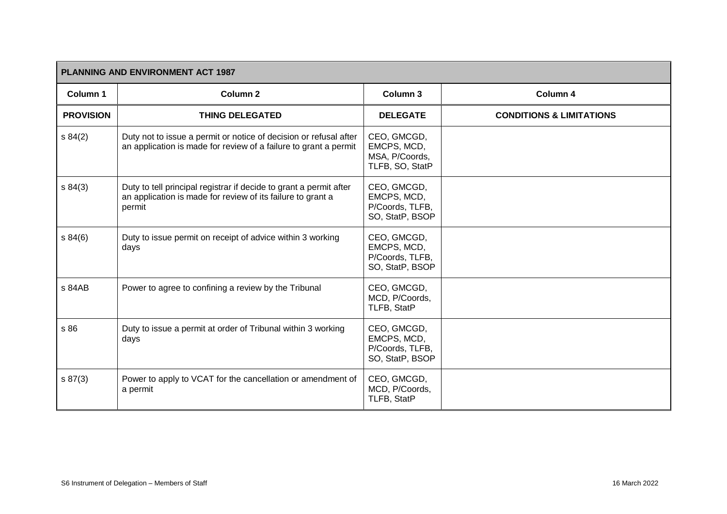|                  | <b>PLANNING AND ENVIRONMENT ACT 1987</b>                                                                                                    |                                                                  |                                     |  |
|------------------|---------------------------------------------------------------------------------------------------------------------------------------------|------------------------------------------------------------------|-------------------------------------|--|
| Column 1         | <b>Column 2</b>                                                                                                                             | Column 3                                                         | Column 4                            |  |
| <b>PROVISION</b> | <b>THING DELEGATED</b>                                                                                                                      | <b>DELEGATE</b>                                                  | <b>CONDITIONS &amp; LIMITATIONS</b> |  |
| s 84(2)          | Duty not to issue a permit or notice of decision or refusal after<br>an application is made for review of a failure to grant a permit       | CEO, GMCGD,<br>EMCPS, MCD,<br>MSA, P/Coords,<br>TLFB, SO, StatP  |                                     |  |
| s 84(3)          | Duty to tell principal registrar if decide to grant a permit after<br>an application is made for review of its failure to grant a<br>permit | CEO, GMCGD,<br>EMCPS, MCD,<br>P/Coords, TLFB,<br>SO, StatP, BSOP |                                     |  |
| s 84(6)          | Duty to issue permit on receipt of advice within 3 working<br>days                                                                          | CEO, GMCGD,<br>EMCPS, MCD,<br>P/Coords, TLFB,<br>SO, StatP, BSOP |                                     |  |
| s 84AB           | Power to agree to confining a review by the Tribunal                                                                                        | CEO, GMCGD,<br>MCD, P/Coords,<br>TLFB, StatP                     |                                     |  |
| s 86             | Duty to issue a permit at order of Tribunal within 3 working<br>days                                                                        | CEO, GMCGD,<br>EMCPS, MCD,<br>P/Coords, TLFB,<br>SO, StatP, BSOP |                                     |  |
| s 87(3)          | Power to apply to VCAT for the cancellation or amendment of<br>a permit                                                                     | CEO, GMCGD,<br>MCD, P/Coords,<br>TLFB, StatP                     |                                     |  |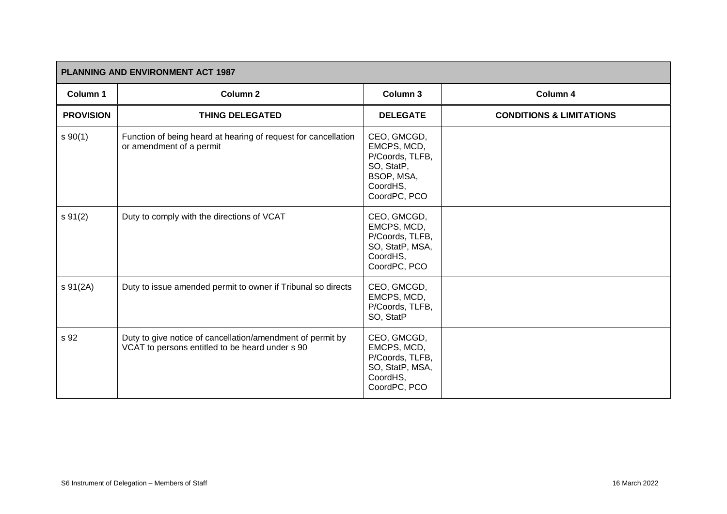| PLANNING AND ENVIRONMENT ACT 1987 |                                                                                                               |                                                                                                       |                                     |  |
|-----------------------------------|---------------------------------------------------------------------------------------------------------------|-------------------------------------------------------------------------------------------------------|-------------------------------------|--|
| Column 1                          | <b>Column 2</b>                                                                                               | Column 3                                                                                              | Column 4                            |  |
| <b>PROVISION</b>                  | <b>THING DELEGATED</b>                                                                                        | <b>DELEGATE</b>                                                                                       | <b>CONDITIONS &amp; LIMITATIONS</b> |  |
| s 90(1)                           | Function of being heard at hearing of request for cancellation<br>or amendment of a permit                    | CEO, GMCGD,<br>EMCPS, MCD,<br>P/Coords, TLFB,<br>SO, StatP,<br>BSOP, MSA,<br>CoordHS,<br>CoordPC, PCO |                                     |  |
| s 91(2)                           | Duty to comply with the directions of VCAT                                                                    | CEO, GMCGD,<br>EMCPS, MCD,<br>P/Coords, TLFB,<br>SO, StatP, MSA,<br>CoordHS,<br>CoordPC, PCO          |                                     |  |
| s 91(2A)                          | Duty to issue amended permit to owner if Tribunal so directs                                                  | CEO, GMCGD,<br>EMCPS, MCD,<br>P/Coords, TLFB,<br>SO, StatP                                            |                                     |  |
| s 92                              | Duty to give notice of cancellation/amendment of permit by<br>VCAT to persons entitled to be heard under s 90 | CEO, GMCGD,<br>EMCPS, MCD,<br>P/Coords, TLFB,<br>SO, StatP, MSA,<br>CoordHS,<br>CoordPC, PCO          |                                     |  |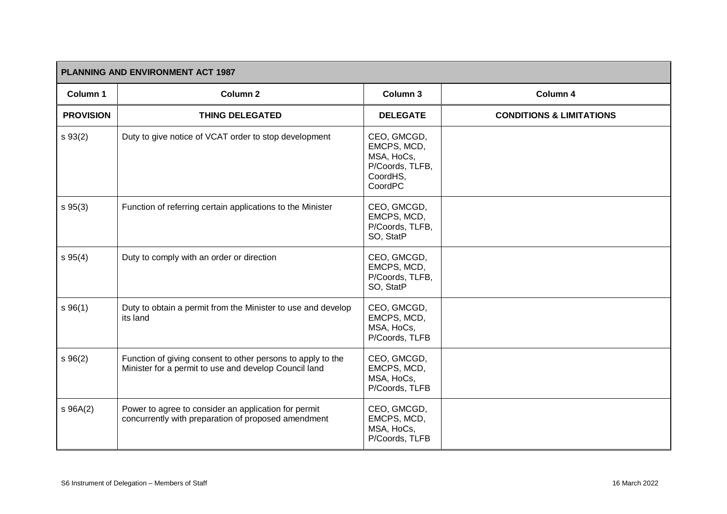| PLANNING AND ENVIRONMENT ACT 1987 |                                                                                                                      |                                                                                    |                                     |
|-----------------------------------|----------------------------------------------------------------------------------------------------------------------|------------------------------------------------------------------------------------|-------------------------------------|
| Column 1                          | Column <sub>2</sub>                                                                                                  | Column 3                                                                           | Column 4                            |
| <b>PROVISION</b>                  | <b>THING DELEGATED</b>                                                                                               | <b>DELEGATE</b>                                                                    | <b>CONDITIONS &amp; LIMITATIONS</b> |
| $s \, 93(2)$                      | Duty to give notice of VCAT order to stop development                                                                | CEO, GMCGD,<br>EMCPS, MCD,<br>MSA, HoCs,<br>P/Coords, TLFB,<br>CoordHS,<br>CoordPC |                                     |
| $s \, 95(3)$                      | Function of referring certain applications to the Minister                                                           | CEO, GMCGD,<br>EMCPS, MCD,<br>P/Coords, TLFB,<br>SO, StatP                         |                                     |
| s 95(4)                           | Duty to comply with an order or direction                                                                            | CEO, GMCGD,<br>EMCPS, MCD,<br>P/Coords, TLFB,<br>SO, StatP                         |                                     |
| s 96(1)                           | Duty to obtain a permit from the Minister to use and develop<br>its land                                             | CEO, GMCGD,<br>EMCPS, MCD,<br>MSA, HoCs,<br>P/Coords, TLFB                         |                                     |
| $s \, 96(2)$                      | Function of giving consent to other persons to apply to the<br>Minister for a permit to use and develop Council land | CEO, GMCGD,<br>EMCPS, MCD,<br>MSA, HoCs,<br>P/Coords, TLFB                         |                                     |
| $s$ 96A $(2)$                     | Power to agree to consider an application for permit<br>concurrently with preparation of proposed amendment          | CEO, GMCGD,<br>EMCPS, MCD,<br>MSA, HoCs,<br>P/Coords, TLFB                         |                                     |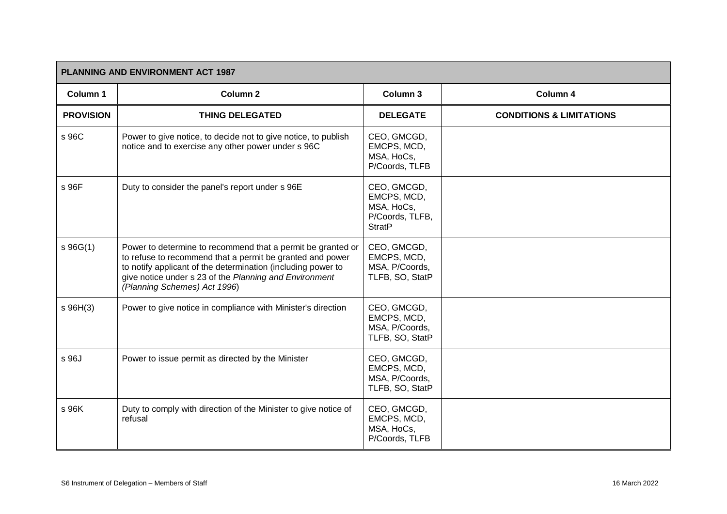| PLANNING AND ENVIRONMENT ACT 1987 |                                                                                                                                                                                                                                                                                    |                                                                              |                                     |
|-----------------------------------|------------------------------------------------------------------------------------------------------------------------------------------------------------------------------------------------------------------------------------------------------------------------------------|------------------------------------------------------------------------------|-------------------------------------|
| <b>Column 1</b>                   | Column <sub>2</sub>                                                                                                                                                                                                                                                                | Column 3                                                                     | Column 4                            |
| <b>PROVISION</b>                  | <b>THING DELEGATED</b>                                                                                                                                                                                                                                                             | <b>DELEGATE</b>                                                              | <b>CONDITIONS &amp; LIMITATIONS</b> |
| s 96C                             | Power to give notice, to decide not to give notice, to publish<br>notice and to exercise any other power under s 96C                                                                                                                                                               | CEO, GMCGD,<br>EMCPS, MCD,<br>MSA, HoCs,<br>P/Coords, TLFB                   |                                     |
| s 96F                             | Duty to consider the panel's report under s 96E                                                                                                                                                                                                                                    | CEO, GMCGD,<br>EMCPS, MCD,<br>MSA, HoCs,<br>P/Coords, TLFB,<br><b>StratP</b> |                                     |
| s96G(1)                           | Power to determine to recommend that a permit be granted or<br>to refuse to recommend that a permit be granted and power<br>to notify applicant of the determination (including power to<br>give notice under s 23 of the Planning and Environment<br>(Planning Schemes) Act 1996) | CEO, GMCGD,<br>EMCPS, MCD,<br>MSA, P/Coords,<br>TLFB, SO, StatP              |                                     |
| $s$ 96H(3)                        | Power to give notice in compliance with Minister's direction                                                                                                                                                                                                                       | CEO, GMCGD,<br>EMCPS, MCD,<br>MSA, P/Coords,<br>TLFB, SO, StatP              |                                     |
| s 96J                             | Power to issue permit as directed by the Minister                                                                                                                                                                                                                                  | CEO, GMCGD,<br>EMCPS, MCD,<br>MSA, P/Coords,<br>TLFB, SO, StatP              |                                     |
| s 96K                             | Duty to comply with direction of the Minister to give notice of<br>refusal                                                                                                                                                                                                         | CEO, GMCGD,<br>EMCPS, MCD,<br>MSA, HoCs,<br>P/Coords, TLFB                   |                                     |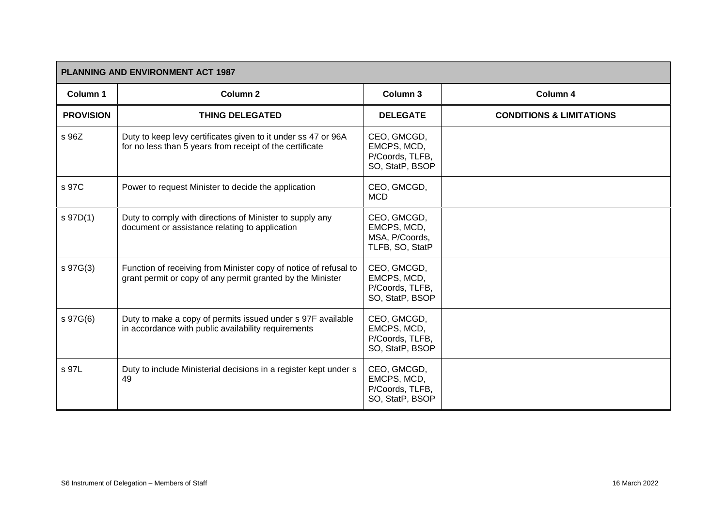| <b>PLANNING AND ENVIRONMENT ACT 1987</b> |                                                                                                                                |                                                                  |                                     |
|------------------------------------------|--------------------------------------------------------------------------------------------------------------------------------|------------------------------------------------------------------|-------------------------------------|
| Column 1                                 | Column <sub>2</sub>                                                                                                            | Column 3                                                         | Column 4                            |
| <b>PROVISION</b>                         | <b>THING DELEGATED</b>                                                                                                         | <b>DELEGATE</b>                                                  | <b>CONDITIONS &amp; LIMITATIONS</b> |
| s 96Z                                    | Duty to keep levy certificates given to it under ss 47 or 96A<br>for no less than 5 years from receipt of the certificate      | CEO, GMCGD,<br>EMCPS, MCD,<br>P/Coords, TLFB,<br>SO, StatP, BSOP |                                     |
| s 97C                                    | Power to request Minister to decide the application                                                                            | CEO, GMCGD,<br><b>MCD</b>                                        |                                     |
| s 97D(1)                                 | Duty to comply with directions of Minister to supply any<br>document or assistance relating to application                     | CEO, GMCGD,<br>EMCPS, MCD,<br>MSA, P/Coords,<br>TLFB, SO, StatP  |                                     |
| s 97G(3)                                 | Function of receiving from Minister copy of notice of refusal to<br>grant permit or copy of any permit granted by the Minister | CEO, GMCGD,<br>EMCPS, MCD,<br>P/Coords, TLFB,<br>SO, StatP, BSOP |                                     |
| s 97G(6)                                 | Duty to make a copy of permits issued under s 97F available<br>in accordance with public availability requirements             | CEO, GMCGD,<br>EMCPS, MCD,<br>P/Coords, TLFB,<br>SO, StatP, BSOP |                                     |
| s 97L                                    | Duty to include Ministerial decisions in a register kept under s<br>49                                                         | CEO, GMCGD,<br>EMCPS, MCD,<br>P/Coords, TLFB,<br>SO, StatP, BSOP |                                     |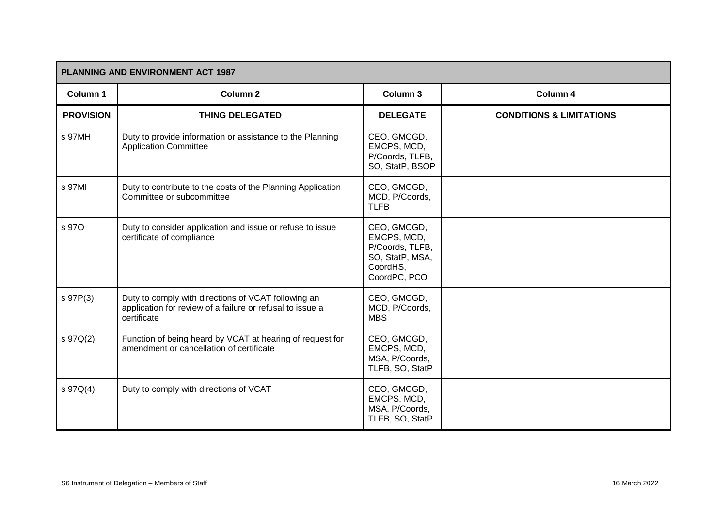| <b>PLANNING AND ENVIRONMENT ACT 1987</b> |                                                                                                                                 |                                                                                              |                                     |
|------------------------------------------|---------------------------------------------------------------------------------------------------------------------------------|----------------------------------------------------------------------------------------------|-------------------------------------|
| Column 1                                 | Column <sub>2</sub>                                                                                                             | Column 3                                                                                     | Column 4                            |
| <b>PROVISION</b>                         | <b>THING DELEGATED</b>                                                                                                          | <b>DELEGATE</b>                                                                              | <b>CONDITIONS &amp; LIMITATIONS</b> |
| s 97MH                                   | Duty to provide information or assistance to the Planning<br><b>Application Committee</b>                                       | CEO, GMCGD,<br>EMCPS, MCD,<br>P/Coords, TLFB,<br>SO, StatP, BSOP                             |                                     |
| s 97MI                                   | Duty to contribute to the costs of the Planning Application<br>Committee or subcommittee                                        | CEO, GMCGD,<br>MCD, P/Coords,<br><b>TLFB</b>                                                 |                                     |
| s 97O                                    | Duty to consider application and issue or refuse to issue<br>certificate of compliance                                          | CEO, GMCGD,<br>EMCPS, MCD,<br>P/Coords, TLFB,<br>SO, StatP, MSA,<br>CoordHS,<br>CoordPC, PCO |                                     |
| s 97P(3)                                 | Duty to comply with directions of VCAT following an<br>application for review of a failure or refusal to issue a<br>certificate | CEO, GMCGD,<br>MCD, P/Coords,<br><b>MBS</b>                                                  |                                     |
| s 97Q(2)                                 | Function of being heard by VCAT at hearing of request for<br>amendment or cancellation of certificate                           | CEO, GMCGD,<br>EMCPS, MCD,<br>MSA, P/Coords,<br>TLFB, SO, StatP                              |                                     |
| s 97Q(4)                                 | Duty to comply with directions of VCAT                                                                                          | CEO, GMCGD,<br>EMCPS, MCD,<br>MSA, P/Coords,<br>TLFB, SO, StatP                              |                                     |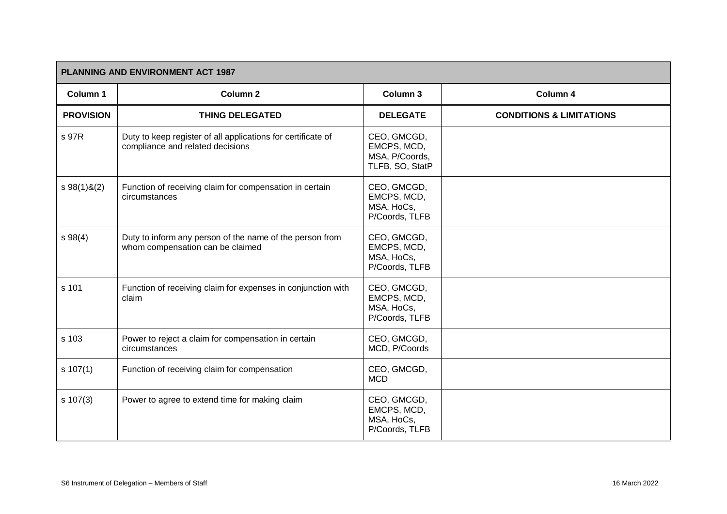|                  | PLANNING AND ENVIRONMENT ACT 1987                                                                |                                                                 |                                     |  |
|------------------|--------------------------------------------------------------------------------------------------|-----------------------------------------------------------------|-------------------------------------|--|
| Column 1         | Column <sub>2</sub>                                                                              | Column 3                                                        | Column 4                            |  |
| <b>PROVISION</b> | <b>THING DELEGATED</b>                                                                           | <b>DELEGATE</b>                                                 | <b>CONDITIONS &amp; LIMITATIONS</b> |  |
| s 97R            | Duty to keep register of all applications for certificate of<br>compliance and related decisions | CEO, GMCGD,<br>EMCPS, MCD,<br>MSA, P/Coords,<br>TLFB, SO, StatP |                                     |  |
| $s 98(1)$ &(2)   | Function of receiving claim for compensation in certain<br>circumstances                         | CEO, GMCGD,<br>EMCPS, MCD,<br>MSA, HoCs,<br>P/Coords, TLFB      |                                     |  |
| s 98(4)          | Duty to inform any person of the name of the person from<br>whom compensation can be claimed     | CEO, GMCGD,<br>EMCPS, MCD,<br>MSA, HoCs,<br>P/Coords, TLFB      |                                     |  |
| s 101            | Function of receiving claim for expenses in conjunction with<br>claim                            | CEO, GMCGD,<br>EMCPS, MCD,<br>MSA, HoCs,<br>P/Coords, TLFB      |                                     |  |
| s 103            | Power to reject a claim for compensation in certain<br>circumstances                             | CEO, GMCGD,<br>MCD, P/Coords                                    |                                     |  |
| s 107(1)         | Function of receiving claim for compensation                                                     | CEO, GMCGD,<br><b>MCD</b>                                       |                                     |  |
| $s \ 107(3)$     | Power to agree to extend time for making claim                                                   | CEO, GMCGD,<br>EMCPS, MCD,<br>MSA, HoCs,<br>P/Coords, TLFB      |                                     |  |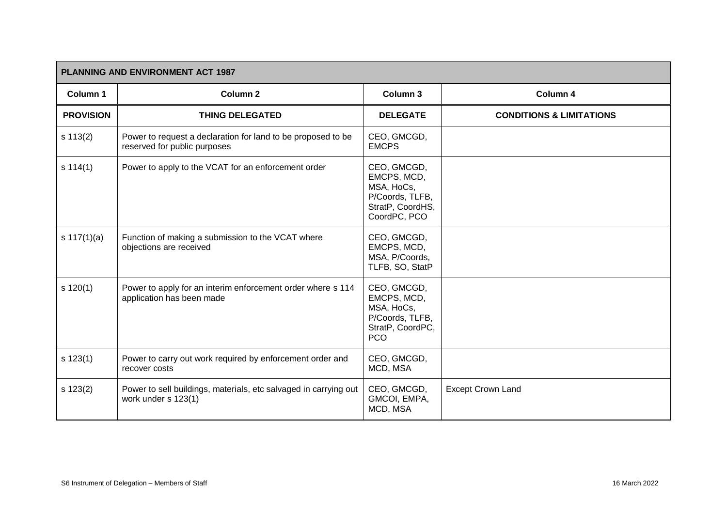| <b>PLANNING AND ENVIRONMENT ACT 1987</b> |                                                                                              |                                                                                                 |                                     |  |
|------------------------------------------|----------------------------------------------------------------------------------------------|-------------------------------------------------------------------------------------------------|-------------------------------------|--|
| Column 1                                 | Column <sub>2</sub>                                                                          | Column 3                                                                                        | Column 4                            |  |
| <b>PROVISION</b>                         | <b>THING DELEGATED</b>                                                                       | <b>DELEGATE</b>                                                                                 | <b>CONDITIONS &amp; LIMITATIONS</b> |  |
| s 113(2)                                 | Power to request a declaration for land to be proposed to be<br>reserved for public purposes | CEO, GMCGD,<br><b>EMCPS</b>                                                                     |                                     |  |
| s 114(1)                                 | Power to apply to the VCAT for an enforcement order                                          | CEO, GMCGD,<br>EMCPS, MCD,<br>MSA, HoCs,<br>P/Coords, TLFB,<br>StratP, CoordHS,<br>CoordPC, PCO |                                     |  |
| s $117(1)(a)$                            | Function of making a submission to the VCAT where<br>objections are received                 | CEO, GMCGD,<br>EMCPS, MCD,<br>MSA, P/Coords,<br>TLFB, SO, StatP                                 |                                     |  |
| s 120(1)                                 | Power to apply for an interim enforcement order where s 114<br>application has been made     | CEO, GMCGD,<br>EMCPS, MCD,<br>MSA, HoCs,<br>P/Coords, TLFB,<br>StratP, CoordPC,<br><b>PCO</b>   |                                     |  |
| $s$ 123(1)                               | Power to carry out work required by enforcement order and<br>recover costs                   | CEO, GMCGD,<br>MCD, MSA                                                                         |                                     |  |
| s 123(2)                                 | Power to sell buildings, materials, etc salvaged in carrying out<br>work under s 123(1)      | CEO, GMCGD,<br>GMCOI, EMPA,<br>MCD, MSA                                                         | <b>Except Crown Land</b>            |  |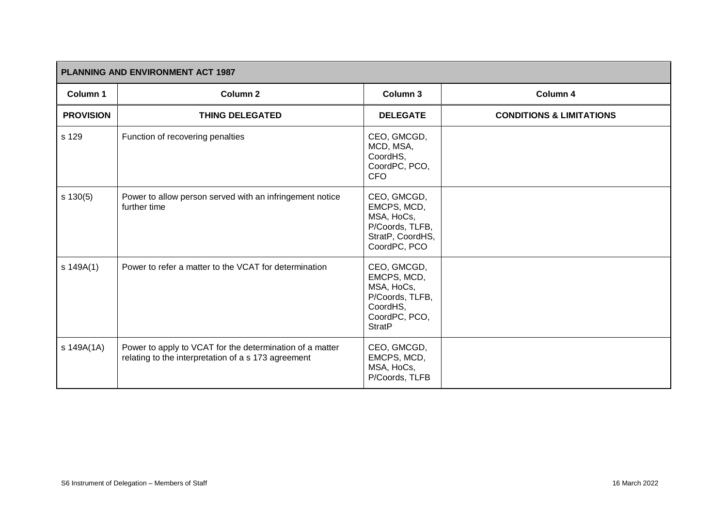| <b>PLANNING AND ENVIRONMENT ACT 1987</b> |                                                                                                                 |                                                                                                           |                                     |
|------------------------------------------|-----------------------------------------------------------------------------------------------------------------|-----------------------------------------------------------------------------------------------------------|-------------------------------------|
| Column 1                                 | <b>Column 2</b>                                                                                                 | Column 3                                                                                                  | Column 4                            |
| <b>PROVISION</b>                         | <b>THING DELEGATED</b>                                                                                          | <b>DELEGATE</b>                                                                                           | <b>CONDITIONS &amp; LIMITATIONS</b> |
| s 129                                    | Function of recovering penalties                                                                                | CEO, GMCGD,<br>MCD, MSA,<br>CoordHS,<br>CoordPC, PCO,<br><b>CFO</b>                                       |                                     |
| $s$ 130(5)                               | Power to allow person served with an infringement notice<br>further time                                        | CEO, GMCGD,<br>EMCPS, MCD,<br>MSA, HoCs,<br>P/Coords, TLFB,<br>StratP, CoordHS,<br>CoordPC, PCO           |                                     |
| s 149A(1)                                | Power to refer a matter to the VCAT for determination                                                           | CEO, GMCGD,<br>EMCPS, MCD,<br>MSA, HoCs,<br>P/Coords, TLFB,<br>CoordHS,<br>CoordPC, PCO,<br><b>StratP</b> |                                     |
| s 149A(1A)                               | Power to apply to VCAT for the determination of a matter<br>relating to the interpretation of a s 173 agreement | CEO, GMCGD,<br>EMCPS, MCD,<br>MSA, HoCs,<br>P/Coords, TLFB                                                |                                     |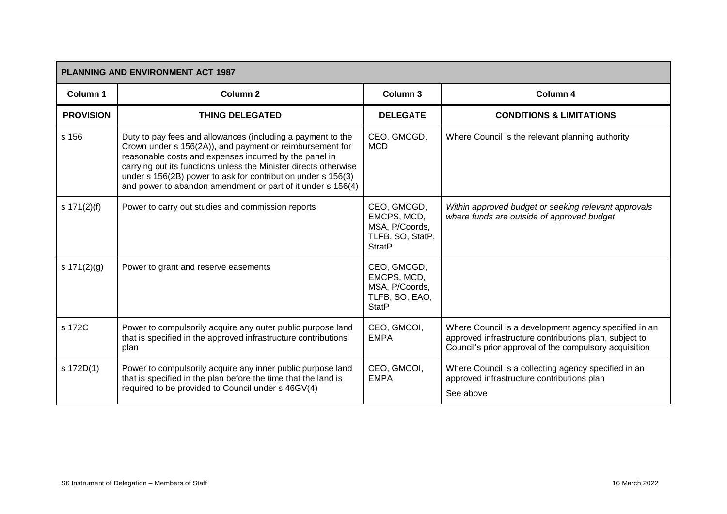| <b>PLANNING AND ENVIRONMENT ACT 1987</b> |                                                                                                                                                                                                                                                                                                                                                                                      |                                                                                   |                                                                                                                                                                           |  |
|------------------------------------------|--------------------------------------------------------------------------------------------------------------------------------------------------------------------------------------------------------------------------------------------------------------------------------------------------------------------------------------------------------------------------------------|-----------------------------------------------------------------------------------|---------------------------------------------------------------------------------------------------------------------------------------------------------------------------|--|
| Column 1                                 | <b>Column 2</b>                                                                                                                                                                                                                                                                                                                                                                      | Column 3                                                                          | Column 4                                                                                                                                                                  |  |
| <b>PROVISION</b>                         | <b>THING DELEGATED</b>                                                                                                                                                                                                                                                                                                                                                               | <b>DELEGATE</b>                                                                   | <b>CONDITIONS &amp; LIMITATIONS</b>                                                                                                                                       |  |
| s 156                                    | Duty to pay fees and allowances (including a payment to the<br>Crown under s 156(2A)), and payment or reimbursement for<br>reasonable costs and expenses incurred by the panel in<br>carrying out its functions unless the Minister directs otherwise<br>under s 156(2B) power to ask for contribution under s 156(3)<br>and power to abandon amendment or part of it under s 156(4) | CEO, GMCGD,<br><b>MCD</b>                                                         | Where Council is the relevant planning authority                                                                                                                          |  |
| s $171(2)(f)$                            | Power to carry out studies and commission reports                                                                                                                                                                                                                                                                                                                                    | CEO, GMCGD,<br>EMCPS, MCD,<br>MSA, P/Coords,<br>TLFB, SO, StatP,<br><b>StratP</b> | Within approved budget or seeking relevant approvals<br>where funds are outside of approved budget                                                                        |  |
| s $171(2)(g)$                            | Power to grant and reserve easements                                                                                                                                                                                                                                                                                                                                                 | CEO, GMCGD,<br>EMCPS, MCD,<br>MSA, P/Coords,<br>TLFB, SO, EAO,<br><b>StatP</b>    |                                                                                                                                                                           |  |
| s 172C                                   | Power to compulsorily acquire any outer public purpose land<br>that is specified in the approved infrastructure contributions<br>plan                                                                                                                                                                                                                                                | CEO, GMCOI,<br><b>EMPA</b>                                                        | Where Council is a development agency specified in an<br>approved infrastructure contributions plan, subject to<br>Council's prior approval of the compulsory acquisition |  |
| s 172D(1)                                | Power to compulsorily acquire any inner public purpose land<br>that is specified in the plan before the time that the land is<br>required to be provided to Council under s 46GV(4)                                                                                                                                                                                                  | CEO, GMCOI,<br><b>EMPA</b>                                                        | Where Council is a collecting agency specified in an<br>approved infrastructure contributions plan<br>See above                                                           |  |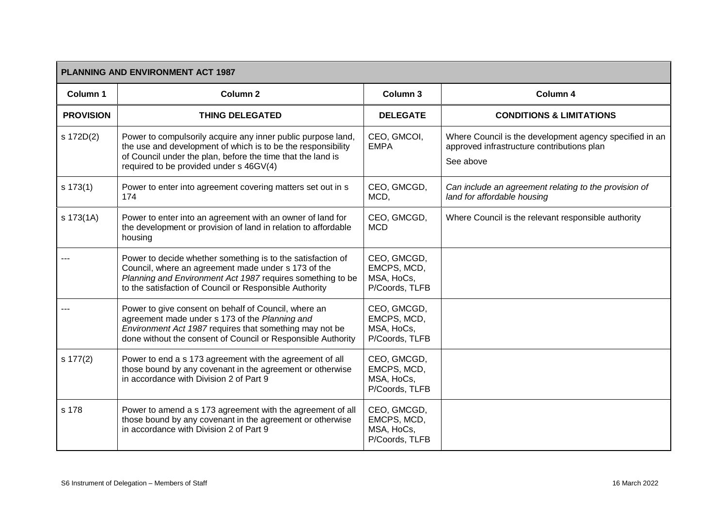| PLANNING AND ENVIRONMENT ACT 1987 |                                                                                                                                                                                                                                             |                                                            |                                                                                                                    |  |
|-----------------------------------|---------------------------------------------------------------------------------------------------------------------------------------------------------------------------------------------------------------------------------------------|------------------------------------------------------------|--------------------------------------------------------------------------------------------------------------------|--|
| Column 1                          | Column <sub>2</sub>                                                                                                                                                                                                                         | Column 3                                                   | Column 4                                                                                                           |  |
| <b>PROVISION</b>                  | <b>THING DELEGATED</b>                                                                                                                                                                                                                      | <b>DELEGATE</b>                                            | <b>CONDITIONS &amp; LIMITATIONS</b>                                                                                |  |
| s 172D(2)                         | Power to compulsorily acquire any inner public purpose land,<br>the use and development of which is to be the responsibility<br>of Council under the plan, before the time that the land is<br>required to be provided under s 46GV(4)      | CEO, GMCOI,<br><b>EMPA</b>                                 | Where Council is the development agency specified in an<br>approved infrastructure contributions plan<br>See above |  |
| s 173(1)                          | Power to enter into agreement covering matters set out in s<br>174                                                                                                                                                                          | CEO, GMCGD,<br>MCD,                                        | Can include an agreement relating to the provision of<br>land for affordable housing                               |  |
| s 173(1A)                         | Power to enter into an agreement with an owner of land for<br>the development or provision of land in relation to affordable<br>housing                                                                                                     | CEO, GMCGD,<br><b>MCD</b>                                  | Where Council is the relevant responsible authority                                                                |  |
|                                   | Power to decide whether something is to the satisfaction of<br>Council, where an agreement made under s 173 of the<br>Planning and Environment Act 1987 requires something to be<br>to the satisfaction of Council or Responsible Authority | CEO, GMCGD,<br>EMCPS, MCD,<br>MSA, HoCs,<br>P/Coords, TLFB |                                                                                                                    |  |
|                                   | Power to give consent on behalf of Council, where an<br>agreement made under s 173 of the Planning and<br>Environment Act 1987 requires that something may not be<br>done without the consent of Council or Responsible Authority           | CEO, GMCGD,<br>EMCPS, MCD,<br>MSA, HoCs,<br>P/Coords, TLFB |                                                                                                                    |  |
| s 177(2)                          | Power to end a s 173 agreement with the agreement of all<br>those bound by any covenant in the agreement or otherwise<br>in accordance with Division 2 of Part 9                                                                            | CEO, GMCGD,<br>EMCPS, MCD,<br>MSA, HoCs,<br>P/Coords, TLFB |                                                                                                                    |  |
| s 178                             | Power to amend a s 173 agreement with the agreement of all<br>those bound by any covenant in the agreement or otherwise<br>in accordance with Division 2 of Part 9                                                                          | CEO, GMCGD,<br>EMCPS, MCD,<br>MSA, HoCs,<br>P/Coords, TLFB |                                                                                                                    |  |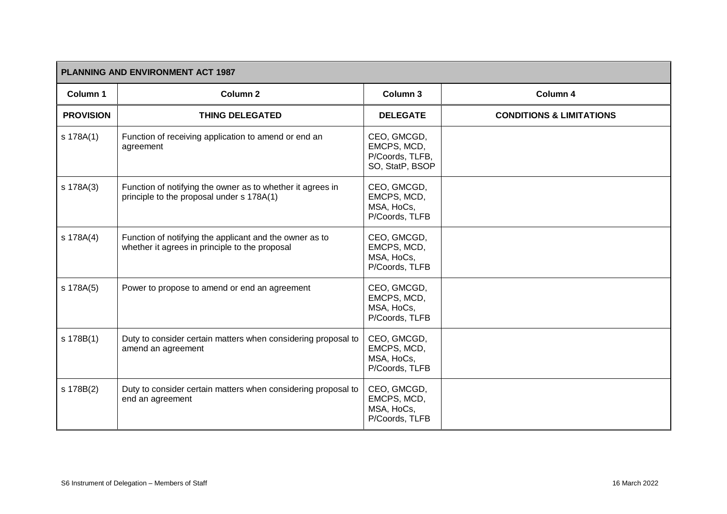| <b>PLANNING AND ENVIRONMENT ACT 1987</b> |                                                                                                           |                                                                  |                                     |
|------------------------------------------|-----------------------------------------------------------------------------------------------------------|------------------------------------------------------------------|-------------------------------------|
| Column 1                                 | <b>Column 2</b>                                                                                           | Column 3                                                         | Column 4                            |
| <b>PROVISION</b>                         | <b>THING DELEGATED</b>                                                                                    | <b>DELEGATE</b>                                                  | <b>CONDITIONS &amp; LIMITATIONS</b> |
| s 178A(1)                                | Function of receiving application to amend or end an<br>agreement                                         | CEO, GMCGD,<br>EMCPS, MCD,<br>P/Coords, TLFB,<br>SO, StatP, BSOP |                                     |
| s 178A(3)                                | Function of notifying the owner as to whether it agrees in<br>principle to the proposal under s 178A(1)   | CEO, GMCGD,<br>EMCPS, MCD,<br>MSA, HoCs,<br>P/Coords, TLFB       |                                     |
| s 178A(4)                                | Function of notifying the applicant and the owner as to<br>whether it agrees in principle to the proposal | CEO, GMCGD,<br>EMCPS, MCD,<br>MSA, HoCs,<br>P/Coords, TLFB       |                                     |
| s 178A(5)                                | Power to propose to amend or end an agreement                                                             | CEO, GMCGD,<br>EMCPS, MCD,<br>MSA, HoCs,<br>P/Coords, TLFB       |                                     |
| s 178B(1)                                | Duty to consider certain matters when considering proposal to<br>amend an agreement                       | CEO, GMCGD,<br>EMCPS, MCD,<br>MSA, HoCs,<br>P/Coords, TLFB       |                                     |
| s 178B(2)                                | Duty to consider certain matters when considering proposal to<br>end an agreement                         | CEO, GMCGD,<br>EMCPS, MCD,<br>MSA, HoCs,<br>P/Coords, TLFB       |                                     |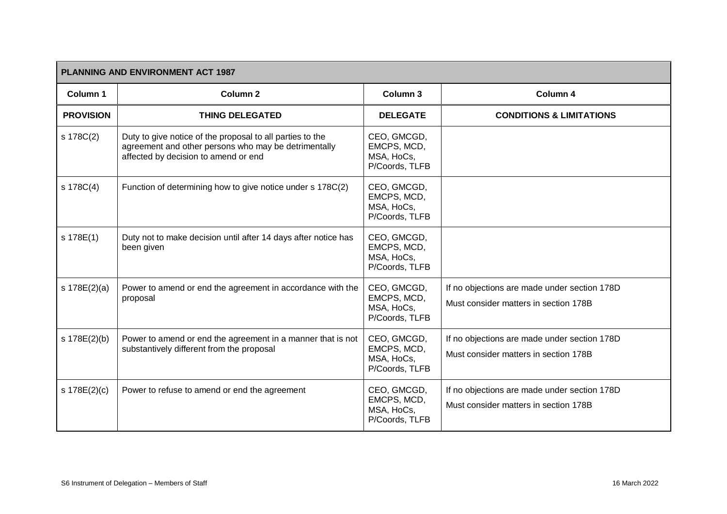| <b>PLANNING AND ENVIRONMENT ACT 1987</b> |                                                                                                                                                           |                                                            |                                                                                       |  |
|------------------------------------------|-----------------------------------------------------------------------------------------------------------------------------------------------------------|------------------------------------------------------------|---------------------------------------------------------------------------------------|--|
| Column 1                                 | Column <sub>2</sub>                                                                                                                                       | Column 3                                                   | Column 4                                                                              |  |
| <b>PROVISION</b>                         | <b>THING DELEGATED</b>                                                                                                                                    | <b>DELEGATE</b>                                            | <b>CONDITIONS &amp; LIMITATIONS</b>                                                   |  |
| s 178C(2)                                | Duty to give notice of the proposal to all parties to the<br>agreement and other persons who may be detrimentally<br>affected by decision to amend or end | CEO, GMCGD,<br>EMCPS, MCD,<br>MSA, HoCs,<br>P/Coords, TLFB |                                                                                       |  |
| s 178C(4)                                | Function of determining how to give notice under s 178C(2)                                                                                                | CEO, GMCGD,<br>EMCPS, MCD,<br>MSA, HoCs,<br>P/Coords, TLFB |                                                                                       |  |
| s 178E(1)                                | Duty not to make decision until after 14 days after notice has<br>been given                                                                              | CEO, GMCGD,<br>EMCPS, MCD,<br>MSA, HoCs,<br>P/Coords, TLFB |                                                                                       |  |
| s 178E(2)(a)                             | Power to amend or end the agreement in accordance with the<br>proposal                                                                                    | CEO, GMCGD,<br>EMCPS, MCD,<br>MSA, HoCs,<br>P/Coords, TLFB | If no objections are made under section 178D<br>Must consider matters in section 178B |  |
| s 178E(2)(b)                             | Power to amend or end the agreement in a manner that is not<br>substantively different from the proposal                                                  | CEO, GMCGD,<br>EMCPS, MCD,<br>MSA, HoCs,<br>P/Coords, TLFB | If no objections are made under section 178D<br>Must consider matters in section 178B |  |
| s 178E(2)(c)                             | Power to refuse to amend or end the agreement                                                                                                             | CEO, GMCGD,<br>EMCPS, MCD,<br>MSA, HoCs,<br>P/Coords, TLFB | If no objections are made under section 178D<br>Must consider matters in section 178B |  |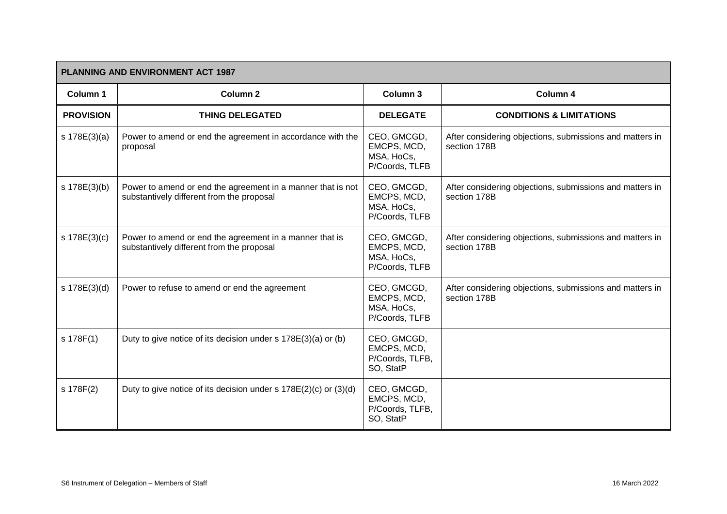| <b>PLANNING AND ENVIRONMENT ACT 1987</b> |                                                                                                          |                                                            |                                                                          |  |
|------------------------------------------|----------------------------------------------------------------------------------------------------------|------------------------------------------------------------|--------------------------------------------------------------------------|--|
| Column 1                                 | Column <sub>2</sub>                                                                                      | Column 3                                                   | Column 4                                                                 |  |
| <b>PROVISION</b>                         | <b>THING DELEGATED</b>                                                                                   | <b>DELEGATE</b>                                            | <b>CONDITIONS &amp; LIMITATIONS</b>                                      |  |
| s 178E(3)(a)                             | Power to amend or end the agreement in accordance with the<br>proposal                                   | CEO, GMCGD,<br>EMCPS, MCD,<br>MSA, HoCs,<br>P/Coords, TLFB | After considering objections, submissions and matters in<br>section 178B |  |
| s 178E(3)(b)                             | Power to amend or end the agreement in a manner that is not<br>substantively different from the proposal | CEO, GMCGD,<br>EMCPS, MCD,<br>MSA, HoCs,<br>P/Coords, TLFB | After considering objections, submissions and matters in<br>section 178B |  |
| s 178E(3)(c)                             | Power to amend or end the agreement in a manner that is<br>substantively different from the proposal     | CEO, GMCGD,<br>EMCPS, MCD,<br>MSA, HoCs,<br>P/Coords, TLFB | After considering objections, submissions and matters in<br>section 178B |  |
| s 178E(3)(d)                             | Power to refuse to amend or end the agreement                                                            | CEO, GMCGD,<br>EMCPS, MCD,<br>MSA, HoCs,<br>P/Coords, TLFB | After considering objections, submissions and matters in<br>section 178B |  |
| s 178F(1)                                | Duty to give notice of its decision under s 178E(3)(a) or (b)                                            | CEO, GMCGD,<br>EMCPS, MCD,<br>P/Coords, TLFB,<br>SO, StatP |                                                                          |  |
| s 178F(2)                                | Duty to give notice of its decision under s 178E(2)(c) or (3)(d)                                         | CEO, GMCGD,<br>EMCPS, MCD,<br>P/Coords, TLFB,<br>SO, StatP |                                                                          |  |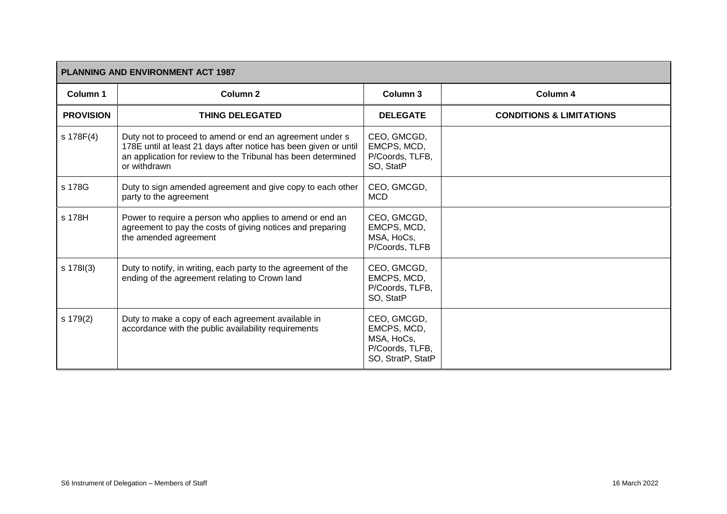| <b>PLANNING AND ENVIRONMENT ACT 1987</b> |                                                                                                                                                                                                               |                                                                                  |                                     |  |
|------------------------------------------|---------------------------------------------------------------------------------------------------------------------------------------------------------------------------------------------------------------|----------------------------------------------------------------------------------|-------------------------------------|--|
| Column 1                                 | Column <sub>2</sub>                                                                                                                                                                                           | Column <sub>3</sub>                                                              | Column 4                            |  |
| <b>PROVISION</b>                         | <b>THING DELEGATED</b>                                                                                                                                                                                        | <b>DELEGATE</b>                                                                  | <b>CONDITIONS &amp; LIMITATIONS</b> |  |
| s 178F(4)                                | Duty not to proceed to amend or end an agreement under s<br>178E until at least 21 days after notice has been given or until<br>an application for review to the Tribunal has been determined<br>or withdrawn | CEO, GMCGD,<br>EMCPS, MCD,<br>P/Coords, TLFB,<br>SO, StatP                       |                                     |  |
| s 178G                                   | Duty to sign amended agreement and give copy to each other<br>party to the agreement                                                                                                                          | CEO, GMCGD,<br><b>MCD</b>                                                        |                                     |  |
| s 178H                                   | Power to require a person who applies to amend or end an<br>agreement to pay the costs of giving notices and preparing<br>the amended agreement                                                               | CEO, GMCGD,<br>EMCPS, MCD,<br>MSA, HoCs,<br>P/Coords, TLFB                       |                                     |  |
| s 178l(3)                                | Duty to notify, in writing, each party to the agreement of the<br>ending of the agreement relating to Crown land                                                                                              | CEO, GMCGD,<br>EMCPS, MCD,<br>P/Coords, TLFB,<br>SO, StatP                       |                                     |  |
| s 179(2)                                 | Duty to make a copy of each agreement available in<br>accordance with the public availability requirements                                                                                                    | CEO, GMCGD,<br>EMCPS, MCD,<br>MSA, HoCs,<br>P/Coords, TLFB,<br>SO, StratP, StatP |                                     |  |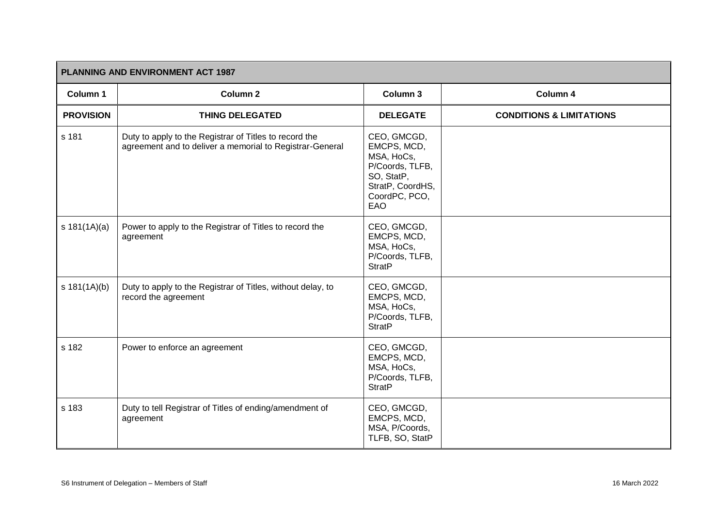| PLANNING AND ENVIRONMENT ACT 1987 |                                                                                                                    |                                                                                                                       |                                     |  |
|-----------------------------------|--------------------------------------------------------------------------------------------------------------------|-----------------------------------------------------------------------------------------------------------------------|-------------------------------------|--|
| Column 1                          | <b>Column 2</b>                                                                                                    | Column 3                                                                                                              | Column 4                            |  |
| <b>PROVISION</b>                  | <b>THING DELEGATED</b>                                                                                             | <b>DELEGATE</b>                                                                                                       | <b>CONDITIONS &amp; LIMITATIONS</b> |  |
| s 181                             | Duty to apply to the Registrar of Titles to record the<br>agreement and to deliver a memorial to Registrar-General | CEO, GMCGD,<br>EMCPS, MCD,<br>MSA, HoCs,<br>P/Coords, TLFB,<br>SO, StatP,<br>StratP, CoordHS,<br>CoordPC, PCO,<br>EAO |                                     |  |
| s $181(1A)(a)$                    | Power to apply to the Registrar of Titles to record the<br>agreement                                               | CEO, GMCGD,<br>EMCPS, MCD,<br>MSA, HoCs,<br>P/Coords, TLFB,<br><b>StratP</b>                                          |                                     |  |
| s 181(1A)(b)                      | Duty to apply to the Registrar of Titles, without delay, to<br>record the agreement                                | CEO, GMCGD,<br>EMCPS, MCD,<br>MSA, HoCs,<br>P/Coords, TLFB,<br><b>StratP</b>                                          |                                     |  |
| s 182                             | Power to enforce an agreement                                                                                      | CEO, GMCGD,<br>EMCPS, MCD,<br>MSA, HoCs,<br>P/Coords, TLFB,<br><b>StratP</b>                                          |                                     |  |
| s 183                             | Duty to tell Registrar of Titles of ending/amendment of<br>agreement                                               | CEO, GMCGD,<br>EMCPS, MCD,<br>MSA, P/Coords,<br>TLFB, SO, StatP                                                       |                                     |  |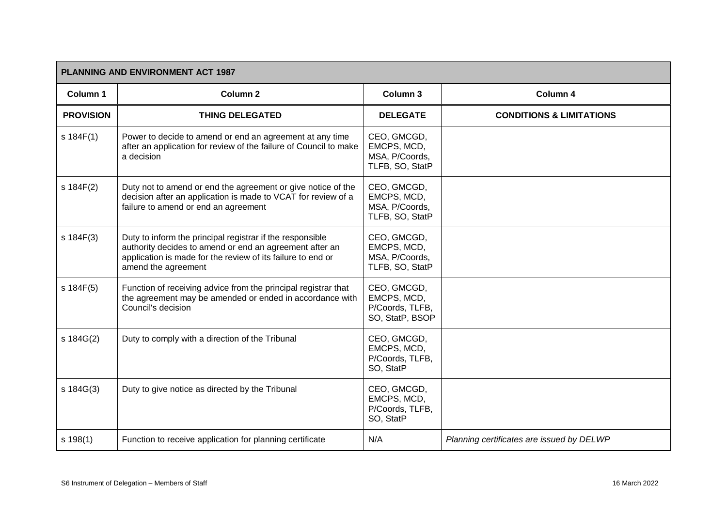|                  | <b>PLANNING AND ENVIRONMENT ACT 1987</b>                                                                                                                                                                   |                                                                  |                                           |  |  |
|------------------|------------------------------------------------------------------------------------------------------------------------------------------------------------------------------------------------------------|------------------------------------------------------------------|-------------------------------------------|--|--|
| Column 1         | <b>Column 2</b>                                                                                                                                                                                            | Column <sub>3</sub>                                              | Column 4                                  |  |  |
| <b>PROVISION</b> | <b>THING DELEGATED</b>                                                                                                                                                                                     | <b>DELEGATE</b>                                                  | <b>CONDITIONS &amp; LIMITATIONS</b>       |  |  |
| s 184F(1)        | Power to decide to amend or end an agreement at any time<br>after an application for review of the failure of Council to make<br>a decision                                                                | CEO, GMCGD,<br>EMCPS, MCD,<br>MSA, P/Coords,<br>TLFB, SO, StatP  |                                           |  |  |
| s 184F(2)        | Duty not to amend or end the agreement or give notice of the<br>decision after an application is made to VCAT for review of a<br>failure to amend or end an agreement                                      | CEO, GMCGD,<br>EMCPS, MCD,<br>MSA, P/Coords,<br>TLFB, SO, StatP  |                                           |  |  |
| s 184F(3)        | Duty to inform the principal registrar if the responsible<br>authority decides to amend or end an agreement after an<br>application is made for the review of its failure to end or<br>amend the agreement | CEO, GMCGD,<br>EMCPS, MCD,<br>MSA, P/Coords,<br>TLFB, SO, StatP  |                                           |  |  |
| s 184F(5)        | Function of receiving advice from the principal registrar that<br>the agreement may be amended or ended in accordance with<br>Council's decision                                                           | CEO, GMCGD,<br>EMCPS, MCD,<br>P/Coords, TLFB,<br>SO, StatP, BSOP |                                           |  |  |
| s 184G(2)        | Duty to comply with a direction of the Tribunal                                                                                                                                                            | CEO, GMCGD,<br>EMCPS, MCD,<br>P/Coords, TLFB,<br>SO, StatP       |                                           |  |  |
| s 184G(3)        | Duty to give notice as directed by the Tribunal                                                                                                                                                            | CEO, GMCGD,<br>EMCPS, MCD,<br>P/Coords, TLFB,<br>SO, StatP       |                                           |  |  |
| s 198(1)         | Function to receive application for planning certificate                                                                                                                                                   | N/A                                                              | Planning certificates are issued by DELWP |  |  |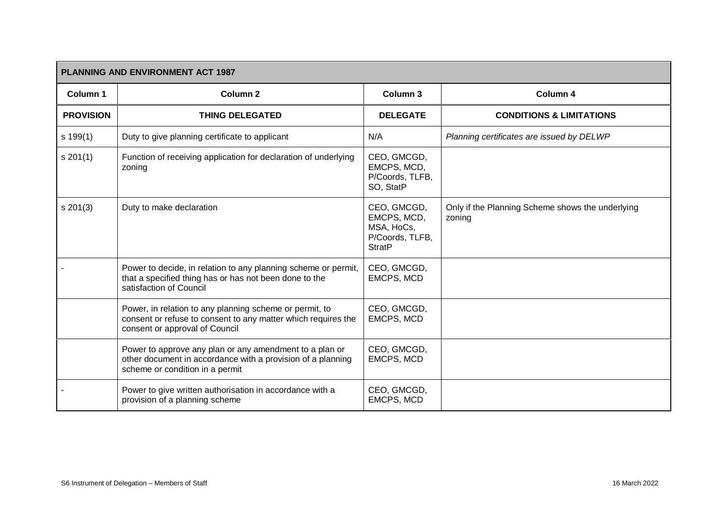| PLANNING AND ENVIRONMENT ACT 1987 |                                                                                                                                                            |                                                                              |                                                            |  |
|-----------------------------------|------------------------------------------------------------------------------------------------------------------------------------------------------------|------------------------------------------------------------------------------|------------------------------------------------------------|--|
| Column 1                          | <b>Column 2</b>                                                                                                                                            | Column 3                                                                     | Column 4                                                   |  |
| <b>PROVISION</b>                  | <b>THING DELEGATED</b>                                                                                                                                     | <b>DELEGATE</b>                                                              | <b>CONDITIONS &amp; LIMITATIONS</b>                        |  |
| s 199(1)                          | Duty to give planning certificate to applicant                                                                                                             | N/A                                                                          | Planning certificates are issued by DELWP                  |  |
| s 201(1)                          | Function of receiving application for declaration of underlying<br>zoning                                                                                  | CEO, GMCGD,<br>EMCPS, MCD,<br>P/Coords, TLFB,<br>SO, StatP                   |                                                            |  |
| s 201(3)                          | Duty to make declaration                                                                                                                                   | CEO, GMCGD,<br>EMCPS, MCD,<br>MSA, HoCs,<br>P/Coords, TLFB,<br><b>StratP</b> | Only if the Planning Scheme shows the underlying<br>zoning |  |
|                                   | Power to decide, in relation to any planning scheme or permit,<br>that a specified thing has or has not been done to the<br>satisfaction of Council        | CEO, GMCGD,<br>EMCPS, MCD                                                    |                                                            |  |
|                                   | Power, in relation to any planning scheme or permit, to<br>consent or refuse to consent to any matter which requires the<br>consent or approval of Council | CEO, GMCGD,<br><b>EMCPS, MCD</b>                                             |                                                            |  |
|                                   | Power to approve any plan or any amendment to a plan or<br>other document in accordance with a provision of a planning<br>scheme or condition in a permit  | CEO, GMCGD,<br>EMCPS, MCD                                                    |                                                            |  |
|                                   | Power to give written authorisation in accordance with a<br>provision of a planning scheme                                                                 | CEO, GMCGD,<br>EMCPS, MCD                                                    |                                                            |  |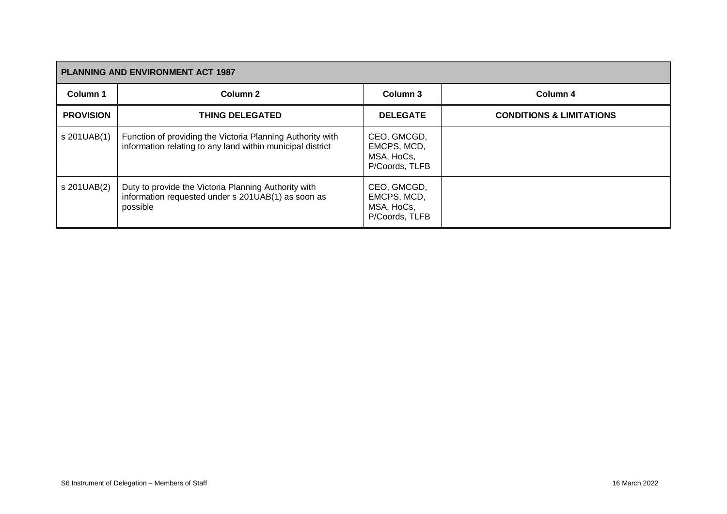| <b>PLANNING AND ENVIRONMENT ACT 1987</b> |                                                                                                                          |                                                            |                                     |  |
|------------------------------------------|--------------------------------------------------------------------------------------------------------------------------|------------------------------------------------------------|-------------------------------------|--|
| Column 1                                 | Column 2                                                                                                                 | Column 3                                                   | Column 4                            |  |
| <b>PROVISION</b>                         | <b>THING DELEGATED</b>                                                                                                   | <b>DELEGATE</b>                                            | <b>CONDITIONS &amp; LIMITATIONS</b> |  |
| s 201UAB(1)                              | Function of providing the Victoria Planning Authority with<br>information relating to any land within municipal district | CEO, GMCGD,<br>EMCPS, MCD,<br>MSA, HoCs,<br>P/Coords, TLFB |                                     |  |
| s 201UAB(2)                              | Duty to provide the Victoria Planning Authority with<br>information requested under s 201UAB(1) as soon as<br>possible   | CEO, GMCGD,<br>EMCPS, MCD,<br>MSA, HoCs,<br>P/Coords, TLFB |                                     |  |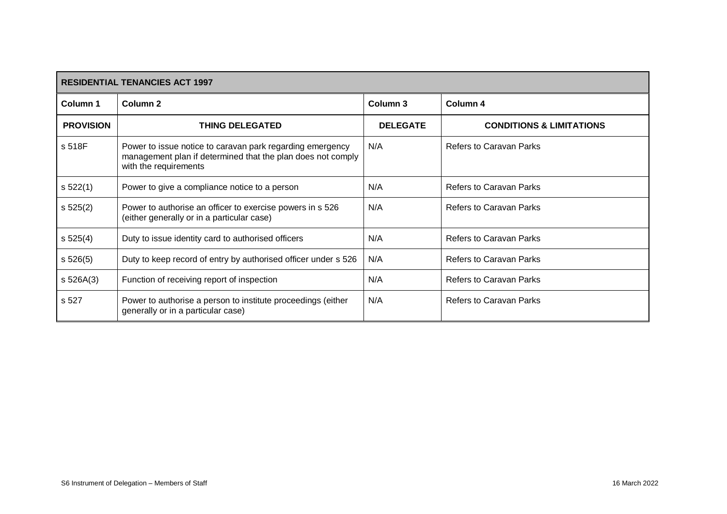| <b>RESIDENTIAL TENANCIES ACT 1997</b> |                                                                                                                                                   |                 |                                     |
|---------------------------------------|---------------------------------------------------------------------------------------------------------------------------------------------------|-----------------|-------------------------------------|
| Column 1                              | Column <sub>2</sub>                                                                                                                               | Column 3        | Column 4                            |
| <b>PROVISION</b>                      | <b>THING DELEGATED</b>                                                                                                                            | <b>DELEGATE</b> | <b>CONDITIONS &amp; LIMITATIONS</b> |
| s 518F                                | Power to issue notice to caravan park regarding emergency<br>management plan if determined that the plan does not comply<br>with the requirements | N/A             | <b>Refers to Caravan Parks</b>      |
| s 522(1)                              | Power to give a compliance notice to a person                                                                                                     | N/A             | <b>Refers to Caravan Parks</b>      |
| s 525(2)                              | Power to authorise an officer to exercise powers in s 526<br>(either generally or in a particular case)                                           | N/A             | <b>Refers to Caravan Parks</b>      |
| s 525(4)                              | Duty to issue identity card to authorised officers                                                                                                | N/A             | <b>Refers to Caravan Parks</b>      |
| s 526(5)                              | Duty to keep record of entry by authorised officer under s 526                                                                                    | N/A             | <b>Refers to Caravan Parks</b>      |
| s 526A(3)                             | Function of receiving report of inspection                                                                                                        | N/A             | <b>Refers to Caravan Parks</b>      |
| s 527                                 | Power to authorise a person to institute proceedings (either<br>generally or in a particular case)                                                | N/A             | <b>Refers to Caravan Parks</b>      |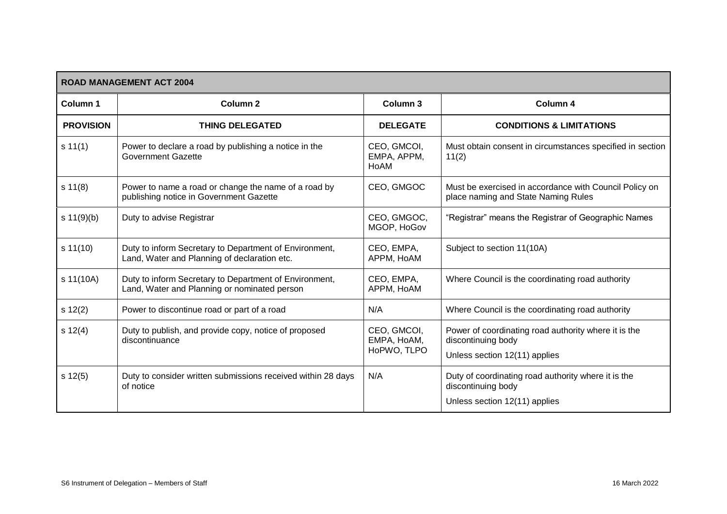| <b>ROAD MANAGEMENT ACT 2004</b> |                                                                                                        |                                           |                                                                                                             |  |
|---------------------------------|--------------------------------------------------------------------------------------------------------|-------------------------------------------|-------------------------------------------------------------------------------------------------------------|--|
| <b>Column 1</b>                 | Column <sub>2</sub>                                                                                    | Column 3                                  | Column 4                                                                                                    |  |
| <b>PROVISION</b>                | <b>THING DELEGATED</b>                                                                                 | <b>DELEGATE</b>                           | <b>CONDITIONS &amp; LIMITATIONS</b>                                                                         |  |
| s 11(1)                         | Power to declare a road by publishing a notice in the<br><b>Government Gazette</b>                     | CEO, GMCOI,<br>EMPA, APPM,<br>HoAM        | Must obtain consent in circumstances specified in section<br>11(2)                                          |  |
| s 11(8)                         | Power to name a road or change the name of a road by<br>publishing notice in Government Gazette        | CEO, GMGOC                                | Must be exercised in accordance with Council Policy on<br>place naming and State Naming Rules               |  |
| s $11(9)(b)$                    | Duty to advise Registrar                                                                               | CEO, GMGOC,<br>MGOP, HoGov                | "Registrar" means the Registrar of Geographic Names                                                         |  |
| s 11(10)                        | Duty to inform Secretary to Department of Environment,<br>Land, Water and Planning of declaration etc. | CEO, EMPA,<br>APPM, HoAM                  | Subject to section 11(10A)                                                                                  |  |
| s 11(10A)                       | Duty to inform Secretary to Department of Environment,<br>Land, Water and Planning or nominated person | CEO, EMPA,<br>APPM, HoAM                  | Where Council is the coordinating road authority                                                            |  |
| s 12(2)                         | Power to discontinue road or part of a road                                                            | N/A                                       | Where Council is the coordinating road authority                                                            |  |
| s 12(4)                         | Duty to publish, and provide copy, notice of proposed<br>discontinuance                                | CEO, GMCOI,<br>EMPA, HoAM,<br>HoPWO, TLPO | Power of coordinating road authority where it is the<br>discontinuing body<br>Unless section 12(11) applies |  |
| s 12(5)                         | Duty to consider written submissions received within 28 days<br>of notice                              | N/A                                       | Duty of coordinating road authority where it is the<br>discontinuing body<br>Unless section 12(11) applies  |  |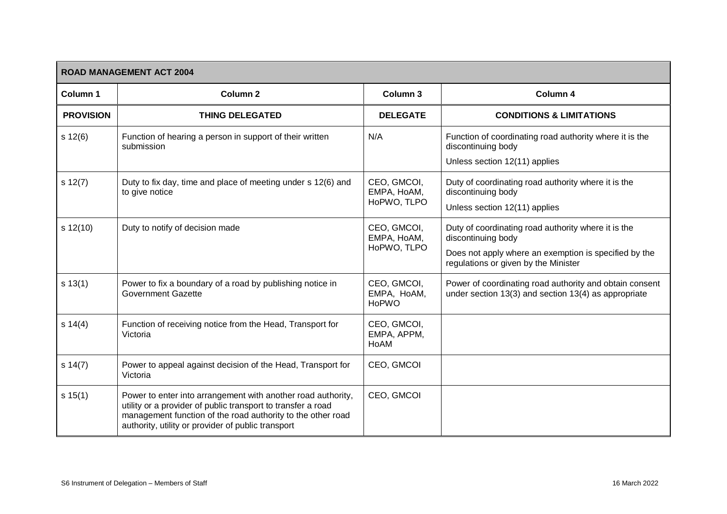|                  | <b>ROAD MANAGEMENT ACT 2004</b>                                                                                                                                                                                                                   |                                            |                                                                                                                                                                            |  |  |
|------------------|---------------------------------------------------------------------------------------------------------------------------------------------------------------------------------------------------------------------------------------------------|--------------------------------------------|----------------------------------------------------------------------------------------------------------------------------------------------------------------------------|--|--|
| Column 1         | Column <sub>2</sub>                                                                                                                                                                                                                               | Column 3                                   | Column 4                                                                                                                                                                   |  |  |
| <b>PROVISION</b> | <b>THING DELEGATED</b>                                                                                                                                                                                                                            | <b>DELEGATE</b>                            | <b>CONDITIONS &amp; LIMITATIONS</b>                                                                                                                                        |  |  |
| s 12(6)          | Function of hearing a person in support of their written<br>submission                                                                                                                                                                            | N/A                                        | Function of coordinating road authority where it is the<br>discontinuing body<br>Unless section 12(11) applies                                                             |  |  |
| s 12(7)          | Duty to fix day, time and place of meeting under s 12(6) and<br>to give notice                                                                                                                                                                    | CEO, GMCOI,<br>EMPA, HoAM,<br>HoPWO, TLPO  | Duty of coordinating road authority where it is the<br>discontinuing body<br>Unless section 12(11) applies                                                                 |  |  |
| $s$ 12(10)       | Duty to notify of decision made                                                                                                                                                                                                                   | CEO, GMCOI,<br>EMPA, HoAM,<br>HoPWO, TLPO  | Duty of coordinating road authority where it is the<br>discontinuing body<br>Does not apply where an exemption is specified by the<br>regulations or given by the Minister |  |  |
| s 13(1)          | Power to fix a boundary of a road by publishing notice in<br><b>Government Gazette</b>                                                                                                                                                            | CEO, GMCOI,<br>EMPA, HoAM,<br><b>HoPWO</b> | Power of coordinating road authority and obtain consent<br>under section 13(3) and section 13(4) as appropriate                                                            |  |  |
| s 14(4)          | Function of receiving notice from the Head, Transport for<br>Victoria                                                                                                                                                                             | CEO, GMCOI,<br>EMPA, APPM,<br>HoAM         |                                                                                                                                                                            |  |  |
| s 14(7)          | Power to appeal against decision of the Head, Transport for<br>Victoria                                                                                                                                                                           | CEO, GMCOI                                 |                                                                                                                                                                            |  |  |
| s 15(1)          | Power to enter into arrangement with another road authority,<br>utility or a provider of public transport to transfer a road<br>management function of the road authority to the other road<br>authority, utility or provider of public transport | CEO, GMCOI                                 |                                                                                                                                                                            |  |  |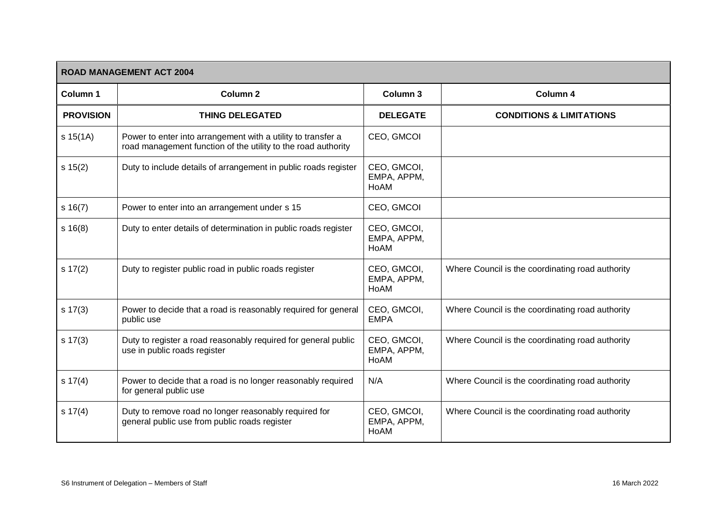| <b>ROAD MANAGEMENT ACT 2004</b> |                                                                                                                               |                                    |                                                  |  |
|---------------------------------|-------------------------------------------------------------------------------------------------------------------------------|------------------------------------|--------------------------------------------------|--|
| Column 1                        | Column <sub>2</sub>                                                                                                           | Column 3                           | Column 4                                         |  |
| <b>PROVISION</b>                | <b>THING DELEGATED</b>                                                                                                        | <b>DELEGATE</b>                    | <b>CONDITIONS &amp; LIMITATIONS</b>              |  |
| s 15(1A)                        | Power to enter into arrangement with a utility to transfer a<br>road management function of the utility to the road authority | CEO, GMCOI                         |                                                  |  |
| s 15(2)                         | Duty to include details of arrangement in public roads register                                                               | CEO, GMCOI,<br>EMPA, APPM,<br>HoAM |                                                  |  |
| s 16(7)                         | Power to enter into an arrangement under s 15                                                                                 | CEO, GMCOI                         |                                                  |  |
| s 16(8)                         | Duty to enter details of determination in public roads register                                                               | CEO, GMCOI,<br>EMPA, APPM,<br>HoAM |                                                  |  |
| s 17(2)                         | Duty to register public road in public roads register                                                                         | CEO, GMCOI,<br>EMPA, APPM,<br>HoAM | Where Council is the coordinating road authority |  |
| $s \ 17(3)$                     | Power to decide that a road is reasonably required for general<br>public use                                                  | CEO, GMCOI,<br><b>EMPA</b>         | Where Council is the coordinating road authority |  |
| $s \ 17(3)$                     | Duty to register a road reasonably required for general public<br>use in public roads register                                | CEO, GMCOI,<br>EMPA, APPM,<br>HoAM | Where Council is the coordinating road authority |  |
| s 17(4)                         | Power to decide that a road is no longer reasonably required<br>for general public use                                        | N/A                                | Where Council is the coordinating road authority |  |
| s 17(4)                         | Duty to remove road no longer reasonably required for<br>general public use from public roads register                        | CEO, GMCOI,<br>EMPA, APPM,<br>HoAM | Where Council is the coordinating road authority |  |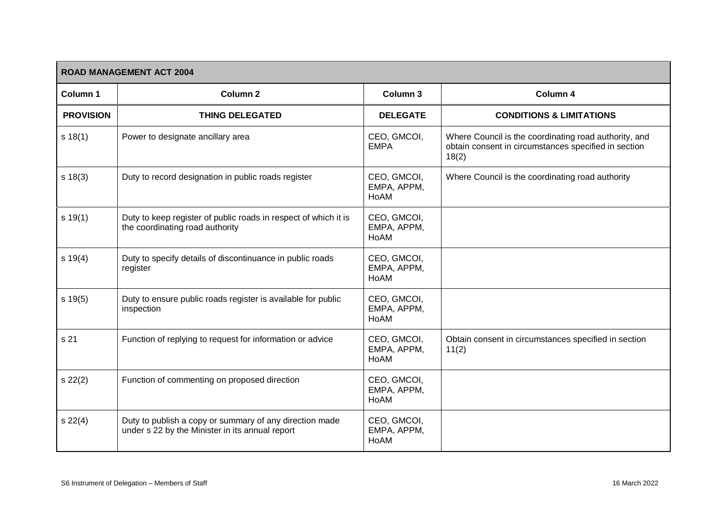|                  | <b>ROAD MANAGEMENT ACT 2004</b>                                                                            |                                    |                                                                                                                        |  |  |
|------------------|------------------------------------------------------------------------------------------------------------|------------------------------------|------------------------------------------------------------------------------------------------------------------------|--|--|
| Column 1         | <b>Column 2</b>                                                                                            | Column 3                           | Column 4                                                                                                               |  |  |
| <b>PROVISION</b> | <b>THING DELEGATED</b>                                                                                     | <b>DELEGATE</b>                    | <b>CONDITIONS &amp; LIMITATIONS</b>                                                                                    |  |  |
| s 18(1)          | Power to designate ancillary area                                                                          | CEO, GMCOI,<br><b>EMPA</b>         | Where Council is the coordinating road authority, and<br>obtain consent in circumstances specified in section<br>18(2) |  |  |
| s 18(3)          | Duty to record designation in public roads register                                                        | CEO, GMCOI,<br>EMPA, APPM,<br>HoAM | Where Council is the coordinating road authority                                                                       |  |  |
| s 19(1)          | Duty to keep register of public roads in respect of which it is<br>the coordinating road authority         | CEO, GMCOI,<br>EMPA, APPM,<br>HoAM |                                                                                                                        |  |  |
| s 19(4)          | Duty to specify details of discontinuance in public roads<br>register                                      | CEO, GMCOI,<br>EMPA, APPM,<br>HoAM |                                                                                                                        |  |  |
| s 19(5)          | Duty to ensure public roads register is available for public<br>inspection                                 | CEO, GMCOI,<br>EMPA, APPM,<br>HoAM |                                                                                                                        |  |  |
| s 21             | Function of replying to request for information or advice                                                  | CEO, GMCOI,<br>EMPA, APPM,<br>HoAM | Obtain consent in circumstances specified in section<br>11(2)                                                          |  |  |
| s 22(2)          | Function of commenting on proposed direction                                                               | CEO, GMCOI,<br>EMPA, APPM,<br>HoAM |                                                                                                                        |  |  |
| s 22(4)          | Duty to publish a copy or summary of any direction made<br>under s 22 by the Minister in its annual report | CEO, GMCOI,<br>EMPA, APPM,<br>HoAM |                                                                                                                        |  |  |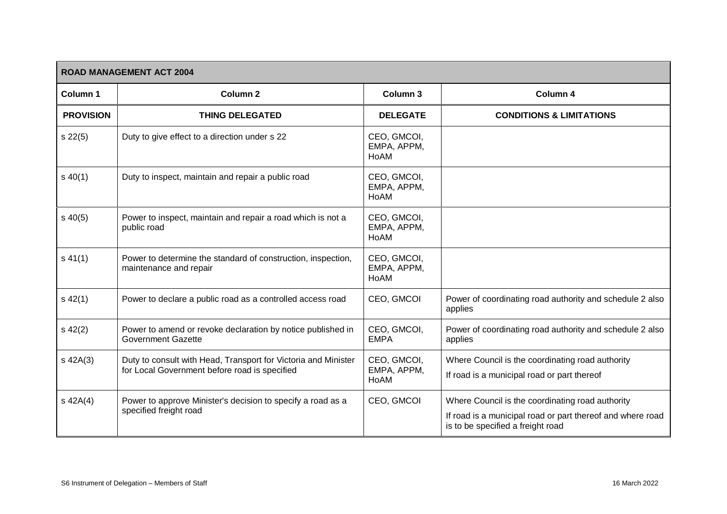| <b>ROAD MANAGEMENT ACT 2004</b> |                                                                                                                 |                                    |                                                                                                                                                     |  |
|---------------------------------|-----------------------------------------------------------------------------------------------------------------|------------------------------------|-----------------------------------------------------------------------------------------------------------------------------------------------------|--|
| Column 1                        | Column <sub>2</sub>                                                                                             | Column 3                           | Column 4                                                                                                                                            |  |
| <b>PROVISION</b>                | <b>THING DELEGATED</b>                                                                                          | <b>DELEGATE</b>                    | <b>CONDITIONS &amp; LIMITATIONS</b>                                                                                                                 |  |
| $s\,22(5)$                      | Duty to give effect to a direction under s 22                                                                   | CEO, GMCOI,<br>EMPA, APPM,<br>HoAM |                                                                                                                                                     |  |
| $s\,40(1)$                      | Duty to inspect, maintain and repair a public road                                                              | CEO, GMCOI,<br>EMPA, APPM,<br>HoAM |                                                                                                                                                     |  |
| $s\,40(5)$                      | Power to inspect, maintain and repair a road which is not a<br>public road                                      | CEO, GMCOI,<br>EMPA, APPM,<br>HoAM |                                                                                                                                                     |  |
| $s\,41(1)$                      | Power to determine the standard of construction, inspection,<br>maintenance and repair                          | CEO, GMCOI,<br>EMPA, APPM,<br>HoAM |                                                                                                                                                     |  |
| $s\,42(1)$                      | Power to declare a public road as a controlled access road                                                      | CEO, GMCOI                         | Power of coordinating road authority and schedule 2 also<br>applies                                                                                 |  |
| $s\,42(2)$                      | Power to amend or revoke declaration by notice published in<br><b>Government Gazette</b>                        | CEO, GMCOI,<br><b>EMPA</b>         | Power of coordinating road authority and schedule 2 also<br>applies                                                                                 |  |
| $s$ 42A(3)                      | Duty to consult with Head, Transport for Victoria and Minister<br>for Local Government before road is specified | CEO, GMCOI,<br>EMPA, APPM,<br>HoAM | Where Council is the coordinating road authority<br>If road is a municipal road or part thereof                                                     |  |
| $s$ 42A(4)                      | Power to approve Minister's decision to specify a road as a<br>specified freight road                           | CEO, GMCOI                         | Where Council is the coordinating road authority<br>If road is a municipal road or part thereof and where road<br>is to be specified a freight road |  |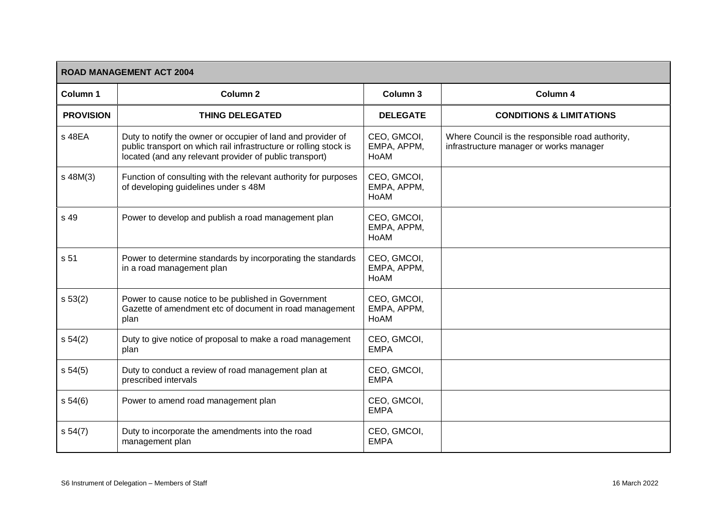| <b>ROAD MANAGEMENT ACT 2004</b> |                                                                                                                                                                                              |                                    |                                                                                             |  |
|---------------------------------|----------------------------------------------------------------------------------------------------------------------------------------------------------------------------------------------|------------------------------------|---------------------------------------------------------------------------------------------|--|
| Column 1                        | Column <sub>2</sub>                                                                                                                                                                          | Column 3                           | Column 4                                                                                    |  |
| <b>PROVISION</b>                | <b>THING DELEGATED</b>                                                                                                                                                                       | <b>DELEGATE</b>                    | <b>CONDITIONS &amp; LIMITATIONS</b>                                                         |  |
| s 48EA                          | Duty to notify the owner or occupier of land and provider of<br>public transport on which rail infrastructure or rolling stock is<br>located (and any relevant provider of public transport) | CEO, GMCOI,<br>EMPA, APPM,<br>HoAM | Where Council is the responsible road authority,<br>infrastructure manager or works manager |  |
| s 48M(3)                        | Function of consulting with the relevant authority for purposes<br>of developing guidelines under s 48M                                                                                      | CEO, GMCOI,<br>EMPA, APPM,<br>HoAM |                                                                                             |  |
| s 49                            | Power to develop and publish a road management plan                                                                                                                                          | CEO, GMCOI,<br>EMPA, APPM,<br>HoAM |                                                                                             |  |
| s 51                            | Power to determine standards by incorporating the standards<br>in a road management plan                                                                                                     | CEO, GMCOI,<br>EMPA, APPM,<br>HoAM |                                                                                             |  |
| s 53(2)                         | Power to cause notice to be published in Government<br>Gazette of amendment etc of document in road management<br>plan                                                                       | CEO, GMCOI,<br>EMPA, APPM,<br>HoAM |                                                                                             |  |
| s 54(2)                         | Duty to give notice of proposal to make a road management<br>plan                                                                                                                            | CEO, GMCOI,<br><b>EMPA</b>         |                                                                                             |  |
| s 54(5)                         | Duty to conduct a review of road management plan at<br>prescribed intervals                                                                                                                  | CEO, GMCOI,<br><b>EMPA</b>         |                                                                                             |  |
| s 54(6)                         | Power to amend road management plan                                                                                                                                                          | CEO, GMCOI,<br><b>EMPA</b>         |                                                                                             |  |
| s 54(7)                         | Duty to incorporate the amendments into the road<br>management plan                                                                                                                          | CEO, GMCOI,<br><b>EMPA</b>         |                                                                                             |  |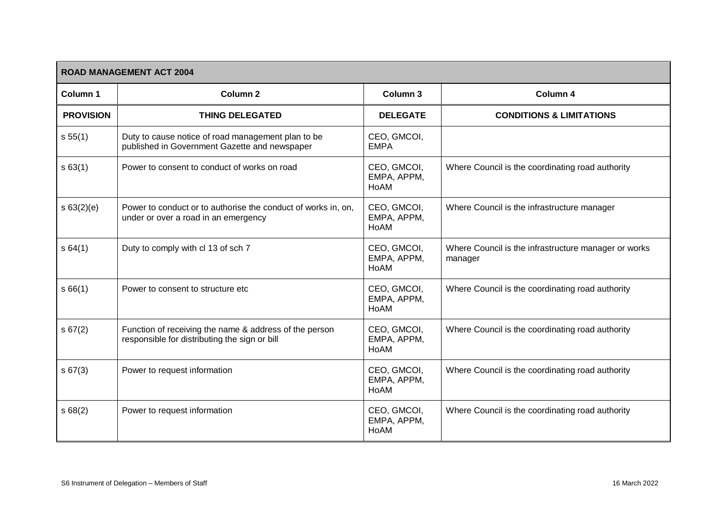|                  | <b>ROAD MANAGEMENT ACT 2004</b>                                                                         |                                    |                                                                 |  |  |
|------------------|---------------------------------------------------------------------------------------------------------|------------------------------------|-----------------------------------------------------------------|--|--|
| Column 1         | Column <sub>2</sub>                                                                                     | Column 3                           | Column 4                                                        |  |  |
| <b>PROVISION</b> | <b>THING DELEGATED</b>                                                                                  | <b>DELEGATE</b>                    | <b>CONDITIONS &amp; LIMITATIONS</b>                             |  |  |
| s 55(1)          | Duty to cause notice of road management plan to be<br>published in Government Gazette and newspaper     | CEO, GMCOI,<br><b>EMPA</b>         |                                                                 |  |  |
| s 63(1)          | Power to consent to conduct of works on road                                                            | CEO, GMCOI,<br>EMPA, APPM,<br>HoAM | Where Council is the coordinating road authority                |  |  |
| s 63(2)(e)       | Power to conduct or to authorise the conduct of works in, on,<br>under or over a road in an emergency   | CEO, GMCOI,<br>EMPA, APPM,<br>HoAM | Where Council is the infrastructure manager                     |  |  |
| s64(1)           | Duty to comply with cl 13 of sch 7                                                                      | CEO, GMCOI,<br>EMPA, APPM,<br>HoAM | Where Council is the infrastructure manager or works<br>manager |  |  |
| s66(1)           | Power to consent to structure etc.                                                                      | CEO, GMCOI,<br>EMPA, APPM,<br>HoAM | Where Council is the coordinating road authority                |  |  |
| s 67(2)          | Function of receiving the name & address of the person<br>responsible for distributing the sign or bill | CEO, GMCOI,<br>EMPA, APPM,<br>HoAM | Where Council is the coordinating road authority                |  |  |
| s 67(3)          | Power to request information                                                                            | CEO, GMCOI,<br>EMPA, APPM,<br>HoAM | Where Council is the coordinating road authority                |  |  |
| s68(2)           | Power to request information                                                                            | CEO, GMCOI,<br>EMPA, APPM,<br>HoAM | Where Council is the coordinating road authority                |  |  |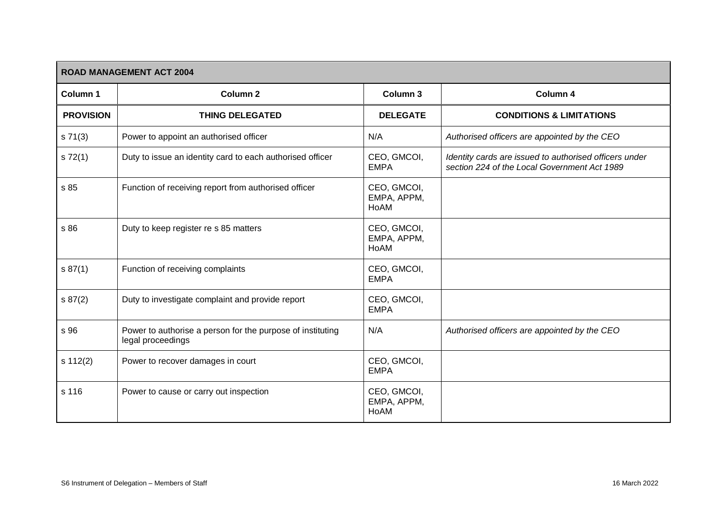| <b>ROAD MANAGEMENT ACT 2004</b> |                                                                                 |                                    |                                                                                                        |  |
|---------------------------------|---------------------------------------------------------------------------------|------------------------------------|--------------------------------------------------------------------------------------------------------|--|
| Column 1                        | Column <sub>2</sub>                                                             | Column 3                           | Column 4                                                                                               |  |
| <b>PROVISION</b>                | <b>THING DELEGATED</b>                                                          | <b>DELEGATE</b>                    | <b>CONDITIONS &amp; LIMITATIONS</b>                                                                    |  |
| s 71(3)                         | Power to appoint an authorised officer                                          | N/A                                | Authorised officers are appointed by the CEO                                                           |  |
| s 72(1)                         | Duty to issue an identity card to each authorised officer                       | CEO, GMCOI,<br><b>EMPA</b>         | Identity cards are issued to authorised officers under<br>section 224 of the Local Government Act 1989 |  |
| s 85                            | Function of receiving report from authorised officer                            | CEO, GMCOI,<br>EMPA, APPM,<br>HoAM |                                                                                                        |  |
| s 86                            | Duty to keep register re s 85 matters                                           | CEO, GMCOI,<br>EMPA, APPM,<br>HoAM |                                                                                                        |  |
| s 87(1)                         | Function of receiving complaints                                                | CEO, GMCOI,<br><b>EMPA</b>         |                                                                                                        |  |
| s 87(2)                         | Duty to investigate complaint and provide report                                | CEO, GMCOI,<br><b>EMPA</b>         |                                                                                                        |  |
| s 96                            | Power to authorise a person for the purpose of instituting<br>legal proceedings | N/A                                | Authorised officers are appointed by the CEO                                                           |  |
| s 112(2)                        | Power to recover damages in court                                               | CEO, GMCOI,<br><b>EMPA</b>         |                                                                                                        |  |
| s 116                           | Power to cause or carry out inspection                                          | CEO, GMCOI,<br>EMPA, APPM,<br>HoAM |                                                                                                        |  |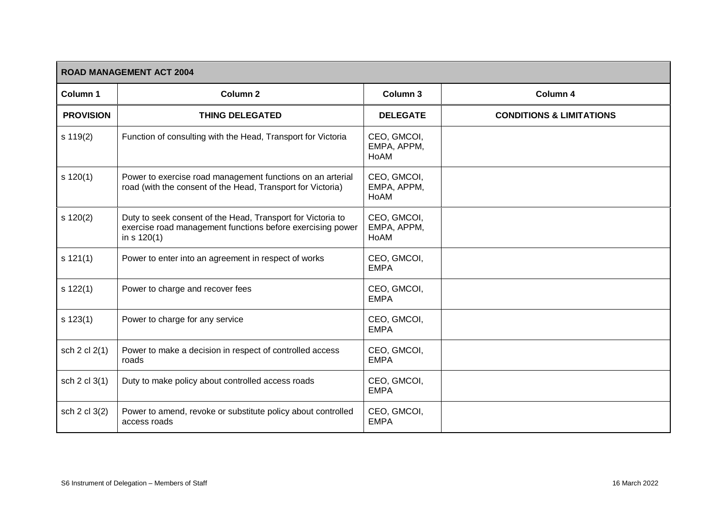| <b>ROAD MANAGEMENT ACT 2004</b> |                                                                                                                                            |                                    |                                     |
|---------------------------------|--------------------------------------------------------------------------------------------------------------------------------------------|------------------------------------|-------------------------------------|
| Column 1                        | Column <sub>2</sub>                                                                                                                        | Column 3                           | Column 4                            |
| <b>PROVISION</b>                | <b>THING DELEGATED</b>                                                                                                                     | <b>DELEGATE</b>                    | <b>CONDITIONS &amp; LIMITATIONS</b> |
| s 119(2)                        | Function of consulting with the Head, Transport for Victoria                                                                               | CEO, GMCOI,<br>EMPA, APPM,<br>HoAM |                                     |
| $s$ 120(1)                      | Power to exercise road management functions on an arterial<br>road (with the consent of the Head, Transport for Victoria)                  | CEO, GMCOI,<br>EMPA, APPM,<br>HoAM |                                     |
| $s$ 120(2)                      | Duty to seek consent of the Head, Transport for Victoria to<br>exercise road management functions before exercising power<br>in $s$ 120(1) | CEO, GMCOI,<br>EMPA, APPM,<br>HoAM |                                     |
| s 121(1)                        | Power to enter into an agreement in respect of works                                                                                       | CEO, GMCOI,<br><b>EMPA</b>         |                                     |
| s 122(1)                        | Power to charge and recover fees                                                                                                           | CEO, GMCOI,<br><b>EMPA</b>         |                                     |
| $s$ 123(1)                      | Power to charge for any service                                                                                                            | CEO, GMCOI,<br><b>EMPA</b>         |                                     |
| sch 2 cl 2(1)                   | Power to make a decision in respect of controlled access<br>roads                                                                          | CEO, GMCOI,<br><b>EMPA</b>         |                                     |
| sch 2 cl 3(1)                   | Duty to make policy about controlled access roads                                                                                          | CEO, GMCOI,<br><b>EMPA</b>         |                                     |
| sch 2 cl 3(2)                   | Power to amend, revoke or substitute policy about controlled<br>access roads                                                               | CEO, GMCOI,<br><b>EMPA</b>         |                                     |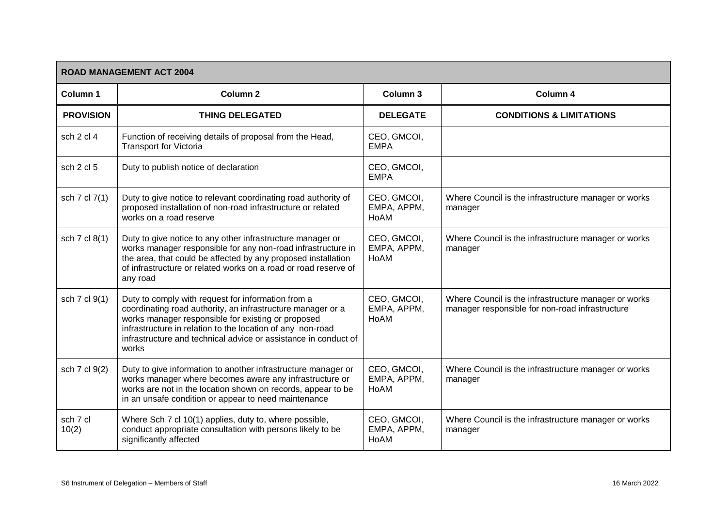| <b>ROAD MANAGEMENT ACT 2004</b> |                                                                                                                                                                                                                                                                                                                   |                                    |                                                                                                         |  |
|---------------------------------|-------------------------------------------------------------------------------------------------------------------------------------------------------------------------------------------------------------------------------------------------------------------------------------------------------------------|------------------------------------|---------------------------------------------------------------------------------------------------------|--|
| Column <sub>1</sub>             | Column <sub>2</sub>                                                                                                                                                                                                                                                                                               | Column 3                           | Column 4                                                                                                |  |
| <b>PROVISION</b>                | <b>THING DELEGATED</b>                                                                                                                                                                                                                                                                                            | <b>DELEGATE</b>                    | <b>CONDITIONS &amp; LIMITATIONS</b>                                                                     |  |
| sch 2 cl 4                      | Function of receiving details of proposal from the Head,<br><b>Transport for Victoria</b>                                                                                                                                                                                                                         | CEO, GMCOI,<br><b>EMPA</b>         |                                                                                                         |  |
| sch 2 cl 5                      | Duty to publish notice of declaration                                                                                                                                                                                                                                                                             | CEO, GMCOI,<br><b>EMPA</b>         |                                                                                                         |  |
| sch 7 cl 7(1)                   | Duty to give notice to relevant coordinating road authority of<br>proposed installation of non-road infrastructure or related<br>works on a road reserve                                                                                                                                                          | CEO, GMCOI,<br>EMPA, APPM,<br>HoAM | Where Council is the infrastructure manager or works<br>manager                                         |  |
| sch 7 cl 8(1)                   | Duty to give notice to any other infrastructure manager or<br>works manager responsible for any non-road infrastructure in<br>the area, that could be affected by any proposed installation<br>of infrastructure or related works on a road or road reserve of<br>any road                                        | CEO, GMCOI,<br>EMPA, APPM,<br>HoAM | Where Council is the infrastructure manager or works<br>manager                                         |  |
| sch 7 cl 9(1)                   | Duty to comply with request for information from a<br>coordinating road authority, an infrastructure manager or a<br>works manager responsible for existing or proposed<br>infrastructure in relation to the location of any non-road<br>infrastructure and technical advice or assistance in conduct of<br>works | CEO, GMCOI,<br>EMPA, APPM,<br>HoAM | Where Council is the infrastructure manager or works<br>manager responsible for non-road infrastructure |  |
| sch 7 cl 9(2)                   | Duty to give information to another infrastructure manager or<br>works manager where becomes aware any infrastructure or<br>works are not in the location shown on records, appear to be<br>in an unsafe condition or appear to need maintenance                                                                  | CEO, GMCOI,<br>EMPA, APPM,<br>HoAM | Where Council is the infrastructure manager or works<br>manager                                         |  |
| sch 7 cl<br>10(2)               | Where Sch 7 cl 10(1) applies, duty to, where possible,<br>conduct appropriate consultation with persons likely to be<br>significantly affected                                                                                                                                                                    | CEO, GMCOI,<br>EMPA, APPM,<br>HoAM | Where Council is the infrastructure manager or works<br>manager                                         |  |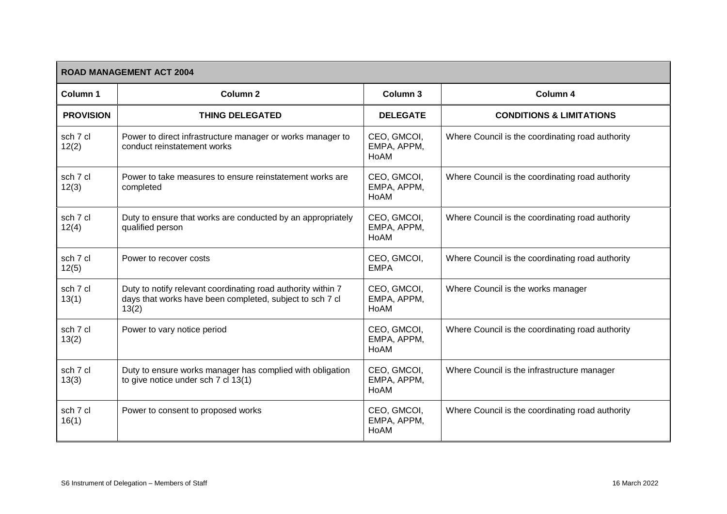|                   | <b>ROAD MANAGEMENT ACT 2004</b>                                                                                                   |                                    |                                                  |  |  |
|-------------------|-----------------------------------------------------------------------------------------------------------------------------------|------------------------------------|--------------------------------------------------|--|--|
| Column 1          | <b>Column 2</b>                                                                                                                   | Column 3                           | Column 4                                         |  |  |
| <b>PROVISION</b>  | <b>THING DELEGATED</b>                                                                                                            | <b>DELEGATE</b>                    | <b>CONDITIONS &amp; LIMITATIONS</b>              |  |  |
| sch 7 cl<br>12(2) | Power to direct infrastructure manager or works manager to<br>conduct reinstatement works                                         | CEO, GMCOI,<br>EMPA, APPM,<br>HoAM | Where Council is the coordinating road authority |  |  |
| sch 7 cl<br>12(3) | Power to take measures to ensure reinstatement works are<br>completed                                                             | CEO, GMCOI,<br>EMPA, APPM,<br>HoAM | Where Council is the coordinating road authority |  |  |
| sch 7 cl<br>12(4) | Duty to ensure that works are conducted by an appropriately<br>qualified person                                                   | CEO, GMCOI,<br>EMPA, APPM,<br>HoAM | Where Council is the coordinating road authority |  |  |
| sch 7 cl<br>12(5) | Power to recover costs                                                                                                            | CEO, GMCOI,<br><b>EMPA</b>         | Where Council is the coordinating road authority |  |  |
| sch 7 cl<br>13(1) | Duty to notify relevant coordinating road authority within 7<br>days that works have been completed, subject to sch 7 cl<br>13(2) | CEO, GMCOI,<br>EMPA, APPM,<br>HoAM | Where Council is the works manager               |  |  |
| sch 7 cl<br>13(2) | Power to vary notice period                                                                                                       | CEO, GMCOI,<br>EMPA, APPM,<br>HoAM | Where Council is the coordinating road authority |  |  |
| sch 7 cl<br>13(3) | Duty to ensure works manager has complied with obligation<br>to give notice under sch 7 cl 13(1)                                  | CEO, GMCOI,<br>EMPA, APPM,<br>HoAM | Where Council is the infrastructure manager      |  |  |
| sch 7 cl<br>16(1) | Power to consent to proposed works                                                                                                | CEO, GMCOI,<br>EMPA, APPM,<br>HoAM | Where Council is the coordinating road authority |  |  |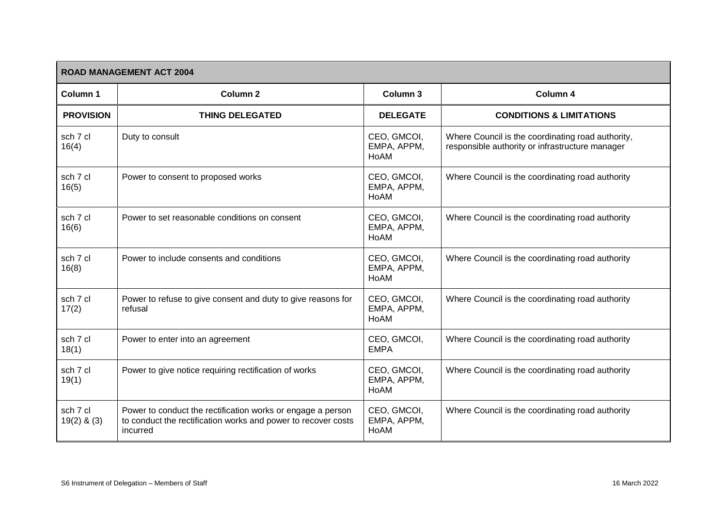| <b>ROAD MANAGEMENT ACT 2004</b> |                                                                                                                                          |                                    |                                                                                                      |  |
|---------------------------------|------------------------------------------------------------------------------------------------------------------------------------------|------------------------------------|------------------------------------------------------------------------------------------------------|--|
| Column 1                        | <b>Column 2</b>                                                                                                                          | Column 3                           | Column 4                                                                                             |  |
| <b>PROVISION</b>                | <b>THING DELEGATED</b>                                                                                                                   | <b>DELEGATE</b>                    | <b>CONDITIONS &amp; LIMITATIONS</b>                                                                  |  |
| sch 7 cl<br>16(4)               | Duty to consult                                                                                                                          | CEO, GMCOI,<br>EMPA, APPM,<br>HoAM | Where Council is the coordinating road authority,<br>responsible authority or infrastructure manager |  |
| sch 7 cl<br>16(5)               | Power to consent to proposed works                                                                                                       | CEO, GMCOI,<br>EMPA, APPM,<br>HoAM | Where Council is the coordinating road authority                                                     |  |
| sch 7 cl<br>16(6)               | Power to set reasonable conditions on consent                                                                                            | CEO, GMCOI,<br>EMPA, APPM,<br>HoAM | Where Council is the coordinating road authority                                                     |  |
| sch 7 cl<br>16(8)               | Power to include consents and conditions                                                                                                 | CEO, GMCOI,<br>EMPA, APPM,<br>HoAM | Where Council is the coordinating road authority                                                     |  |
| sch 7 cl<br>17(2)               | Power to refuse to give consent and duty to give reasons for<br>refusal                                                                  | CEO, GMCOI,<br>EMPA, APPM,<br>HoAM | Where Council is the coordinating road authority                                                     |  |
| sch 7 cl<br>18(1)               | Power to enter into an agreement                                                                                                         | CEO, GMCOI,<br><b>EMPA</b>         | Where Council is the coordinating road authority                                                     |  |
| sch 7 cl<br>19(1)               | Power to give notice requiring rectification of works                                                                                    | CEO, GMCOI,<br>EMPA, APPM,<br>HoAM | Where Council is the coordinating road authority                                                     |  |
| sch 7 cl<br>$19(2)$ & $(3)$     | Power to conduct the rectification works or engage a person<br>to conduct the rectification works and power to recover costs<br>incurred | CEO, GMCOI,<br>EMPA, APPM,<br>HoAM | Where Council is the coordinating road authority                                                     |  |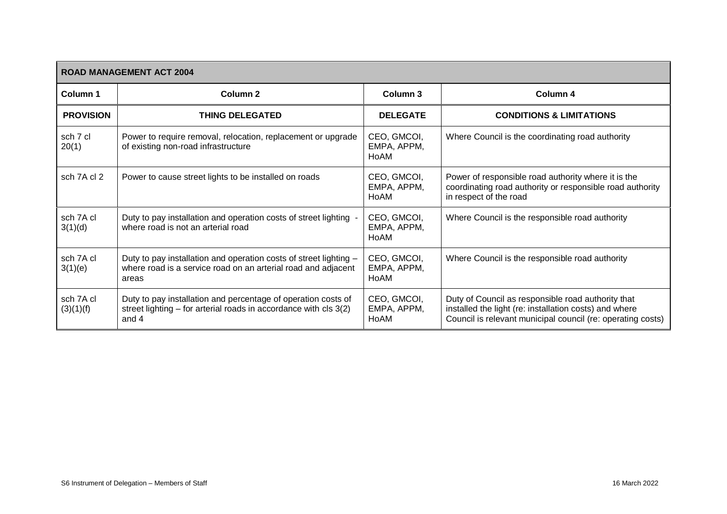| <b>ROAD MANAGEMENT ACT 2004</b> |                                                                                                                                             |                                    |                                                                                                                                                                             |  |
|---------------------------------|---------------------------------------------------------------------------------------------------------------------------------------------|------------------------------------|-----------------------------------------------------------------------------------------------------------------------------------------------------------------------------|--|
| Column 1                        | Column 2                                                                                                                                    | Column 3                           | Column 4                                                                                                                                                                    |  |
| <b>PROVISION</b>                | <b>THING DELEGATED</b>                                                                                                                      | <b>DELEGATE</b>                    | <b>CONDITIONS &amp; LIMITATIONS</b>                                                                                                                                         |  |
| sch 7 cl<br>20(1)               | Power to require removal, relocation, replacement or upgrade<br>of existing non-road infrastructure                                         | CEO, GMCOI,<br>EMPA, APPM,<br>HoAM | Where Council is the coordinating road authority                                                                                                                            |  |
| sch 7A cl 2                     | Power to cause street lights to be installed on roads                                                                                       | CEO, GMCOI,<br>EMPA, APPM,<br>HoAM | Power of responsible road authority where it is the<br>coordinating road authority or responsible road authority<br>in respect of the road                                  |  |
| sch 7A cl<br>3(1)(d)            | Duty to pay installation and operation costs of street lighting<br>where road is not an arterial road                                       | CEO, GMCOI,<br>EMPA, APPM,<br>HoAM | Where Council is the responsible road authority                                                                                                                             |  |
| sch 7A cl<br>3(1)(e)            | Duty to pay installation and operation costs of street lighting -<br>where road is a service road on an arterial road and adjacent<br>areas | CEO, GMCOI,<br>EMPA, APPM,<br>HoAM | Where Council is the responsible road authority                                                                                                                             |  |
| sch 7A cl<br>(3)(1)(f)          | Duty to pay installation and percentage of operation costs of<br>street lighting – for arterial roads in accordance with cls 3(2)<br>and 4  | CEO, GMCOI,<br>EMPA, APPM,<br>HoAM | Duty of Council as responsible road authority that<br>installed the light (re: installation costs) and where<br>Council is relevant municipal council (re: operating costs) |  |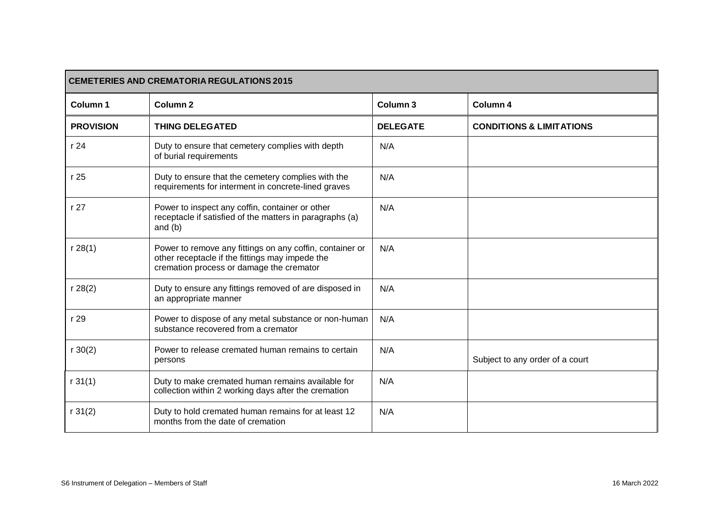| <b>CEMETERIES AND CREMATORIA REGULATIONS 2015</b> |                                                                                                                                                         |                 |                                     |
|---------------------------------------------------|---------------------------------------------------------------------------------------------------------------------------------------------------------|-----------------|-------------------------------------|
| Column <sub>1</sub>                               | Column <sub>2</sub>                                                                                                                                     | Column 3        | Column 4                            |
| <b>PROVISION</b>                                  | <b>THING DELEGATED</b>                                                                                                                                  | <b>DELEGATE</b> | <b>CONDITIONS &amp; LIMITATIONS</b> |
| r 24                                              | Duty to ensure that cemetery complies with depth<br>of burial requirements                                                                              | N/A             |                                     |
| r 25                                              | Duty to ensure that the cemetery complies with the<br>requirements for interment in concrete-lined graves                                               | N/A             |                                     |
| r 27                                              | Power to inspect any coffin, container or other<br>receptacle if satisfied of the matters in paragraphs (a)<br>and $(b)$                                | N/A             |                                     |
| r 28(1)                                           | Power to remove any fittings on any coffin, container or<br>other receptacle if the fittings may impede the<br>cremation process or damage the cremator | N/A             |                                     |
| r 28(2)                                           | Duty to ensure any fittings removed of are disposed in<br>an appropriate manner                                                                         | N/A             |                                     |
| r 29                                              | Power to dispose of any metal substance or non-human<br>substance recovered from a cremator                                                             | N/A             |                                     |
| r 30(2)                                           | Power to release cremated human remains to certain<br>persons                                                                                           | N/A             | Subject to any order of a court     |
| r 31(1)                                           | Duty to make cremated human remains available for<br>collection within 2 working days after the cremation                                               | N/A             |                                     |
| r 31(2)                                           | Duty to hold cremated human remains for at least 12<br>months from the date of cremation                                                                | N/A             |                                     |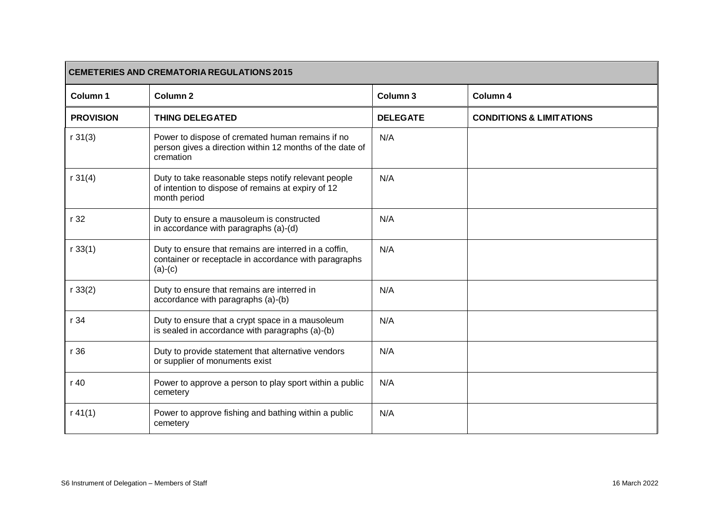| <b>CEMETERIES AND CREMATORIA REGULATIONS 2015</b> |                                                                                                                             |                     |                                     |
|---------------------------------------------------|-----------------------------------------------------------------------------------------------------------------------------|---------------------|-------------------------------------|
| Column <sub>1</sub>                               | Column <sub>2</sub>                                                                                                         | Column <sub>3</sub> | Column 4                            |
| <b>PROVISION</b>                                  | <b>THING DELEGATED</b>                                                                                                      | <b>DELEGATE</b>     | <b>CONDITIONS &amp; LIMITATIONS</b> |
| r 31(3)                                           | Power to dispose of cremated human remains if no<br>person gives a direction within 12 months of the date of<br>cremation   | N/A                 |                                     |
| r 31(4)                                           | Duty to take reasonable steps notify relevant people<br>of intention to dispose of remains at expiry of 12<br>month period  | N/A                 |                                     |
| r 32                                              | Duty to ensure a mausoleum is constructed<br>in accordance with paragraphs (a)-(d)                                          | N/A                 |                                     |
| r 33(1)                                           | Duty to ensure that remains are interred in a coffin,<br>container or receptacle in accordance with paragraphs<br>$(a)-(c)$ | N/A                 |                                     |
| r 33(2)                                           | Duty to ensure that remains are interred in<br>accordance with paragraphs (a)-(b)                                           | N/A                 |                                     |
| r 34                                              | Duty to ensure that a crypt space in a mausoleum<br>is sealed in accordance with paragraphs (a)-(b)                         | N/A                 |                                     |
| r 36                                              | Duty to provide statement that alternative vendors<br>or supplier of monuments exist                                        | N/A                 |                                     |
| r 40                                              | Power to approve a person to play sport within a public<br>cemetery                                                         | N/A                 |                                     |
| r 41(1)                                           | Power to approve fishing and bathing within a public<br>cemetery                                                            | N/A                 |                                     |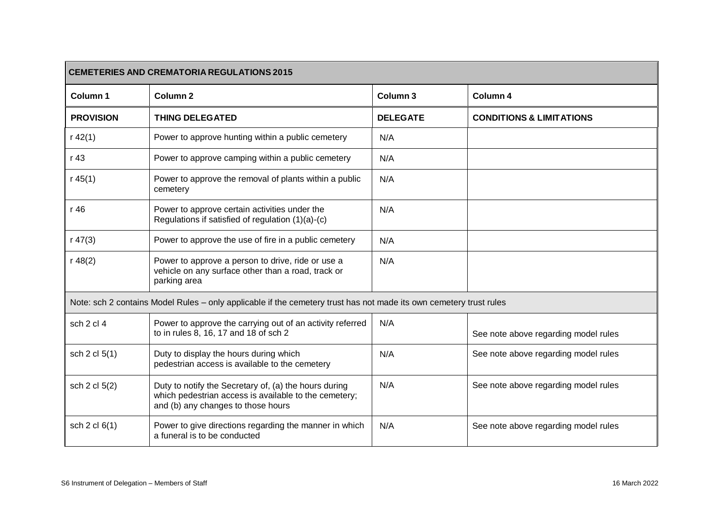| <b>CEMETERIES AND CREMATORIA REGULATIONS 2015</b> |                                                                                                                                                      |                 |                                      |
|---------------------------------------------------|------------------------------------------------------------------------------------------------------------------------------------------------------|-----------------|--------------------------------------|
| Column 1                                          | Column <sub>2</sub>                                                                                                                                  | Column 3        | Column 4                             |
| <b>PROVISION</b>                                  | <b>THING DELEGATED</b>                                                                                                                               | <b>DELEGATE</b> | <b>CONDITIONS &amp; LIMITATIONS</b>  |
| r 42(1)                                           | Power to approve hunting within a public cemetery                                                                                                    | N/A             |                                      |
| r 43                                              | Power to approve camping within a public cemetery                                                                                                    | N/A             |                                      |
| r 45(1)                                           | Power to approve the removal of plants within a public<br>cemetery                                                                                   | N/A             |                                      |
| r 46                                              | Power to approve certain activities under the<br>Regulations if satisfied of regulation (1)(a)-(c)                                                   | N/A             |                                      |
| r 47(3)                                           | Power to approve the use of fire in a public cemetery                                                                                                | N/A             |                                      |
| r 48(2)                                           | Power to approve a person to drive, ride or use a<br>vehicle on any surface other than a road, track or<br>parking area                              | N/A             |                                      |
|                                                   | Note: sch 2 contains Model Rules - only applicable if the cemetery trust has not made its own cemetery trust rules                                   |                 |                                      |
| sch 2 cl 4                                        | Power to approve the carrying out of an activity referred<br>to in rules 8, 16, 17 and 18 of sch 2                                                   | N/A             | See note above regarding model rules |
| sch 2 cl 5(1)                                     | Duty to display the hours during which<br>pedestrian access is available to the cemetery                                                             | N/A             | See note above regarding model rules |
| sch 2 cl 5(2)                                     | Duty to notify the Secretary of, (a) the hours during<br>which pedestrian access is available to the cemetery;<br>and (b) any changes to those hours | N/A             | See note above regarding model rules |
| sch 2 cl 6(1)                                     | Power to give directions regarding the manner in which<br>a funeral is to be conducted                                                               | N/A             | See note above regarding model rules |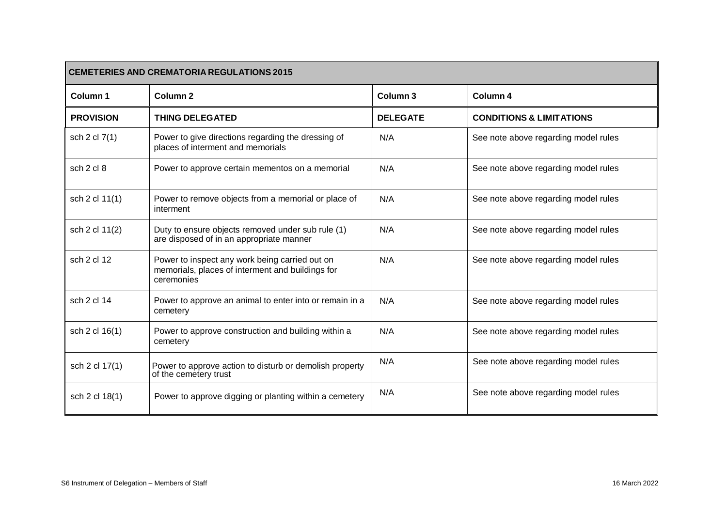| <b>CEMETERIES AND CREMATORIA REGULATIONS 2015</b> |                                                                                                                  |                 |                                      |
|---------------------------------------------------|------------------------------------------------------------------------------------------------------------------|-----------------|--------------------------------------|
| Column <sub>1</sub>                               | Column <sub>2</sub>                                                                                              | Column 3        | Column 4                             |
| <b>PROVISION</b>                                  | <b>THING DELEGATED</b>                                                                                           | <b>DELEGATE</b> | <b>CONDITIONS &amp; LIMITATIONS</b>  |
| sch 2 cl 7(1)                                     | Power to give directions regarding the dressing of<br>places of interment and memorials                          | N/A             | See note above regarding model rules |
| sch 2 cl 8                                        | Power to approve certain mementos on a memorial                                                                  | N/A             | See note above regarding model rules |
| sch 2 cl 11(1)                                    | Power to remove objects from a memorial or place of<br>interment                                                 | N/A             | See note above regarding model rules |
| sch 2 cl 11(2)                                    | Duty to ensure objects removed under sub rule (1)<br>are disposed of in an appropriate manner                    | N/A             | See note above regarding model rules |
| sch 2 cl 12                                       | Power to inspect any work being carried out on<br>memorials, places of interment and buildings for<br>ceremonies | N/A             | See note above regarding model rules |
| sch 2 cl 14                                       | Power to approve an animal to enter into or remain in a<br>cemetery                                              | N/A             | See note above regarding model rules |
| sch 2 cl 16(1)                                    | Power to approve construction and building within a<br>cemetery                                                  | N/A             | See note above regarding model rules |
| sch 2 cl 17(1)                                    | Power to approve action to disturb or demolish property<br>of the cemetery trust                                 | N/A             | See note above regarding model rules |
| sch 2 cl 18(1)                                    | Power to approve digging or planting within a cemetery                                                           | N/A             | See note above regarding model rules |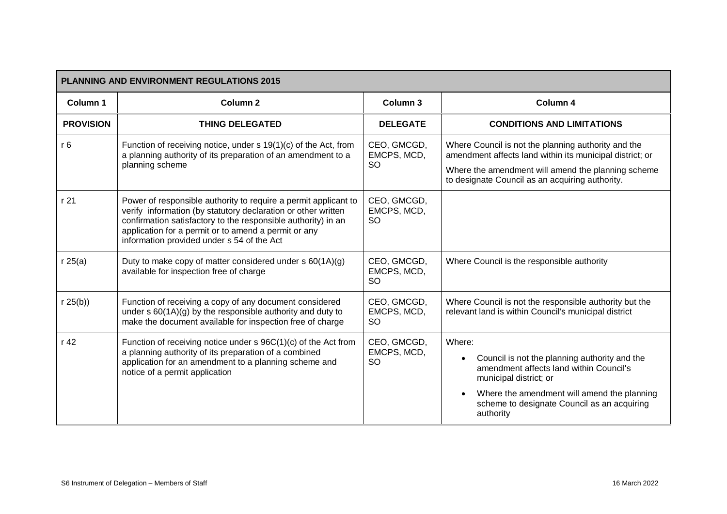| <b>PLANNING AND ENVIRONMENT REGULATIONS 2015</b> |                                                                                                                                                                                                                                                                                                         |                                         |                                                                                                                                                                                                                                                                   |  |
|--------------------------------------------------|---------------------------------------------------------------------------------------------------------------------------------------------------------------------------------------------------------------------------------------------------------------------------------------------------------|-----------------------------------------|-------------------------------------------------------------------------------------------------------------------------------------------------------------------------------------------------------------------------------------------------------------------|--|
| Column 1                                         | Column <sub>2</sub>                                                                                                                                                                                                                                                                                     | Column 3                                | Column 4                                                                                                                                                                                                                                                          |  |
| <b>PROVISION</b>                                 | <b>THING DELEGATED</b>                                                                                                                                                                                                                                                                                  | <b>DELEGATE</b>                         | <b>CONDITIONS AND LIMITATIONS</b>                                                                                                                                                                                                                                 |  |
| r <sub>6</sub>                                   | Function of receiving notice, under s 19(1)(c) of the Act, from<br>a planning authority of its preparation of an amendment to a<br>planning scheme                                                                                                                                                      | CEO, GMCGD,<br>EMCPS, MCD,<br><b>SO</b> | Where Council is not the planning authority and the<br>amendment affects land within its municipal district; or<br>Where the amendment will amend the planning scheme<br>to designate Council as an acquiring authority.                                          |  |
| r 21                                             | Power of responsible authority to require a permit applicant to<br>verify information (by statutory declaration or other written<br>confirmation satisfactory to the responsible authority) in an<br>application for a permit or to amend a permit or any<br>information provided under s 54 of the Act | CEO, GMCGD,<br>EMCPS, MCD,<br>SO        |                                                                                                                                                                                                                                                                   |  |
| r25(a)                                           | Duty to make copy of matter considered under s 60(1A)(g)<br>available for inspection free of charge                                                                                                                                                                                                     | CEO, GMCGD,<br>EMCPS, MCD,<br><b>SO</b> | Where Council is the responsible authority                                                                                                                                                                                                                        |  |
| r 25(b)                                          | Function of receiving a copy of any document considered<br>under $s 60(1A)(g)$ by the responsible authority and duty to<br>make the document available for inspection free of charge                                                                                                                    | CEO, GMCGD,<br>EMCPS, MCD,<br><b>SO</b> | Where Council is not the responsible authority but the<br>relevant land is within Council's municipal district                                                                                                                                                    |  |
| r 42                                             | Function of receiving notice under s 96C(1)(c) of the Act from<br>a planning authority of its preparation of a combined<br>application for an amendment to a planning scheme and<br>notice of a permit application                                                                                      | CEO, GMCGD,<br>EMCPS, MCD,<br><b>SO</b> | Where:<br>Council is not the planning authority and the<br>$\bullet$<br>amendment affects land within Council's<br>municipal district; or<br>Where the amendment will amend the planning<br>$\bullet$<br>scheme to designate Council as an acquiring<br>authority |  |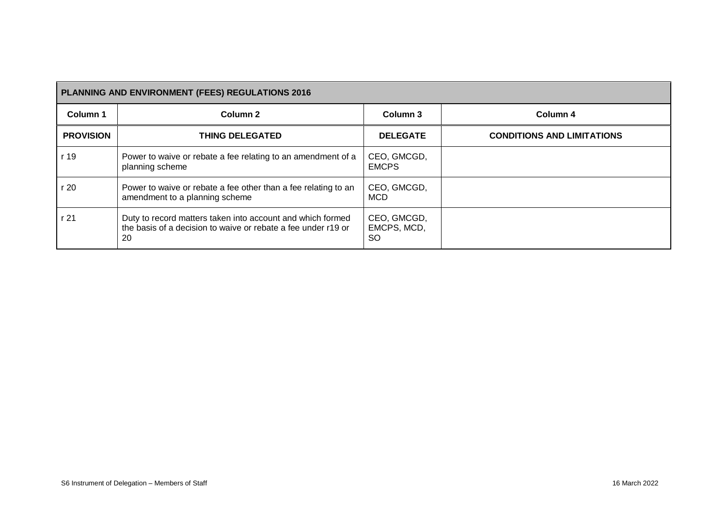| PLANNING AND ENVIRONMENT (FEES) REGULATIONS 2016 |                                                                                                                                   |                                         |                                   |  |
|--------------------------------------------------|-----------------------------------------------------------------------------------------------------------------------------------|-----------------------------------------|-----------------------------------|--|
| Column 1                                         | Column <sub>2</sub>                                                                                                               | Column 3                                | Column 4                          |  |
| <b>PROVISION</b>                                 | <b>THING DELEGATED</b>                                                                                                            | <b>DELEGATE</b>                         | <b>CONDITIONS AND LIMITATIONS</b> |  |
| r 19                                             | Power to waive or rebate a fee relating to an amendment of a<br>planning scheme                                                   | CEO, GMCGD,<br><b>EMCPS</b>             |                                   |  |
| r 20                                             | Power to waive or rebate a fee other than a fee relating to an<br>amendment to a planning scheme                                  | CEO, GMCGD,<br><b>MCD</b>               |                                   |  |
| r 21                                             | Duty to record matters taken into account and which formed<br>the basis of a decision to waive or rebate a fee under r19 or<br>20 | CEO, GMCGD,<br>EMCPS, MCD,<br><b>SO</b> |                                   |  |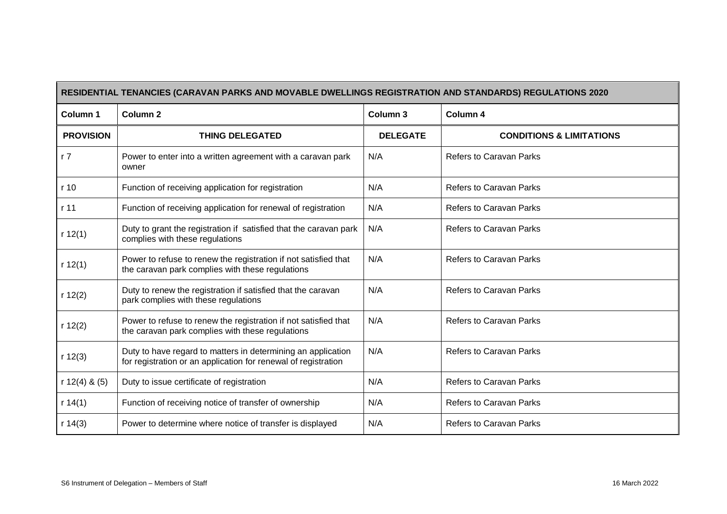| RESIDENTIAL TENANCIES (CARAVAN PARKS AND MOVABLE DWELLINGS REGISTRATION AND STANDARDS) REGULATIONS 2020 |                                                                                                                                |                 |                                     |  |
|---------------------------------------------------------------------------------------------------------|--------------------------------------------------------------------------------------------------------------------------------|-----------------|-------------------------------------|--|
| Column 1                                                                                                | Column <sub>2</sub>                                                                                                            | Column 3        | Column 4                            |  |
| <b>PROVISION</b>                                                                                        | <b>THING DELEGATED</b>                                                                                                         | <b>DELEGATE</b> | <b>CONDITIONS &amp; LIMITATIONS</b> |  |
| r <sub>7</sub>                                                                                          | Power to enter into a written agreement with a caravan park<br>owner                                                           | N/A             | <b>Refers to Caravan Parks</b>      |  |
| r 10                                                                                                    | Function of receiving application for registration                                                                             | N/A             | <b>Refers to Caravan Parks</b>      |  |
| r 11                                                                                                    | Function of receiving application for renewal of registration                                                                  | N/A             | <b>Refers to Caravan Parks</b>      |  |
| r 12(1)                                                                                                 | Duty to grant the registration if satisfied that the caravan park<br>complies with these regulations                           | N/A             | Refers to Caravan Parks             |  |
| r 12(1)                                                                                                 | Power to refuse to renew the registration if not satisfied that<br>the caravan park complies with these regulations            | N/A             | <b>Refers to Caravan Parks</b>      |  |
| r 12(2)                                                                                                 | Duty to renew the registration if satisfied that the caravan<br>park complies with these regulations                           | N/A             | <b>Refers to Caravan Parks</b>      |  |
| r 12(2)                                                                                                 | Power to refuse to renew the registration if not satisfied that<br>the caravan park complies with these regulations            | N/A             | Refers to Caravan Parks             |  |
| r 12(3)                                                                                                 | Duty to have regard to matters in determining an application<br>for registration or an application for renewal of registration | N/A             | <b>Refers to Caravan Parks</b>      |  |
| r $12(4)$ & $(5)$                                                                                       | Duty to issue certificate of registration                                                                                      | N/A             | Refers to Caravan Parks             |  |
| r 14(1)                                                                                                 | Function of receiving notice of transfer of ownership                                                                          | N/A             | <b>Refers to Caravan Parks</b>      |  |
| r 14(3)                                                                                                 | Power to determine where notice of transfer is displayed                                                                       | N/A             | <b>Refers to Caravan Parks</b>      |  |

 $\blacksquare$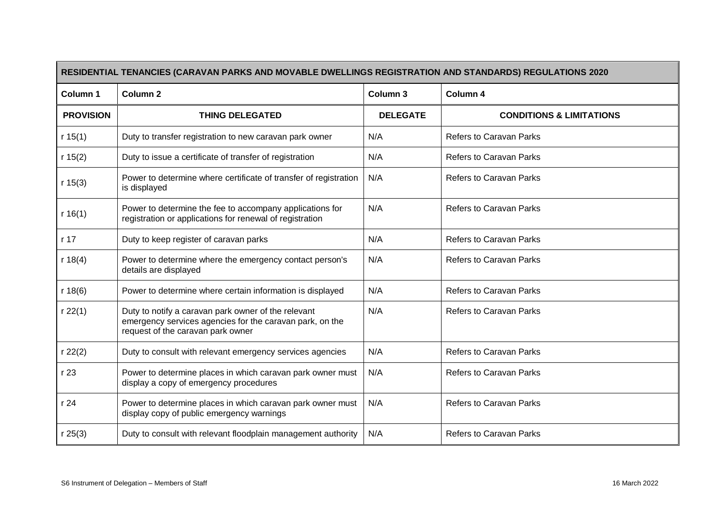| RESIDENTIAL TENANCIES (CARAVAN PARKS AND MOVABLE DWELLINGS REGISTRATION AND STANDARDS) REGULATIONS 2020 |                                                                                                                                                      |                     |                                     |  |  |
|---------------------------------------------------------------------------------------------------------|------------------------------------------------------------------------------------------------------------------------------------------------------|---------------------|-------------------------------------|--|--|
| Column 1                                                                                                | Column <sub>2</sub>                                                                                                                                  | Column <sub>3</sub> | Column 4                            |  |  |
| <b>PROVISION</b>                                                                                        | <b>THING DELEGATED</b>                                                                                                                               | <b>DELEGATE</b>     | <b>CONDITIONS &amp; LIMITATIONS</b> |  |  |
| r 15(1)                                                                                                 | Duty to transfer registration to new caravan park owner                                                                                              | N/A                 | Refers to Caravan Parks             |  |  |
| r $15(2)$                                                                                               | Duty to issue a certificate of transfer of registration                                                                                              | N/A                 | Refers to Caravan Parks             |  |  |
| r 15(3)                                                                                                 | Power to determine where certificate of transfer of registration<br>is displayed                                                                     | N/A                 | Refers to Caravan Parks             |  |  |
| r $16(1)$                                                                                               | Power to determine the fee to accompany applications for<br>registration or applications for renewal of registration                                 | N/A                 | <b>Refers to Caravan Parks</b>      |  |  |
| r 17                                                                                                    | Duty to keep register of caravan parks                                                                                                               | N/A                 | Refers to Caravan Parks             |  |  |
| r 18(4)                                                                                                 | Power to determine where the emergency contact person's<br>details are displayed                                                                     | N/A                 | <b>Refers to Caravan Parks</b>      |  |  |
| r 18(6)                                                                                                 | Power to determine where certain information is displayed                                                                                            | N/A                 | Refers to Caravan Parks             |  |  |
| r 22(1)                                                                                                 | Duty to notify a caravan park owner of the relevant<br>emergency services agencies for the caravan park, on the<br>request of the caravan park owner | N/A                 | <b>Refers to Caravan Parks</b>      |  |  |
| r 22(2)                                                                                                 | Duty to consult with relevant emergency services agencies                                                                                            | N/A                 | Refers to Caravan Parks             |  |  |
| r 23                                                                                                    | Power to determine places in which caravan park owner must<br>display a copy of emergency procedures                                                 | N/A                 | <b>Refers to Caravan Parks</b>      |  |  |
| r 24                                                                                                    | Power to determine places in which caravan park owner must<br>display copy of public emergency warnings                                              | N/A                 | Refers to Caravan Parks             |  |  |
| r 25(3)                                                                                                 | Duty to consult with relevant floodplain management authority                                                                                        | N/A                 | Refers to Caravan Parks             |  |  |

r.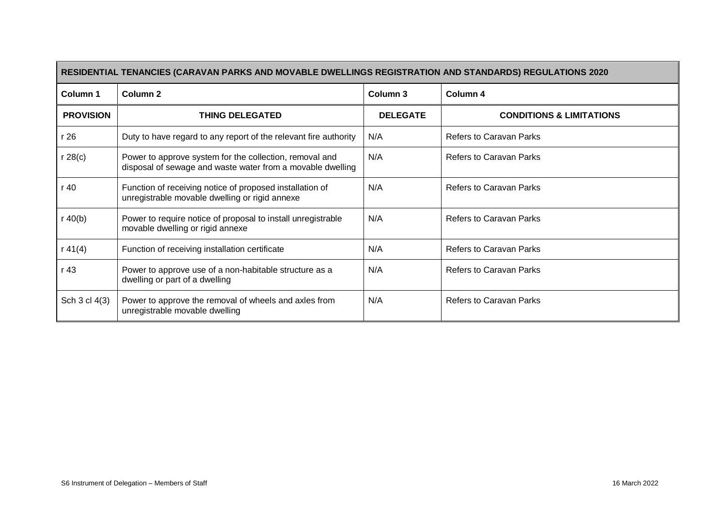| RESIDENTIAL TENANCIES (CARAVAN PARKS AND MOVABLE DWELLINGS REGISTRATION AND STANDARDS) REGULATIONS 2020 |                                                                                                                       |                 |                                     |  |
|---------------------------------------------------------------------------------------------------------|-----------------------------------------------------------------------------------------------------------------------|-----------------|-------------------------------------|--|
| Column 1                                                                                                | <b>Column 2</b>                                                                                                       | Column 3        | Column 4                            |  |
| <b>PROVISION</b>                                                                                        | <b>THING DELEGATED</b>                                                                                                | <b>DELEGATE</b> | <b>CONDITIONS &amp; LIMITATIONS</b> |  |
| r 26                                                                                                    | Duty to have regard to any report of the relevant fire authority                                                      | N/A             | <b>Refers to Caravan Parks</b>      |  |
| r 28(c)                                                                                                 | Power to approve system for the collection, removal and<br>disposal of sewage and waste water from a movable dwelling | N/A             | <b>Refers to Caravan Parks</b>      |  |
| r 40                                                                                                    | Function of receiving notice of proposed installation of<br>unregistrable movable dwelling or rigid annexe            | N/A             | <b>Refers to Caravan Parks</b>      |  |
| r 40(b)                                                                                                 | Power to require notice of proposal to install unregistrable<br>movable dwelling or rigid annexe                      | N/A             | <b>Refers to Caravan Parks</b>      |  |
| r $41(4)$                                                                                               | Function of receiving installation certificate                                                                        | N/A             | <b>Refers to Caravan Parks</b>      |  |
| r 43                                                                                                    | Power to approve use of a non-habitable structure as a<br>dwelling or part of a dwelling                              | N/A             | <b>Refers to Caravan Parks</b>      |  |
| Sch 3 cl 4(3)                                                                                           | Power to approve the removal of wheels and axles from<br>unregistrable movable dwelling                               | N/A             | <b>Refers to Caravan Parks</b>      |  |

 $\blacksquare$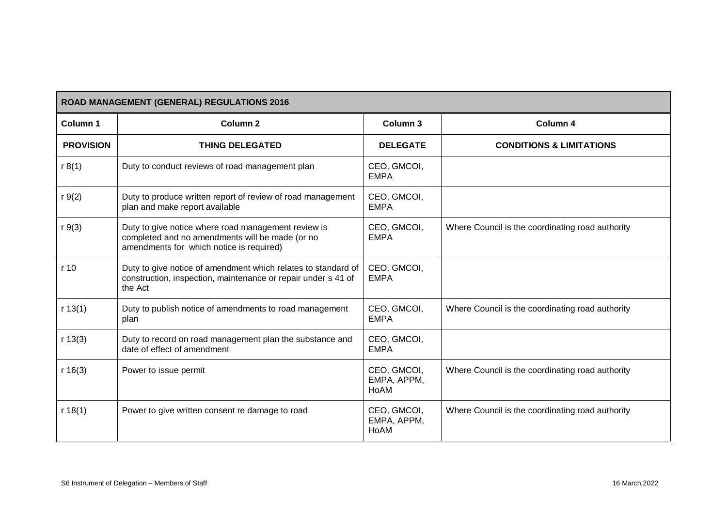| ROAD MANAGEMENT (GENERAL) REGULATIONS 2016 |                                                                                                                                                    |                                    |                                                  |  |  |  |
|--------------------------------------------|----------------------------------------------------------------------------------------------------------------------------------------------------|------------------------------------|--------------------------------------------------|--|--|--|
| Column <sub>1</sub>                        | <b>Column 2</b>                                                                                                                                    | Column 3                           | Column 4                                         |  |  |  |
| <b>PROVISION</b>                           | <b>THING DELEGATED</b>                                                                                                                             | <b>DELEGATE</b>                    | <b>CONDITIONS &amp; LIMITATIONS</b>              |  |  |  |
| r 8(1)                                     | Duty to conduct reviews of road management plan                                                                                                    | CEO, GMCOI,<br><b>EMPA</b>         |                                                  |  |  |  |
| $r \, 9(2)$                                | Duty to produce written report of review of road management<br>plan and make report available                                                      | CEO, GMCOI,<br><b>EMPA</b>         |                                                  |  |  |  |
| $r \, 9(3)$                                | Duty to give notice where road management review is<br>completed and no amendments will be made (or no<br>amendments for which notice is required) | CEO, GMCOI,<br><b>EMPA</b>         | Where Council is the coordinating road authority |  |  |  |
| r 10                                       | Duty to give notice of amendment which relates to standard of<br>construction, inspection, maintenance or repair under s 41 of<br>the Act          | CEO, GMCOI,<br><b>EMPA</b>         |                                                  |  |  |  |
| r 13(1)                                    | Duty to publish notice of amendments to road management<br>plan                                                                                    | CEO, GMCOI,<br><b>EMPA</b>         | Where Council is the coordinating road authority |  |  |  |
| r 13(3)                                    | Duty to record on road management plan the substance and<br>date of effect of amendment                                                            | CEO, GMCOI,<br><b>EMPA</b>         |                                                  |  |  |  |
| r 16(3)                                    | Power to issue permit                                                                                                                              | CEO, GMCOI,<br>EMPA, APPM,<br>HoAM | Where Council is the coordinating road authority |  |  |  |
| r 18(1)                                    | Power to give written consent re damage to road                                                                                                    | CEO, GMCOI,<br>EMPA, APPM,<br>HoAM | Where Council is the coordinating road authority |  |  |  |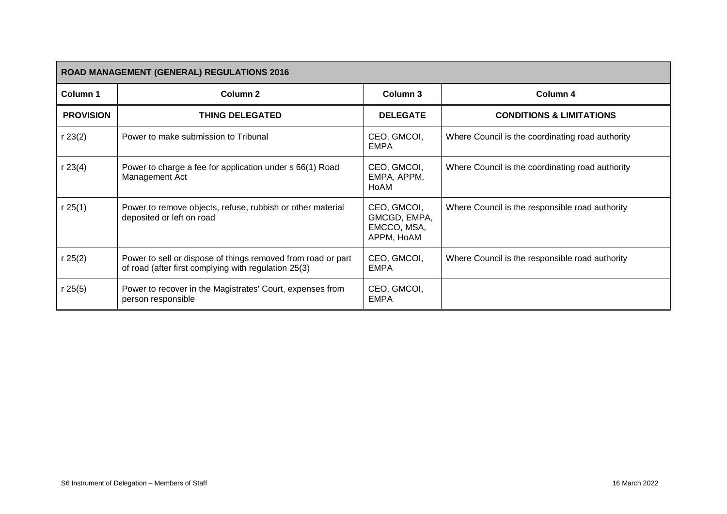| <b>ROAD MANAGEMENT (GENERAL) REGULATIONS 2016</b> |                                                                                                                      |                                                          |                                                  |  |  |  |
|---------------------------------------------------|----------------------------------------------------------------------------------------------------------------------|----------------------------------------------------------|--------------------------------------------------|--|--|--|
| Column 1                                          | Column 2                                                                                                             | Column 3                                                 | Column 4                                         |  |  |  |
| <b>PROVISION</b>                                  | <b>THING DELEGATED</b>                                                                                               | <b>DELEGATE</b>                                          | <b>CONDITIONS &amp; LIMITATIONS</b>              |  |  |  |
| r 23(2)                                           | Power to make submission to Tribunal                                                                                 | CEO, GMCOI,<br><b>EMPA</b>                               | Where Council is the coordinating road authority |  |  |  |
| r 23(4)                                           | Power to charge a fee for application under s 66(1) Road<br>Management Act                                           | CEO, GMCOI,<br>EMPA, APPM,<br>HoAM                       | Where Council is the coordinating road authority |  |  |  |
| r 25(1)                                           | Power to remove objects, refuse, rubbish or other material<br>deposited or left on road                              | CEO, GMCOI,<br>GMCGD, EMPA,<br>EMCCO, MSA,<br>APPM, HoAM | Where Council is the responsible road authority  |  |  |  |
| r 25(2)                                           | Power to sell or dispose of things removed from road or part<br>of road (after first complying with regulation 25(3) | CEO, GMCOI,<br><b>EMPA</b>                               | Where Council is the responsible road authority  |  |  |  |
| r 25(5)                                           | Power to recover in the Magistrates' Court, expenses from<br>person responsible                                      | CEO, GMCOI,<br><b>EMPA</b>                               |                                                  |  |  |  |